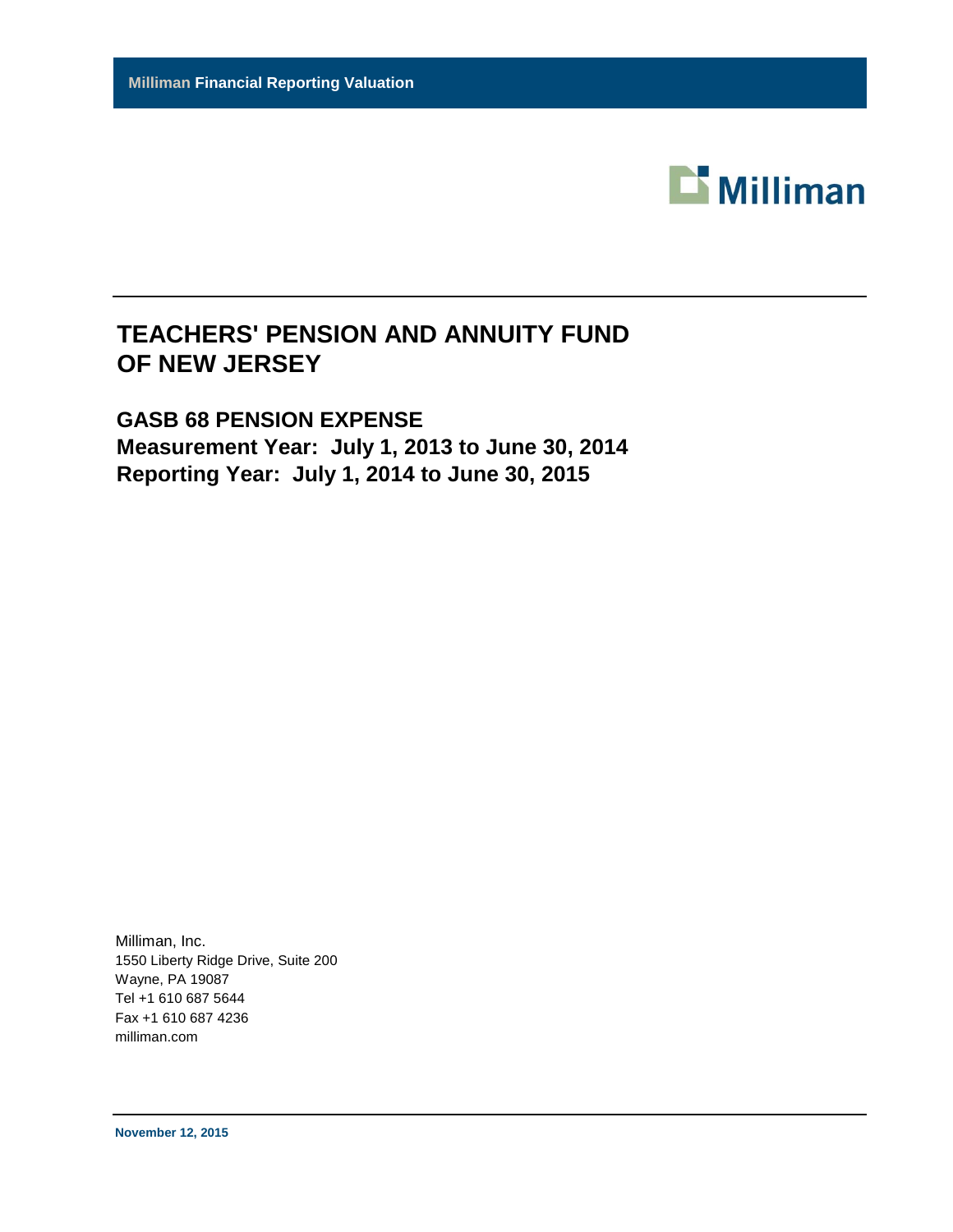

# **GASB 68 PENSION EXPENSE Measurement Year: July 1, 2013 to June 30, 2014 Reporting Year: July 1, 2014 to June 30, 2015**

Milliman, Inc. 1550 Liberty Ridge Drive, Suite 200 Wayne, PA 19087 Tel +1 610 687 5644 Fax +1 610 687 4236 milliman.com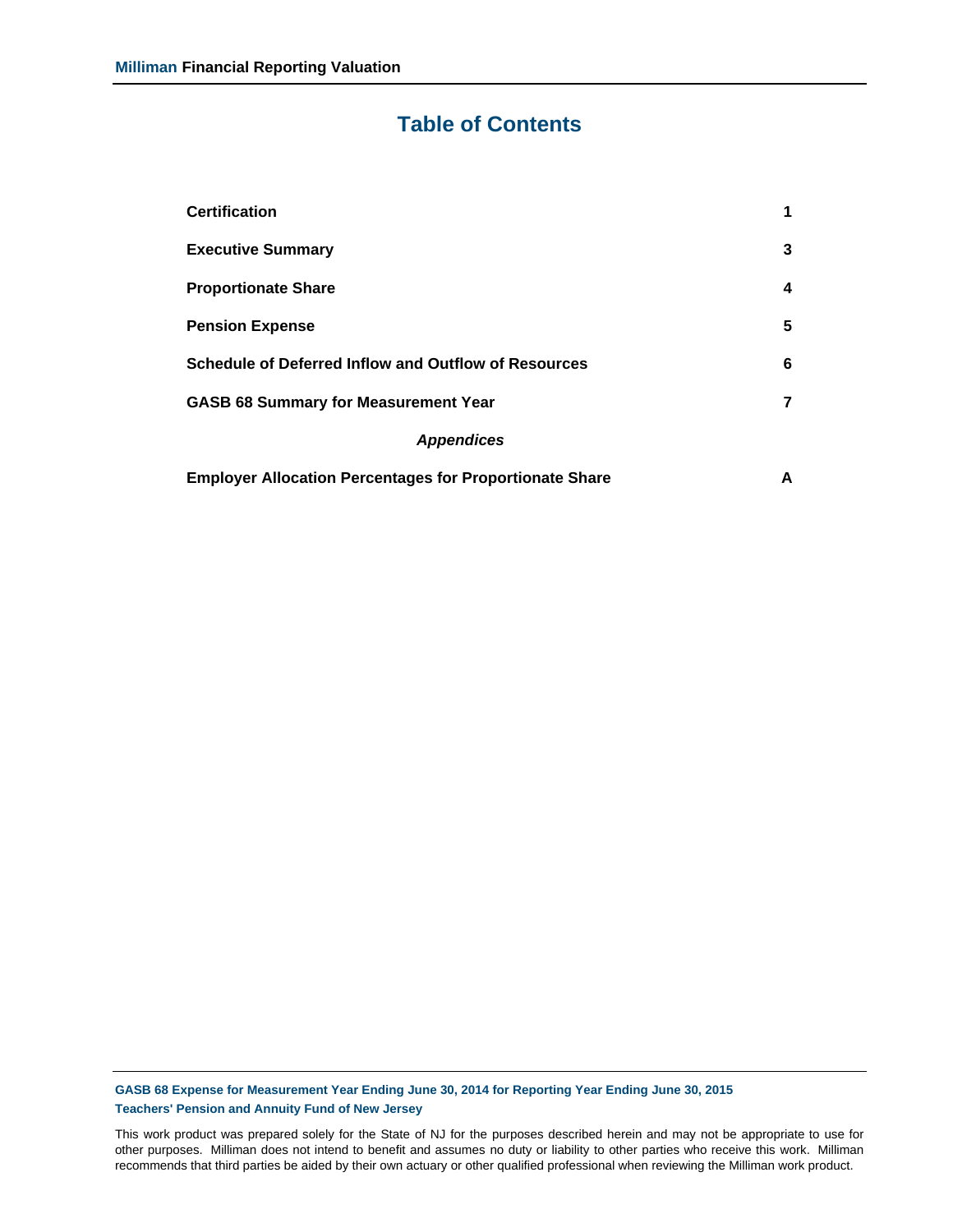# **Table of Contents**

| <b>Certification</b>                                           | 1 |
|----------------------------------------------------------------|---|
| <b>Executive Summary</b>                                       | 3 |
| <b>Proportionate Share</b>                                     | 4 |
| <b>Pension Expense</b>                                         | 5 |
| <b>Schedule of Deferred Inflow and Outflow of Resources</b>    | 6 |
| <b>GASB 68 Summary for Measurement Year</b>                    | 7 |
| <b>Appendices</b>                                              |   |
| <b>Employer Allocation Percentages for Proportionate Share</b> | А |

**GASB 68 Expense for Measurement Year Ending June 30, 2014 for Reporting Year Ending June 30, 2015 Teachers' Pension and Annuity Fund of New Jersey**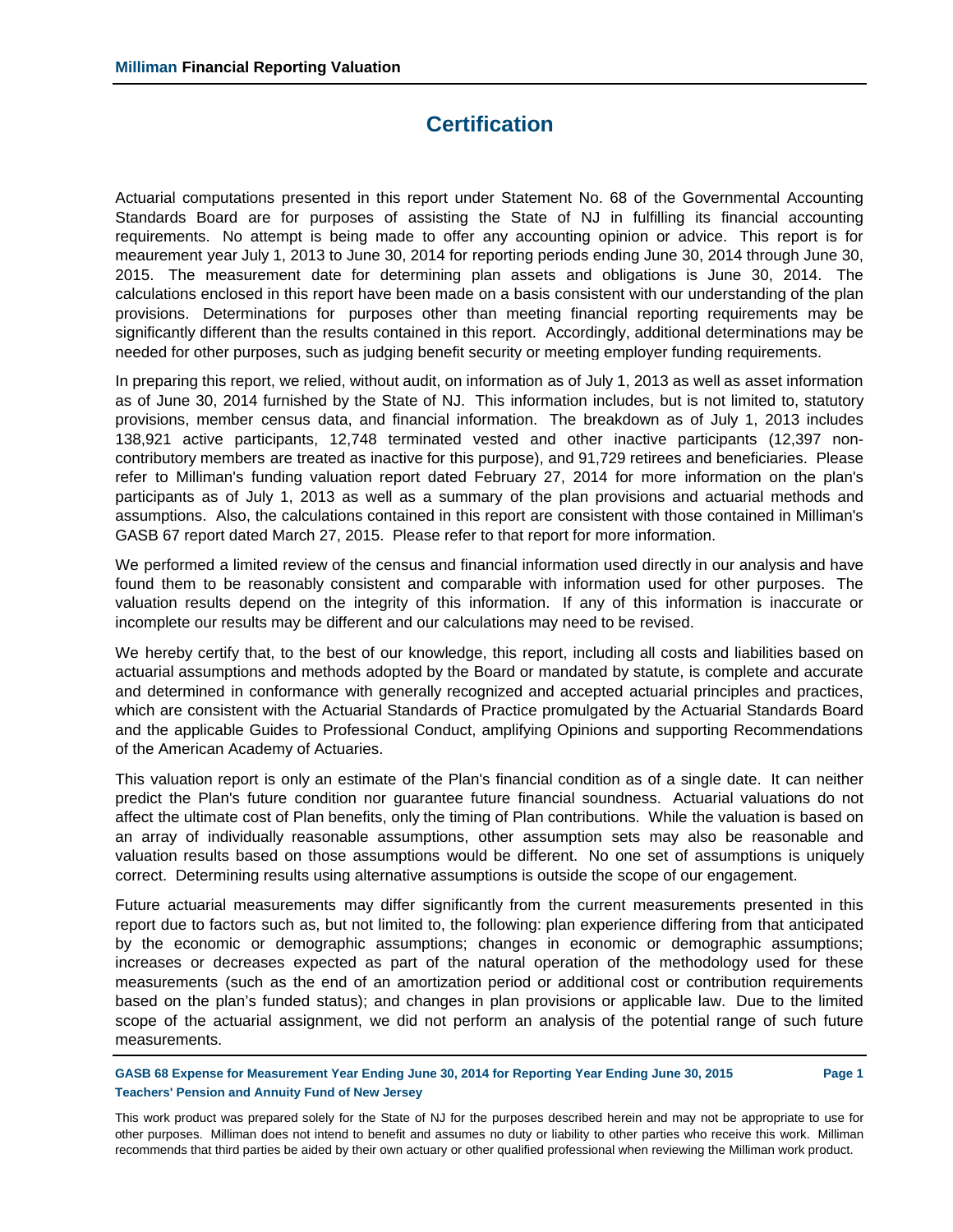# **Certification**

Actuarial computations presented in this report under Statement No. 68 of the Governmental Accounting Standards Board are for purposes of assisting the State of NJ in fulfilling its financial accounting requirements. No attempt is being made to offer any accounting opinion or advice. This report is for meaurement year July 1, 2013 to June 30, 2014 for reporting periods ending June 30, 2014 through June 30, 2015. The measurement date for determining plan assets and obligations is June 30, 2014. The calculations enclosed in this report have been made on a basis consistent with our understanding of the plan provisions. Determinations for purposes other than meeting financial reporting requirements may be significantly different than the results contained in this report. Accordingly, additional determinations may be needed for other purposes, such as judging benefit security or meeting employer funding requirements.

In preparing this report, we relied, without audit, on information as of July 1, 2013 as well as asset information as of June 30, 2014 furnished by the State of NJ. This information includes, but is not limited to, statutory provisions, member census data, and financial information. The breakdown as of July 1, 2013 includes 138,921 active participants, 12,748 terminated vested and other inactive participants (12,397 noncontributory members are treated as inactive for this purpose), and 91,729 retirees and beneficiaries. Please refer to Milliman's funding valuation report dated February 27, 2014 for more information on the plan's participants as of July 1, 2013 as well as a summary of the plan provisions and actuarial methods and assumptions. Also, the calculations contained in this report are consistent with those contained in Milliman's GASB 67 report dated March 27, 2015. Please refer to that report for more information.

We performed a limited review of the census and financial information used directly in our analysis and have found them to be reasonably consistent and comparable with information used for other purposes. The valuation results depend on the integrity of this information. If any of this information is inaccurate or incomplete our results may be different and our calculations may need to be revised.

We hereby certify that, to the best of our knowledge, this report, including all costs and liabilities based on actuarial assumptions and methods adopted by the Board or mandated by statute, is complete and accurate and determined in conformance with generally recognized and accepted actuarial principles and practices, which are consistent with the Actuarial Standards of Practice promulgated by the Actuarial Standards Board and the applicable Guides to Professional Conduct, amplifying Opinions and supporting Recommendations of the American Academy of Actuaries.

This valuation report is only an estimate of the Plan's financial condition as of a single date. It can neither predict the Plan's future condition nor guarantee future financial soundness. Actuarial valuations do not affect the ultimate cost of Plan benefits, only the timing of Plan contributions. While the valuation is based on an array of individually reasonable assumptions, other assumption sets may also be reasonable and valuation results based on those assumptions would be different. No one set of assumptions is uniquely correct. Determining results using alternative assumptions is outside the scope of our engagement.

Future actuarial measurements may differ significantly from the current measurements presented in this report due to factors such as, but not limited to, the following: plan experience differing from that anticipated by the economic or demographic assumptions; changes in economic or demographic assumptions; increases or decreases expected as part of the natural operation of the methodology used for these measurements (such as the end of an amortization period or additional cost or contribution requirements based on the plan's funded status); and changes in plan provisions or applicable law. Due to the limited scope of the actuarial assignment, we did not perform an analysis of the potential range of such future measurements.

**GASB 68 Expense for Measurement Year Ending June 30, 2014 for Reporting Year Ending June 30, 2015 Page 1 Teachers' Pension and Annuity Fund of New Jersey**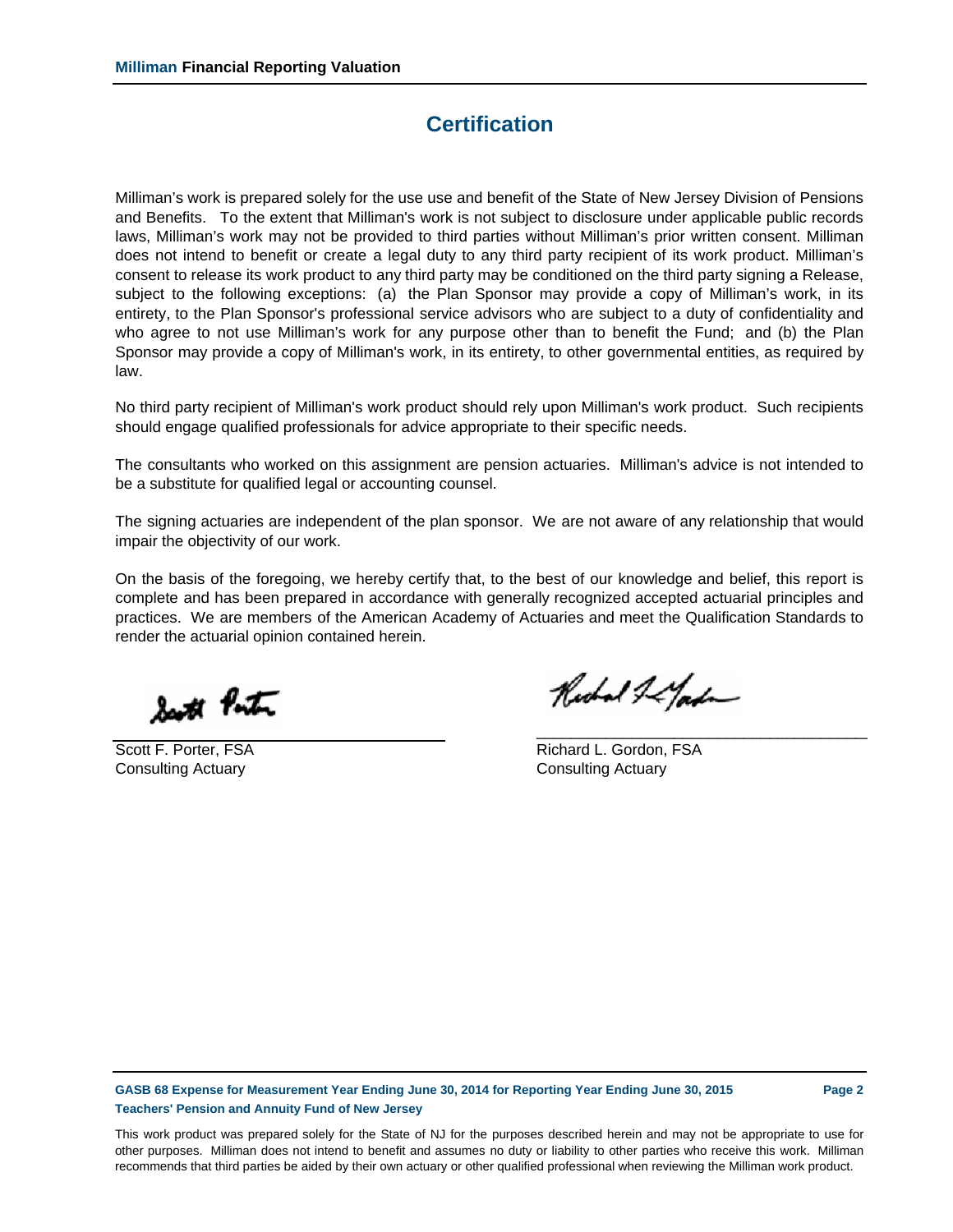## **Certification**

Milliman's work is prepared solely for the use use and benefit of the State of New Jersey Division of Pensions and Benefits. To the extent that Milliman's work is not subject to disclosure under applicable public records laws, Milliman's work may not be provided to third parties without Milliman's prior written consent. Milliman does not intend to benefit or create a legal duty to any third party recipient of its work product. Milliman's consent to release its work product to any third party may be conditioned on the third party signing a Release, subject to the following exceptions: (a) the Plan Sponsor may provide a copy of Milliman's work, in its entirety, to the Plan Sponsor's professional service advisors who are subject to a duty of confidentiality and who agree to not use Milliman's work for any purpose other than to benefit the Fund; and (b) the Plan Sponsor may provide a copy of Milliman's work, in its entirety, to other governmental entities, as required by law.

No third party recipient of Milliman's work product should rely upon Milliman's work product. Such recipients should engage qualified professionals for advice appropriate to their specific needs.

The consultants who worked on this assignment are pension actuaries. Milliman's advice is not intended to be a substitute for qualified legal or accounting counsel.

The signing actuaries are independent of the plan sponsor. We are not aware of any relationship that would impair the objectivity of our work.

On the basis of the foregoing, we hereby certify that, to the best of our knowledge and belief, this report is complete and has been prepared in accordance with generally recognized accepted actuarial principles and practices. We are members of the American Academy of Actuaries and meet the Qualification Standards to render the actuarial opinion contained herein.

South Ponton

Consulting Actuary Consulting Actuary

Richard & Garden

\_\_\_\_\_\_\_\_\_\_\_\_\_\_\_\_\_\_\_\_\_\_\_\_\_\_\_\_\_\_\_\_\_\_\_\_\_\_\_

Scott F. Porter, FSA **Richard L. Gordon, FSA** 

**GASB 68 Expense for Measurement Year Ending June 30, 2014 for Reporting Year Ending June 30, 2015 Page 2 Teachers' Pension and Annuity Fund of New Jersey**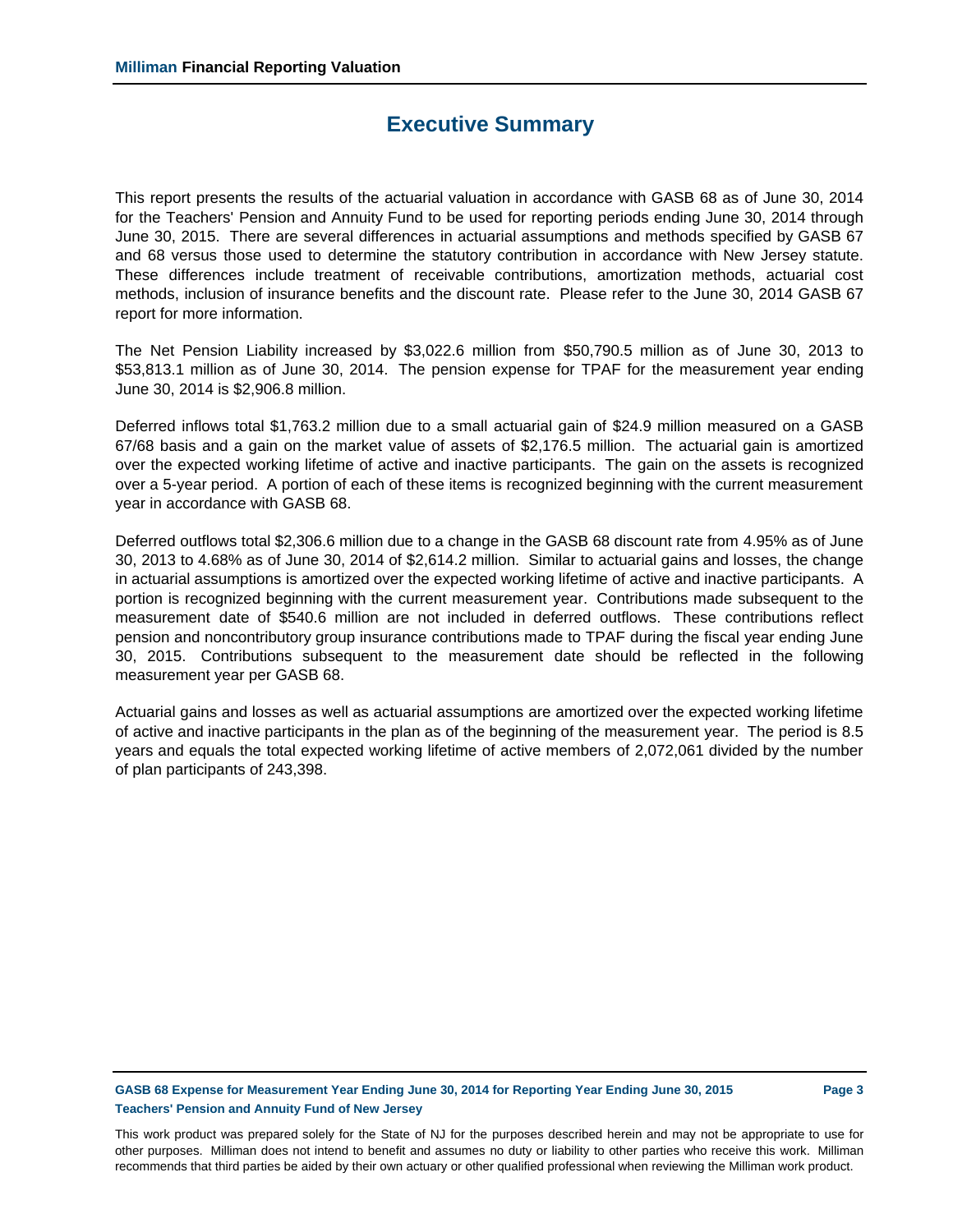## **Executive Summary**

This report presents the results of the actuarial valuation in accordance with GASB 68 as of June 30, 2014 for the Teachers' Pension and Annuity Fund to be used for reporting periods ending June 30, 2014 through June 30, 2015. There are several differences in actuarial assumptions and methods specified by GASB 67 and 68 versus those used to determine the statutory contribution in accordance with New Jersey statute. These differences include treatment of receivable contributions, amortization methods, actuarial cost methods, inclusion of insurance benefits and the discount rate. Please refer to the June 30, 2014 GASB 67 report for more information.

The Net Pension Liability increased by \$3,022.6 million from \$50,790.5 million as of June 30, 2013 to \$53,813.1 million as of June 30, 2014. The pension expense for TPAF for the measurement year ending June 30, 2014 is \$2,906.8 million.

Deferred inflows total \$1,763.2 million due to a small actuarial gain of \$24.9 million measured on a GASB 67/68 basis and a gain on the market value of assets of \$2,176.5 million. The actuarial gain is amortized over the expected working lifetime of active and inactive participants. The gain on the assets is recognized over a 5-year period. A portion of each of these items is recognized beginning with the current measurement year in accordance with GASB 68.

Deferred outflows total \$2,306.6 million due to a change in the GASB 68 discount rate from 4.95% as of June 30, 2013 to 4.68% as of June 30, 2014 of \$2,614.2 million. Similar to actuarial gains and losses, the change in actuarial assumptions is amortized over the expected working lifetime of active and inactive participants. A portion is recognized beginning with the current measurement year. Contributions made subsequent to the measurement date of \$540.6 million are not included in deferred outflows. These contributions reflect pension and noncontributory group insurance contributions made to TPAF during the fiscal year ending June 30, 2015. Contributions subsequent to the measurement date should be reflected in the following measurement year per GASB 68.

Actuarial gains and losses as well as actuarial assumptions are amortized over the expected working lifetime of active and inactive participants in the plan as of the beginning of the measurement year. The period is 8.5 years and equals the total expected working lifetime of active members of 2,072,061 divided by the number of plan participants of 243,398.

### **GASB 68 Expense for Measurement Year Ending June 30, 2014 for Reporting Year Ending June 30, 2015 Page 3 Teachers' Pension and Annuity Fund of New Jersey**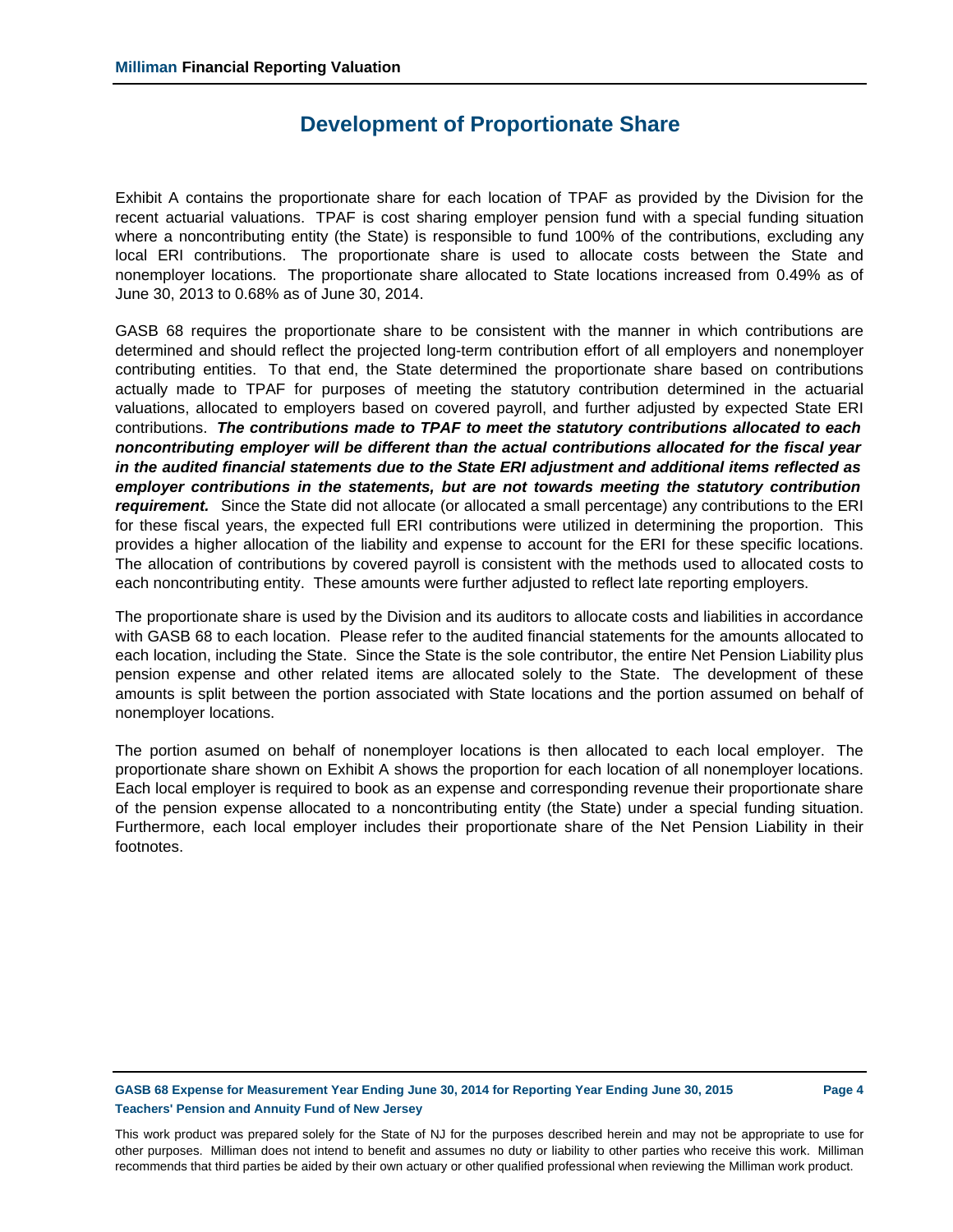## **Development of Proportionate Share**

Exhibit A contains the proportionate share for each location of TPAF as provided by the Division for the recent actuarial valuations. TPAF is cost sharing employer pension fund with a special funding situation where a noncontributing entity (the State) is responsible to fund 100% of the contributions, excluding any local ERI contributions. The proportionate share is used to allocate costs between the State and nonemployer locations. The proportionate share allocated to State locations increased from 0.49% as of June 30, 2013 to 0.68% as of June 30, 2014.

GASB 68 requires the proportionate share to be consistent with the manner in which contributions are determined and should reflect the projected long-term contribution effort of all employers and nonemployer contributing entities. To that end, the State determined the proportionate share based on contributions actually made to TPAF for purposes of meeting the statutory contribution determined in the actuarial valuations, allocated to employers based on covered payroll, and further adjusted by expected State ERI contributions. *The contributions made to TPAF to meet the statutory contributions allocated to each noncontributing employer will be different than the actual contributions allocated for the fiscal year in the audited financial statements due to the State ERI adjustment and additional items reflected as employer contributions in the statements, but are not towards meeting the statutory contribution requirement.* Since the State did not allocate (or allocated a small percentage) any contributions to the ERI for these fiscal years, the expected full ERI contributions were utilized in determining the proportion. This provides a higher allocation of the liability and expense to account for the ERI for these specific locations. The allocation of contributions by covered payroll is consistent with the methods used to allocated costs to each noncontributing entity. These amounts were further adjusted to reflect late reporting employers.

The proportionate share is used by the Division and its auditors to allocate costs and liabilities in accordance with GASB 68 to each location. Please refer to the audited financial statements for the amounts allocated to each location, including the State. Since the State is the sole contributor, the entire Net Pension Liability plus pension expense and other related items are allocated solely to the State. The development of these amounts is split between the portion associated with State locations and the portion assumed on behalf of nonemployer locations.

The portion asumed on behalf of nonemployer locations is then allocated to each local employer. The proportionate share shown on Exhibit A shows the proportion for each location of all nonemployer locations. Each local employer is required to book as an expense and corresponding revenue their proportionate share of the pension expense allocated to a noncontributing entity (the State) under a special funding situation. Furthermore, each local employer includes their proportionate share of the Net Pension Liability in their footnotes.

## **GASB 68 Expense for Measurement Year Ending June 30, 2014 for Reporting Year Ending June 30, 2015 Page 4 Teachers' Pension and Annuity Fund of New Jersey**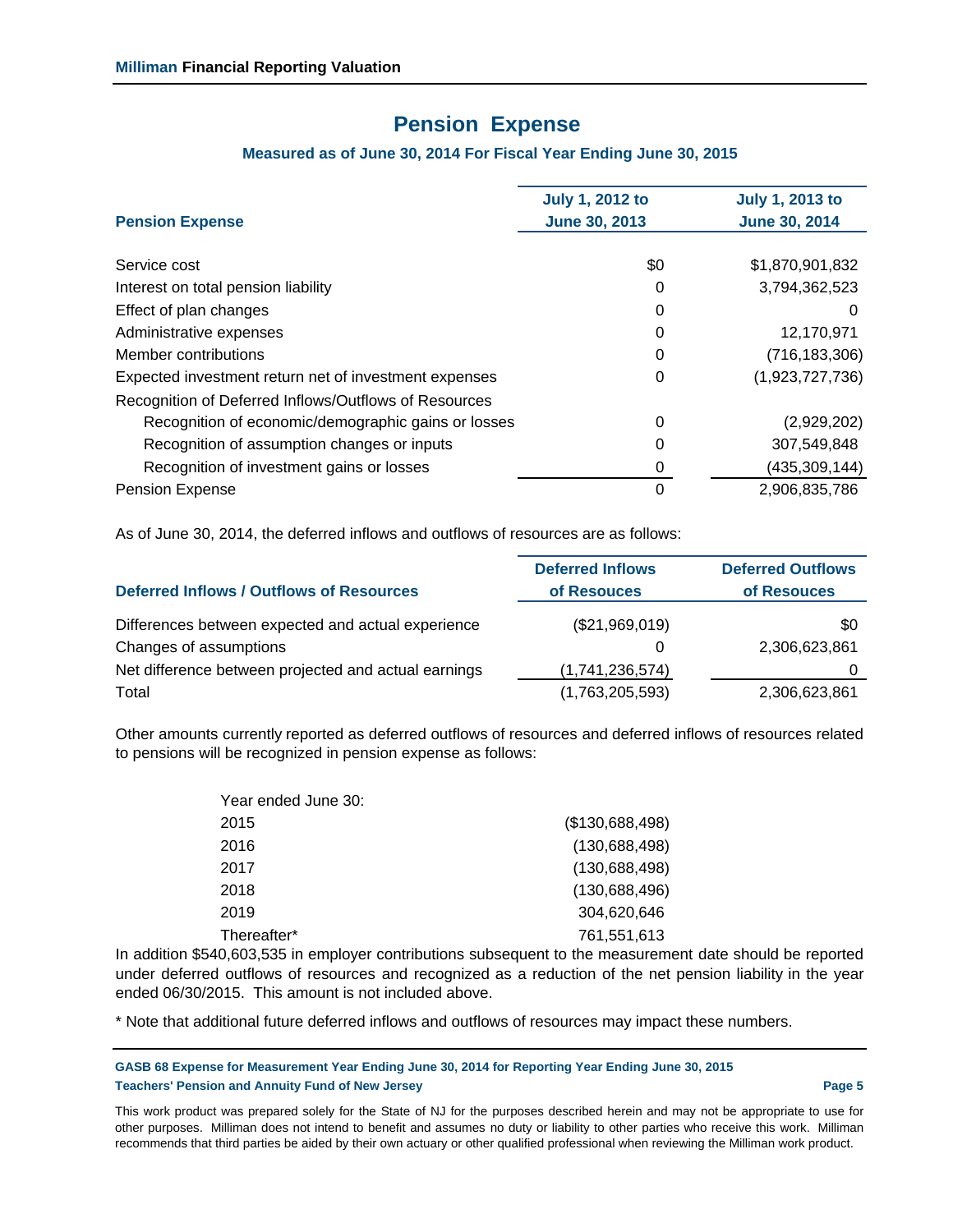## **Pension Expense**

## **Measured as of June 30, 2014 For Fiscal Year Ending June 30, 2015**

|                                                       | <b>July 1, 2012 to</b> | <b>July 1, 2013 to</b> |
|-------------------------------------------------------|------------------------|------------------------|
| <b>Pension Expense</b>                                | <b>June 30, 2013</b>   | <b>June 30, 2014</b>   |
| Service cost                                          | \$0                    | \$1,870,901,832        |
| Interest on total pension liability                   | 0                      | 3,794,362,523          |
| Effect of plan changes                                | 0                      | $\mathbf{0}$           |
| Administrative expenses                               | 0                      | 12,170,971             |
| Member contributions                                  | 0                      | (716, 183, 306)        |
| Expected investment return net of investment expenses | 0                      | (1,923,727,736)        |
| Recognition of Deferred Inflows/Outflows of Resources |                        |                        |
| Recognition of economic/demographic gains or losses   | 0                      | (2,929,202)            |
| Recognition of assumption changes or inputs           | 0                      | 307,549,848            |
| Recognition of investment gains or losses             | 0                      | (435, 309, 144)        |
| <b>Pension Expense</b>                                | 0                      | 2,906,835,786          |

As of June 30, 2014, the deferred inflows and outflows of resources are as follows:

| <b>Deferred Inflows / Outflows of Resources</b>      | <b>Deferred Inflows</b><br>of Resouces | <b>Deferred Outflows</b><br>of Resouces |
|------------------------------------------------------|----------------------------------------|-----------------------------------------|
| Differences between expected and actual experience   | (\$21,969,019)                         | \$0                                     |
| Changes of assumptions                               | 0                                      | 2,306,623,861                           |
| Net difference between projected and actual earnings | (1,741,236,574)                        |                                         |
| Total                                                | (1,763,205,593)                        | 2,306,623,861                           |

Other amounts currently reported as deferred outflows of resources and deferred inflows of resources related to pensions will be recognized in pension expense as follows:

| Year ended June 30: |                 |
|---------------------|-----------------|
| 2015                | (\$130,688,498) |
| 2016                | (130, 688, 498) |
| 2017                | (130, 688, 498) |
| 2018                | (130, 688, 496) |
| 2019                | 304,620,646     |
| Thereafter*         | 761,551,613     |

In addition \$540,603,535 in employer contributions subsequent to the measurement date should be reported under deferred outflows of resources and recognized as a reduction of the net pension liability in the year ended 06/30/2015. This amount is not included above.

\* Note that additional future deferred inflows and outflows of resources may impact these numbers.

**GASB 68 Expense for Measurement Year Ending June 30, 2014 for Reporting Year Ending June 30, 2015 Teachers' Pension and Annuity Fund of New Jersey Page 5**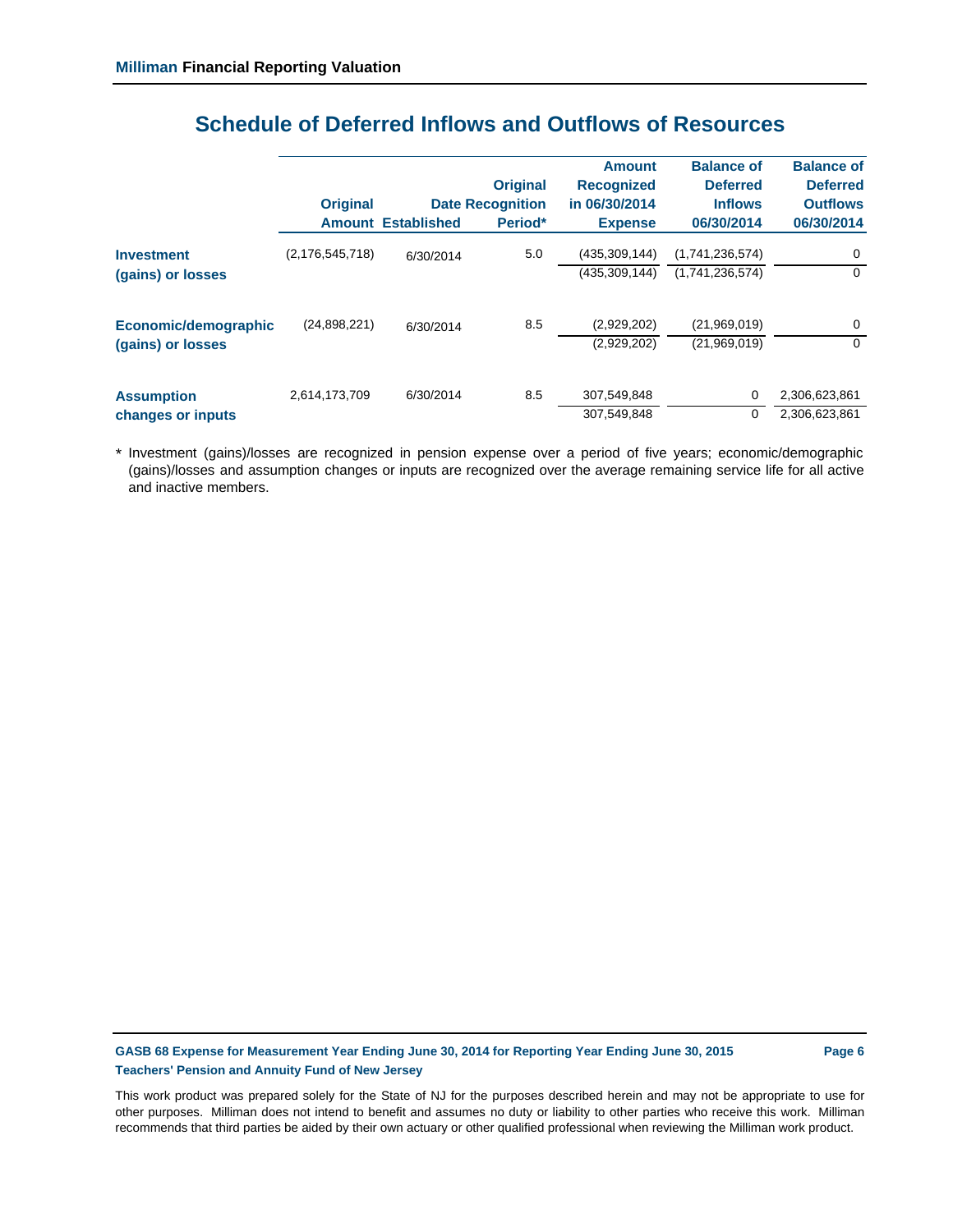|                      | <b>Original</b>    |                    | <b>Original</b><br><b>Date Recognition</b> | <b>Amount</b><br><b>Recognized</b><br>in 06/30/2014 | <b>Balance of</b><br><b>Deferred</b><br><b>Inflows</b> | <b>Balance of</b><br><b>Deferred</b><br><b>Outflows</b> |
|----------------------|--------------------|--------------------|--------------------------------------------|-----------------------------------------------------|--------------------------------------------------------|---------------------------------------------------------|
|                      | <b>Amount</b>      | <b>Established</b> | Period*                                    | <b>Expense</b>                                      | 06/30/2014                                             | 06/30/2014                                              |
| <b>Investment</b>    | (2, 176, 545, 718) | 6/30/2014          | 5.0                                        | (435,309,144)                                       | (1,741,236,574)                                        | 0                                                       |
| (gains) or losses    |                    |                    |                                            | (435, 309, 144)                                     | (1,741,236,574)                                        | $\Omega$                                                |
| Economic/demographic | (24,898,221)       | 6/30/2014          | 8.5                                        | (2,929,202)                                         | (21,969,019)                                           | 0                                                       |
| (gains) or losses    |                    |                    |                                            | (2,929,202)                                         | (21,969,019)                                           | $\Omega$                                                |
| <b>Assumption</b>    | 2,614,173,709      | 6/30/2014          | 8.5                                        | 307.549.848                                         | 0                                                      | 2,306,623,861                                           |
| changes or inputs    |                    |                    |                                            | 307,549,848                                         | $\Omega$                                               | 2,306,623,861                                           |

# **Schedule of Deferred Inflows and Outflows of Resources**

\* Investment (gains)/losses are recognized in pension expense over a period of five years; economic/demographic (gains)/losses and assumption changes or inputs are recognized over the average remaining service life for all active and inactive members.

**GASB 68 Expense for Measurement Year Ending June 30, 2014 for Reporting Year Ending June 30, 2015 Page 6 Teachers' Pension and Annuity Fund of New Jersey**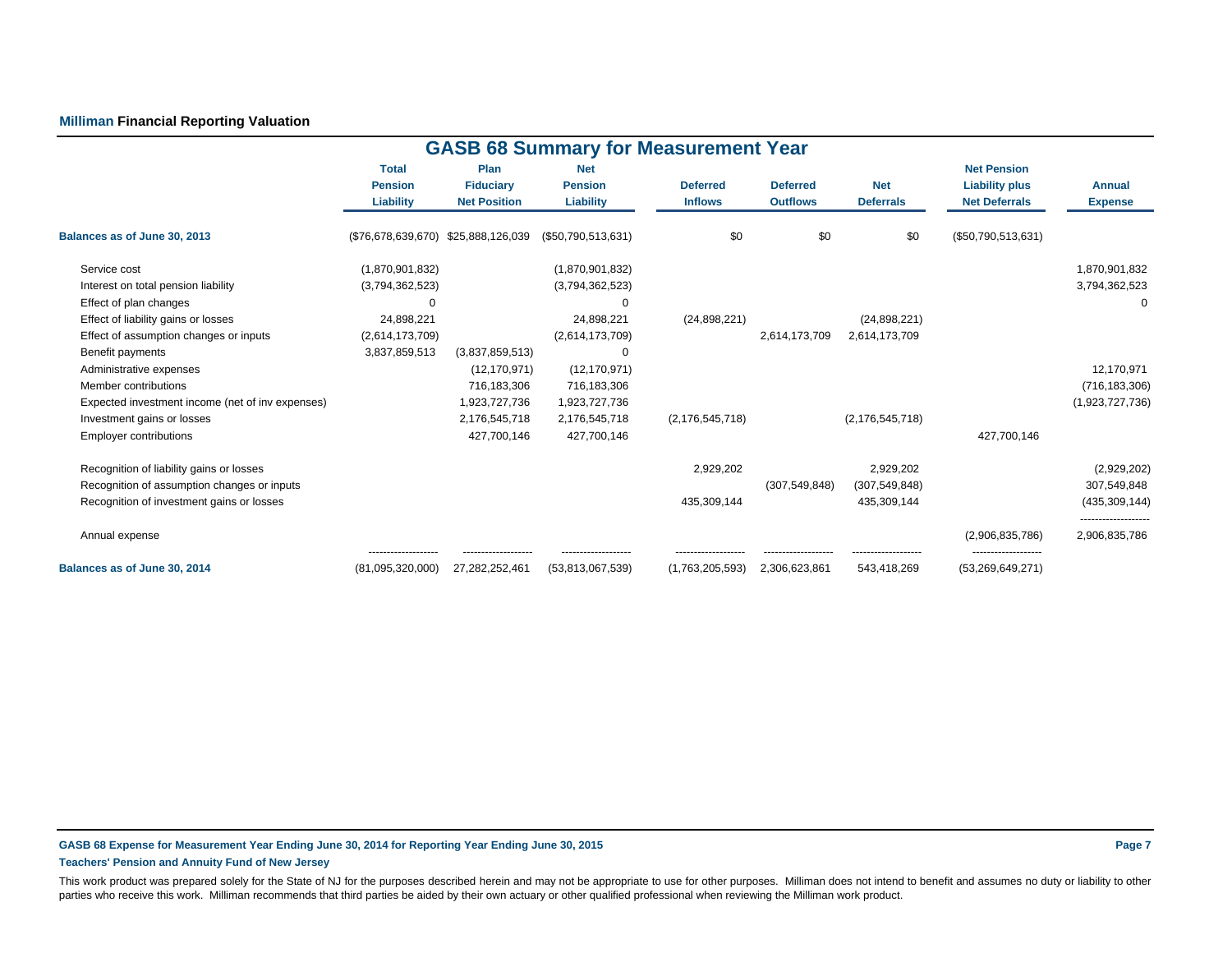## **Milliman Financial Reporting Valuation**

|                                                  |                                |                          | <b>GASB 68 Summary for Measurement Year</b> |                    |                 |                    |                                             |                                     |
|--------------------------------------------------|--------------------------------|--------------------------|---------------------------------------------|--------------------|-----------------|--------------------|---------------------------------------------|-------------------------------------|
|                                                  | <b>Total</b><br><b>Pension</b> | Plan<br><b>Fiduciary</b> | <b>Net</b><br><b>Pension</b>                | <b>Deferred</b>    | <b>Deferred</b> | <b>Net</b>         | <b>Net Pension</b><br><b>Liability plus</b> | <b>Annual</b>                       |
|                                                  | Liability                      | <b>Net Position</b>      | Liability                                   | <b>Inflows</b>     | <b>Outflows</b> | <b>Deferrals</b>   | <b>Net Deferrals</b>                        | <b>Expense</b>                      |
| Balances as of June 30, 2013                     | (\$76,678,639,670)             | \$25,888,126,039         | (\$50,790,513,631)                          | \$0                | \$0             | \$0                | (\$50,790,513,631)                          |                                     |
| Service cost                                     | (1,870,901,832)                |                          | (1,870,901,832)                             |                    |                 |                    |                                             | 1,870,901,832                       |
| Interest on total pension liability              | (3,794,362,523)                |                          | (3,794,362,523)                             |                    |                 |                    |                                             | 3,794,362,523                       |
| Effect of plan changes                           | $\Omega$                       |                          | $\Omega$                                    |                    |                 |                    |                                             | $\Omega$                            |
| Effect of liability gains or losses              | 24,898,221                     |                          | 24,898,221                                  | (24, 898, 221)     |                 | (24,898,221)       |                                             |                                     |
| Effect of assumption changes or inputs           | (2,614,173,709)                |                          | (2,614,173,709)                             |                    | 2,614,173,709   | 2,614,173,709      |                                             |                                     |
| Benefit payments                                 | 3,837,859,513                  | (3,837,859,513)          | $\Omega$                                    |                    |                 |                    |                                             |                                     |
| Administrative expenses                          |                                | (12, 170, 971)           | (12, 170, 971)                              |                    |                 |                    |                                             | 12,170,971                          |
| Member contributions                             |                                | 716,183,306              | 716,183,306                                 |                    |                 |                    |                                             | (716, 183, 306)                     |
| Expected investment income (net of inv expenses) |                                | 1,923,727,736            | 1,923,727,736                               |                    |                 |                    |                                             | (1,923,727,736)                     |
| Investment gains or losses                       |                                | 2,176,545,718            | 2,176,545,718                               | (2, 176, 545, 718) |                 | (2, 176, 545, 718) |                                             |                                     |
| <b>Employer contributions</b>                    |                                | 427,700,146              | 427,700,146                                 |                    |                 |                    | 427,700,146                                 |                                     |
| Recognition of liability gains or losses         |                                |                          |                                             | 2,929,202          |                 | 2,929,202          |                                             | (2,929,202)                         |
| Recognition of assumption changes or inputs      |                                |                          |                                             |                    | (307, 549, 848) | (307, 549, 848)    |                                             | 307,549,848                         |
| Recognition of investment gains or losses        |                                |                          |                                             | 435,309,144        |                 | 435,309,144        |                                             | (435, 309, 144)                     |
| Annual expense                                   |                                |                          |                                             |                    |                 |                    | (2,906,835,786)                             | ------------------<br>2,906,835,786 |
| Balances as of June 30, 2014                     | (81,095,320,000)               | 27,282,252,461           | (53,813,067,539)                            | (1,763,205,593)    | 2,306,623,861   | 543,418,269        | (53, 269, 649, 271)                         |                                     |

#### **GASB 68 Expense for Measurement Year Ending June 30, 2014 for Reporting Year Ending June 30, 2015 Page 7 Teachers' Pension and Annuity Fund of New Jersey**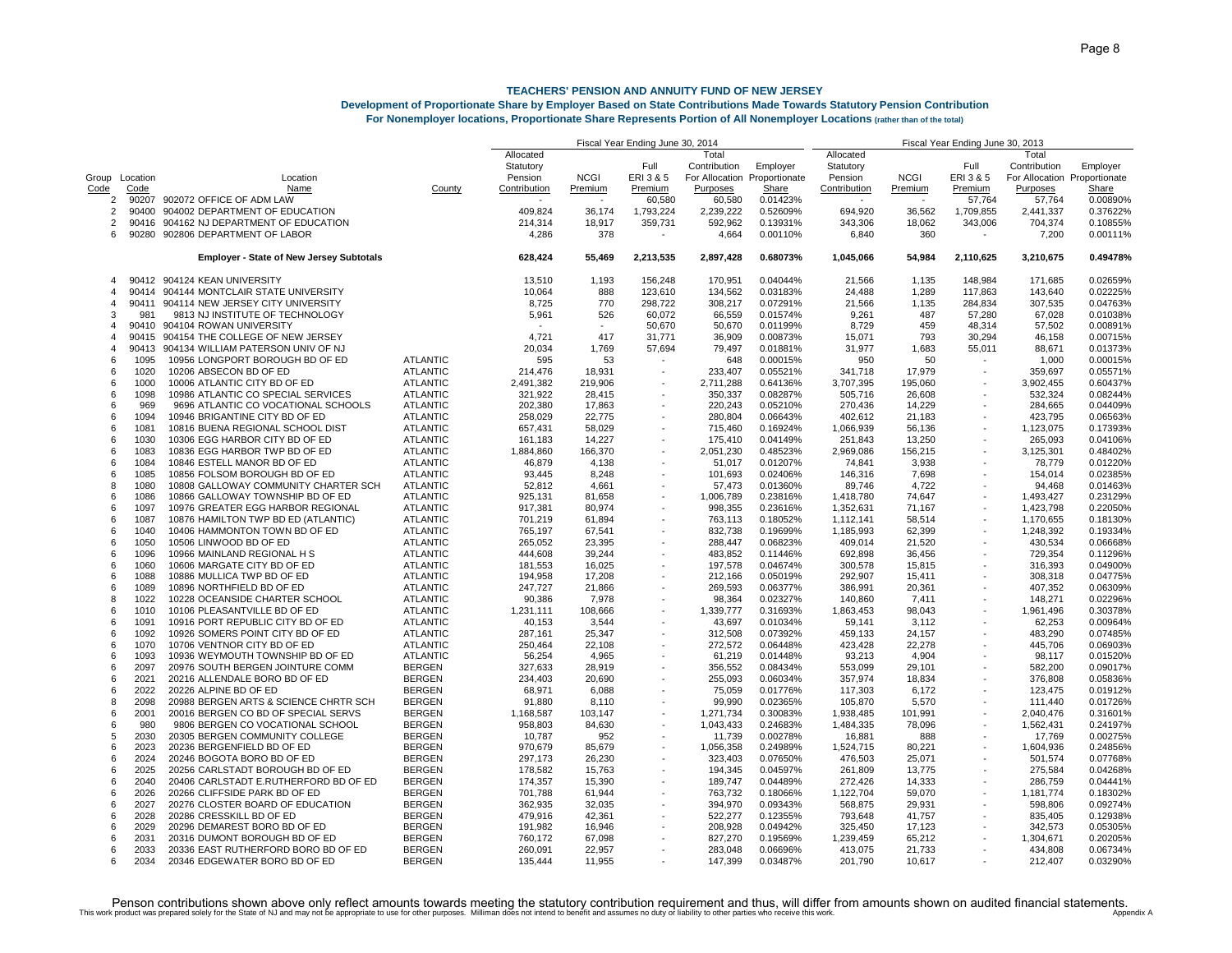### **Development of Proportionate Share by Employer Based on State Contributions Made Towards Statutory Pension Contribution**

**For Nonemployer locations, Proportionate Share Represents Portion of All Nonemployer Locations (rather than of the total)**

|                |                |                                                 |                 |              | Fiscal Year Ending June 30, 2013 |                          |                |               |                          |                          |                          |                              |          |
|----------------|----------------|-------------------------------------------------|-----------------|--------------|----------------------------------|--------------------------|----------------|---------------|--------------------------|--------------------------|--------------------------|------------------------------|----------|
|                |                |                                                 |                 | Allocated    |                                  |                          | Total          |               | Allocated                |                          |                          | Total                        |          |
|                |                |                                                 |                 | Statutory    |                                  | Full                     | Contribution   | Employer      | Statutory                |                          | Full                     | Contribution                 | Employer |
|                | Group Location | Location                                        |                 | Pension      | <b>NCGI</b>                      | ERI 3 & 5                | For Allocation | Proportionate | Pension                  | <b>NCGI</b>              | ERI 3 & 5                | For Allocation Proportionate |          |
| Code           | Code           | Name                                            | County          | Contribution | Premium                          | Premium                  | Purposes       | Share         | Contribution             | Premium                  | Premium                  | Purposes                     | Share    |
| 2              | 90207          | 902072 OFFICE OF ADM LAW                        |                 |              |                                  | 60,580                   | 60,580         | 0.01423%      | $\overline{\phantom{a}}$ | $\overline{\phantom{a}}$ | 57,764                   | 57,764                       | 0.00890% |
| 2              | 90400          | 904002 DEPARTMENT OF EDUCATION                  |                 | 409,824      | 36,174                           | 1,793,224                | 2,239,222      | 0.52609%      | 694,920                  | 36,562                   | 1,709,855                | 2,441,337                    | 0.37622% |
| 2              | 90416          | 904162 NJ DEPARTMENT OF EDUCATION               |                 | 214,314      | 18,917                           | 359,731                  | 592,962        | 0.13931%      | 343,306                  | 18,062                   | 343,006                  | 704,374                      | 0.10855% |
| 6              | 90280          | 902806 DEPARTMENT OF LABOR                      |                 | 4,286        | 378                              |                          | 4,664          | 0.00110%      | 6,840                    | 360                      |                          | 7,200                        | 0.00111% |
|                |                |                                                 |                 |              |                                  |                          |                |               |                          |                          |                          |                              |          |
|                |                | <b>Employer - State of New Jersey Subtotals</b> |                 | 628,424      | 55,469                           | 2,213,535                | 2,897,428      | 0.68073%      | 1,045,066                | 54,984                   | 2,110,625                | 3,210,675                    | 0.49478% |
| $\overline{4}$ | 90412          | 904124 KEAN UNIVERSITY                          |                 | 13,510       | 1,193                            | 156,248                  | 170,951        | 0.04044%      | 21,566                   | 1,135                    | 148,984                  | 171,685                      | 0.02659% |
| 4              | 90414          | 904144 MONTCLAIR STATE UNIVERSITY               |                 | 10,064       | 888                              | 123.610                  | 134,562        | 0.03183%      | 24.488                   | 1.289                    | 117,863                  | 143,640                      | 0.02225% |
| 4              | 90411          | 904114 NEW JERSEY CITY UNIVERSITY               |                 | 8,725        | 770                              | 298,722                  | 308,217        | 0.07291%      | 21,566                   | 1,135                    | 284,834                  | 307,535                      | 0.04763% |
| 3              | 981            | 9813 NJ INSTITUTE OF TECHNOLOGY                 |                 | 5,961        | 526                              | 60,072                   | 66,559         | 0.01574%      | 9,261                    | 487                      | 57,280                   | 67,028                       | 0.01038% |
| 4              | 90410          | 904104 ROWAN UNIVERSITY                         |                 |              |                                  | 50,670                   | 50,670         | 0.01199%      | 8,729                    | 459                      | 48,314                   | 57.502                       | 0.00891% |
| 4              | 90415          | 904154 THE COLLEGE OF NEW JERSEY                |                 | 4,721        | 417                              | 31,771                   | 36,909         | 0.00873%      | 15,071                   | 793                      | 30,294                   | 46,158                       | 0.00715% |
| 4              | 90413          | 904134 WILLIAM PATERSON UNIV OF NJ              |                 | 20,034       | 1,769                            | 57,694                   | 79,497         | 0.01881%      | 31,977                   | 1,683                    | 55,011                   | 88,671                       | 0.01373% |
| 6              | 1095           | 10956 LONGPORT BOROUGH BD OF ED                 | <b>ATLANTIC</b> | 595          | 53                               |                          | 648            | 0.00015%      | 950                      | 50                       |                          | 1,000                        | 0.00015% |
| 6              | 1020           | 10206 ABSECON BD OF ED                          | <b>ATLANTIC</b> | 214,476      | 18.931                           | $\overline{\phantom{a}}$ | 233.407        | 0.05521%      | 341,718                  | 17,979                   | $\overline{\phantom{a}}$ | 359.697                      | 0.05571% |
| 6              | 1000           | 10006 ATLANTIC CITY BD OF ED                    | <b>ATLANTIC</b> | 2,491,382    | 219,906                          |                          | 2,711,288      | 0.64136%      | 3,707,395                | 195,060                  | ٠                        | 3,902,455                    | 0.60437% |
| 6              | 1098           | 10986 ATLANTIC CO SPECIAL SERVICES              | <b>ATLANTIC</b> | 321,922      | 28,415                           |                          | 350,337        | 0.08287%      | 505,716                  | 26,608                   |                          | 532,324                      | 0.08244% |
| 6              | 969            | 9696 ATLANTIC CO VOCATIONAL SCHOOLS             | <b>ATLANTIC</b> | 202,380      | 17,863                           |                          | 220,243        | 0.05210%      | 270,436                  | 14,229                   |                          | 284,665                      | 0.04409% |
| 6              | 1094           | 10946 BRIGANTINE CITY BD OF ED                  | <b>ATLANTIC</b> | 258,029      | 22,775                           |                          | 280,804        | 0.06643%      | 402,612                  | 21,183                   | $\overline{\phantom{a}}$ | 423,795                      | 0.06563% |
| 6              | 1081           | 10816 BUENA REGIONAL SCHOOL DIST                | <b>ATLANTIC</b> | 657,431      | 58,029                           |                          | 715,460        | 0.16924%      | 1,066,939                | 56,136                   |                          | 1,123,075                    | 0.17393% |
| ĥ              | 1030           | 10306 EGG HARBOR CITY BD OF ED                  | <b>ATLANTIC</b> | 161,183      | 14,227                           |                          | 175,410        | 0.04149%      | 251,843                  | 13,250                   |                          | 265,093                      | 0.04106% |
| 6              | 1083           | 10836 EGG HARBOR TWP BD OF ED                   | <b>ATLANTIC</b> | 1,884,860    | 166,370                          |                          | 2,051,230      | 0.48523%      | 2,969,086                | 156,215                  |                          | 3,125,301                    | 0.48402% |
| 6              | 1084           | 10846 ESTELL MANOR BD OF ED                     | <b>ATLANTIC</b> | 46,879       | 4,138                            |                          | 51,017         | 0.01207%      | 74,841                   | 3,938                    |                          | 78,779                       | 0.01220% |
| ĥ              | 1085           | 10856 FOLSOM BOROUGH BD OF ED                   | <b>ATLANTIC</b> | 93,445       | 8,248                            |                          | 101,693        | 0.02406%      | 146,316                  | 7,698                    |                          | 154,014                      | 0.02385% |
| 8              | 1080           | 10808 GALLOWAY COMMUNITY CHARTER SCH            | <b>ATLANTIC</b> | 52,812       | 4,661                            |                          | 57,473         | 0.01360%      | 89,746                   | 4,722                    |                          | 94,468                       | 0.01463% |
| 6              | 1086           | 10866 GALLOWAY TOWNSHIP BD OF ED                | <b>ATLANTIC</b> | 925,131      | 81,658                           |                          | 1,006,789      | 0.23816%      | 1,418,780                | 74,647                   | $\overline{\phantom{a}}$ | 1,493,427                    | 0.23129% |
| 6              |                |                                                 |                 |              |                                  |                          |                |               |                          |                          |                          |                              |          |
|                | 1097           | 10976 GREATER EGG HARBOR REGIONAL               | <b>ATLANTIC</b> | 917,381      | 80,974                           |                          | 998,355        | 0.23616%      | 1,352,631                | 71,167                   |                          | 1,423,798                    | 0.22050% |
| 6              | 1087           | 10876 HAMILTON TWP BD ED (ATLANTIC)             | <b>ATLANTIC</b> | 701,219      | 61,894                           |                          | 763,113        | 0.18052%      | 1,112,141                | 58,514                   |                          | 1,170,655                    | 0.18130% |
| 6              | 1040           | 10406 HAMMONTON TOWN BD OF ED                   | <b>ATLANTIC</b> | 765,197      | 67,541                           |                          | 832,738        | 0.19699%      | 1,185,993                | 62,399                   |                          | 1,248,392                    | 0.19334% |
| 6              | 1050           | 10506 LINWOOD BD OF ED                          | <b>ATLANTIC</b> | 265,052      | 23,395                           |                          | 288,447        | 0.06823%      | 409,014                  | 21,520                   |                          | 430,534                      | 0.06668% |
| 6              | 1096           | 10966 MAINLAND REGIONAL H S                     | <b>ATLANTIC</b> | 444,608      | 39,244                           |                          | 483,852        | 0.11446%      | 692,898                  | 36,456                   |                          | 729,354                      | 0.11296% |
| 6              | 1060           | 10606 MARGATE CITY BD OF ED                     | <b>ATLANTIC</b> | 181,553      | 16,025                           |                          | 197,578        | 0.04674%      | 300,578                  | 15,815                   |                          | 316,393                      | 0.04900% |
| 6              | 1088           | 10886 MULLICA TWP BD OF ED                      | <b>ATLANTIC</b> | 194,958      | 17,208                           |                          | 212,166        | 0.05019%      | 292,907                  | 15,411                   |                          | 308,318                      | 0.04775% |
| ĥ              | 1089           | 10896 NORTHFIELD BD OF ED                       | <b>ATLANTIC</b> | 247,727      | 21,866                           |                          | 269,593        | 0.06377%      | 386,991                  | 20,361                   |                          | 407,352                      | 0.06309% |
| 8              | 1022           | 10228 OCEANSIDE CHARTER SCHOOL                  | <b>ATLANTIC</b> | 90,386       | 7,978                            |                          | 98.364         | 0.02327%      | 140,860                  | 7,411                    |                          | 148,271                      | 0.02296% |
| 6              | 1010           | 10106 PLEASANTVILLE BD OF ED                    | <b>ATLANTIC</b> | 1,231,111    | 108,666                          |                          | 1,339,777      | 0.31693%      | 1,863,453                | 98,043                   |                          | 1,961,496                    | 0.30378% |
| 6              | 1091           | 10916 PORT REPUBLIC CITY BD OF ED               | <b>ATLANTIC</b> | 40,153       | 3,544                            |                          | 43,697         | 0.01034%      | 59,141                   | 3,112                    |                          | 62,253                       | 0.00964% |
| ĥ              | 1092           | 10926 SOMERS POINT CITY BD OF ED                | <b>ATLANTIC</b> | 287,161      | 25,347                           |                          | 312,508        | 0.07392%      | 459,133                  | 24,157                   |                          | 483,290                      | 0.07485% |
| 6              | 1070           | 10706 VENTNOR CITY BD OF ED                     | <b>ATLANTIC</b> | 250,464      | 22,108                           |                          | 272,572        | 0.06448%      | 423,428                  | 22,278                   |                          | 445,706                      | 0.06903% |
| 6              | 1093           | 10936 WEYMOUTH TOWNSHIP BD OF ED                | <b>ATLANTIC</b> | 56,254       | 4,965                            |                          | 61,219         | 0.01448%      | 93,213                   | 4,904                    |                          | 98,117                       | 0.01520% |
| ĥ              | 2097           | 20976 SOUTH BERGEN JOINTURE COMM                | <b>BERGEN</b>   | 327,633      | 28,919                           |                          | 356,552        | 0.08434%      | 553,099                  | 29,101                   |                          | 582,200                      | 0.09017% |
| 6              | 2021           | 20216 ALLENDALE BORO BD OF ED                   | <b>BERGEN</b>   | 234,403      | 20.690                           |                          | 255.093        | 0.06034%      | 357,974                  | 18,834                   |                          | 376.808                      | 0.05836% |
| 6              | 2022           | 20226 ALPINE BD OF ED                           | <b>BERGEN</b>   | 68,971       | 6,088                            |                          | 75,059         | 0.01776%      | 117,303                  | 6,172                    |                          | 123,475                      | 0.01912% |
| 8              | 2098           | 20988 BERGEN ARTS & SCIENCE CHRTR SCH           | <b>BERGEN</b>   | 91,880       | 8,110                            |                          | 99,990         | 0.02365%      | 105,870                  | 5,570                    |                          | 111,440                      | 0.01726% |
| 6              | 2001           | 20016 BERGEN CO BD OF SPECIAL SERVS             | <b>BERGEN</b>   | 1,168,587    | 103,147                          |                          | 1,271,734      | 0.30083%      | 1,938,485                | 101,991                  |                          | 2,040,476                    | 0.31601% |
| 6              | 980            | 9806 BERGEN CO VOCATIONAL SCHOOL                | <b>BERGEN</b>   | 958,803      | 84,630                           |                          | 1,043,433      | 0.24683%      | 1,484,335                | 78,096                   |                          | 1,562,431                    | 0.24197% |
| 5              | 2030           | 20305 BERGEN COMMUNITY COLLEGE                  | <b>BERGEN</b>   | 10,787       | 952                              |                          | 11,739         | 0.00278%      | 16,881                   | 888                      |                          | 17,769                       | 0.00275% |
| 6              | 2023           | 20236 BERGENFIELD BD OF ED                      | <b>BERGEN</b>   | 970,679      | 85,679                           |                          | 1,056,358      | 0.24989%      | 1,524,715                | 80,221                   |                          | 1,604,936                    | 0.24856% |
| 6              | 2024           | 20246 BOGOTA BORO BD OF ED                      | <b>BERGEN</b>   | 297,173      | 26,230                           |                          | 323,403        | 0.07650%      | 476,503                  | 25,071                   | $\overline{\phantom{a}}$ | 501,574                      | 0.07768% |
| 6              | 2025           | 20256 CARLSTADT BOROUGH BD OF ED                | <b>BERGEN</b>   | 178,582      | 15,763                           |                          | 194,345        | 0.04597%      | 261,809                  | 13,775                   |                          | 275,584                      | 0.04268% |
| 6              | 2040           | 20406 CARLSTADT E.RUTHERFORD BD OF ED           | <b>BERGEN</b>   | 174,357      | 15,390                           |                          | 189,747        | 0.04489%      | 272,426                  | 14,333                   |                          | 286,759                      | 0.04441% |
| 6              | 2026           | 20266 CLIFFSIDE PARK BD OF ED                   | <b>BERGEN</b>   | 701,788      | 61.944                           |                          | 763,732        | 0.18066%      | 1,122,704                | 59,070                   |                          | 1,181,774                    | 0.18302% |
| 6              | 2027           | 20276 CLOSTER BOARD OF EDUCATION                | <b>BERGEN</b>   | 362,935      | 32,035                           |                          | 394,970        | 0.09343%      | 568,875                  | 29,931                   |                          | 598,806                      | 0.09274% |
| 6              | 2028           | 20286 CRESSKILL BD OF ED                        | <b>BERGEN</b>   | 479,916      | 42,361                           |                          | 522,277        | 0.12355%      | 793,648                  | 41,757                   |                          | 835,405                      | 0.12938% |
| 6              | 2029           | 20296 DEMAREST BORO BD OF ED                    | <b>BERGEN</b>   | 191,982      | 16,946                           |                          | 208,928        | 0.04942%      | 325,450                  | 17,123                   |                          | 342,573                      | 0.05305% |
| 6              | 2031           | 20316 DUMONT BOROUGH BD OF ED                   | <b>BERGEN</b>   | 760,172      | 67,098                           |                          | 827,270        | 0.19569%      | 1,239,459                | 65,212                   |                          | 1,304,671                    | 0.20205% |
| 6              | 2033           | 20336 EAST RUTHERFORD BORO BD OF ED             | <b>BERGEN</b>   | 260,091      | 22,957                           |                          | 283,048        | 0.06696%      | 413,075                  | 21,733                   |                          | 434,808                      | 0.06734% |
| 6              | 2034           | 20346 EDGEWATER BORO BD OF ED                   | <b>BERGEN</b>   | 135.444      | 11.955                           |                          | 147.399        | 0.03487%      | 201.790                  | 10.617                   |                          | 212.407                      | 0.03290% |
|                |                |                                                 |                 |              |                                  |                          |                |               |                          |                          |                          |                              |          |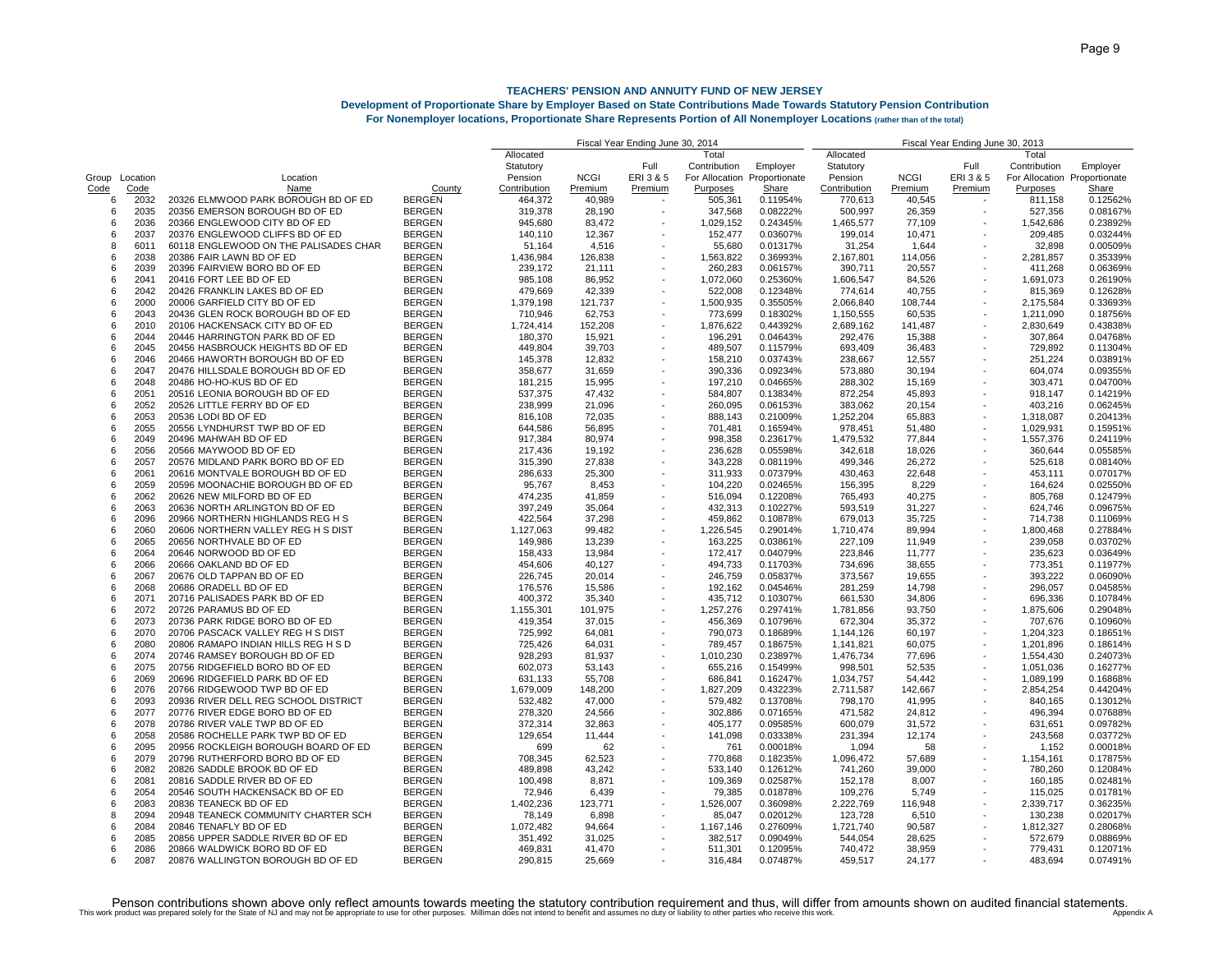## **Development of Proportionate Share by Employer Based on State Contributions Made Towards Statutory Pension Contribution**

**For Nonemployer locations, Proportionate Share Represents Portion of All Nonemployer Locations (rather than of the total)**

|       |          |                                       |               | 2013<br>Fiscal Year Ending June 30, |             |                          |                              |          |              |             |                                                      |                              |          |
|-------|----------|---------------------------------------|---------------|-------------------------------------|-------------|--------------------------|------------------------------|----------|--------------|-------------|------------------------------------------------------|------------------------------|----------|
|       |          |                                       |               | Allocated                           |             |                          | Total                        |          | Allocated    |             |                                                      | Total                        |          |
|       |          |                                       |               | Statutory                           |             | Full                     | Contribution                 | Employer | Statutory    |             | Full                                                 | Contribution                 | Employer |
| Group | Location | Location                              |               | Pension                             | <b>NCGI</b> | ERI 3 & 5                | For Allocation Proportionate |          | Pension      | <b>NCGI</b> | ERI 3 & 5                                            | For Allocation Proportionate |          |
| Code  | Code     | Name                                  | County        | Contribution                        | Premium     | Premium                  | Purposes                     | Share    | Contribution | Premium     | Premium                                              | Purposes                     | Share    |
| 6     | 2032     | 20326 ELMWOOD PARK BOROUGH BD OF ED   | <b>BERGEN</b> | 464,372                             | 40.989      |                          | 505,361                      | 0.11954% | 770,613      | 40,545      |                                                      | 811,158                      | 0.12562% |
| 6     | 2035     | 20356 EMERSON BOROUGH BD OF ED        | <b>BERGEN</b> | 319,378                             | 28,190      |                          | 347,568                      | 0.08222% | 500,997      | 26,359      |                                                      | 527,356                      | 0.08167% |
| 6     | 2036     | 20366 ENGLEWOOD CITY BD OF ED         | <b>BERGEN</b> | 945,680                             | 83,472      |                          | 1,029,152                    | 0.24345% | 1,465,577    | 77,109      |                                                      | 1,542,686                    | 0.23892% |
| 6     | 2037     | 20376 ENGLEWOOD CLIFFS BD OF ED       | <b>BERGEN</b> | 140,110                             | 12,367      |                          | 152,477                      | 0.03607% | 199,014      | 10,471      |                                                      | 209,485                      | 0.03244% |
| 8     | 6011     | 60118 ENGLEWOOD ON THE PALISADES CHAR | <b>BERGEN</b> | 51.164                              | 4.516       |                          | 55.680                       | 0.01317% | 31,254       | 1,644       |                                                      | 32.898                       | 0.00509% |
| 6     | 2038     | 20386 FAIR LAWN BD OF ED              | <b>BERGEN</b> | 1,436,984                           | 126,838     |                          | 1,563,822                    | 0.36993% | 2,167,801    | 114,056     | $\overline{\phantom{a}}$                             | 2,281,857                    | 0.35339% |
| 6     | 2039     | 20396 FAIRVIEW BORO BD OF ED          | <b>BERGEN</b> | 239,172                             | 21,111      |                          | 260,283                      | 0.06157% | 390,711      | 20,557      |                                                      | 411,268                      | 0.06369% |
| 6     | 2041     | 20416 FORT LEE BD OF ED               | <b>BERGEN</b> | 985,108                             | 86,952      |                          | 1,072,060                    | 0.25360% | 1,606,547    | 84,526      |                                                      | 1,691,073                    | 0.26190% |
| 6     | 2042     | 20426 FRANKLIN LAKES BD OF ED         | <b>BERGEN</b> | 479,669                             | 42,339      |                          | 522,008                      | 0.12348% | 774,614      | 40,755      |                                                      | 815,369                      | 0.12628% |
| 6     | 2000     | 20006 GARFIELD CITY BD OF ED          | <b>BERGEN</b> | 1,379,198                           | 121,737     |                          | 1,500,935                    | 0.35505% | 2,066,840    | 108,744     |                                                      | 2,175,584                    | 0.33693% |
| 6     | 2043     | 20436 GLEN ROCK BOROUGH BD OF ED      | <b>BERGEN</b> | 710,946                             | 62,753      |                          | 773,699                      | 0.18302% | 1,150,555    | 60,535      | ٠                                                    | 1,211,090                    | 0.18756% |
| 6     | 2010     | 20106 HACKENSACK CITY BD OF ED        | <b>BERGEN</b> | 1,724,414                           | 152,208     |                          | 1,876,622                    | 0.44392% | 2,689,162    | 141,487     |                                                      | 2,830,649                    | 0.43838% |
| 6     | 2044     | 20446 HARRINGTON PARK BD OF ED        | <b>BERGEN</b> | 180,370                             | 15,921      |                          | 196,291                      | 0.04643% | 292,476      | 15,388      |                                                      | 307,864                      | 0.04768% |
| 6     | 2045     | 20456 HASBROUCK HEIGHTS BD OF ED      | <b>BERGEN</b> |                                     | 39,703      |                          | 489,507                      | 0.11579% | 693,409      |             |                                                      | 729,892                      | 0.11304% |
|       |          |                                       |               | 449,804                             |             |                          |                              |          |              | 36,483      |                                                      |                              |          |
| 6     | 2046     | 20466 HAWORTH BOROUGH BD OF ED        | <b>BERGEN</b> | 145,378                             | 12,832      |                          | 158,210                      | 0.03743% | 238,667      | 12,557      |                                                      | 251,224                      | 0.03891% |
| 6     | 2047     | 20476 HILLSDALE BOROUGH BD OF ED      | <b>BERGEN</b> | 358,677                             | 31,659      |                          | 390,336                      | 0.09234% | 573,880      | 30,194      |                                                      | 604,074                      | 0.09355% |
| 6     | 2048     | 20486 HO-HO-KUS BD OF ED              | <b>BERGEN</b> | 181,215                             | 15,995      | $\overline{\phantom{a}}$ | 197,210                      | 0.04665% | 288,302      | 15,169      |                                                      | 303,471                      | 0.04700% |
| 6     | 2051     | 20516 LEONIA BOROUGH BD OF ED         | <b>BERGEN</b> | 537,375                             | 47,432      |                          | 584,807                      | 0.13834% | 872,254      | 45,893      |                                                      | 918,147                      | 0.14219% |
| 6     | 2052     | 20526 LITTLE FERRY BD OF ED           | <b>BERGEN</b> | 238,999                             | 21,096      |                          | 260,095                      | 0.06153% | 383,062      | 20,154      |                                                      | 403,216                      | 0.06245% |
| 6     | 2053     | 20536 LODI BD OF ED                   | <b>BERGEN</b> | 816,108                             | 72,035      |                          | 888,143                      | 0.21009% | 1,252,204    | 65,883      | $\overline{\phantom{a}}$                             | 1,318,087                    | 0.20413% |
| 6     | 2055     | 20556 LYNDHURST TWP BD OF ED          | <b>BERGEN</b> | 644,586                             | 56,895      |                          | 701,481                      | 0.16594% | 978,451      | 51,480      |                                                      | 1,029,931                    | 0.15951% |
| 6     | 2049     | 20496 MAHWAH BD OF ED                 | <b>BERGEN</b> | 917,384                             | 80,974      |                          | 998,358                      | 0.23617% | 1,479,532    | 77,844      |                                                      | 1,557,376                    | 0.24119% |
| 6     | 2056     | 20566 MAYWOOD BD OF ED                | <b>BERGEN</b> | 217,436                             | 19,192      |                          | 236,628                      | 0.05598% | 342,618      | 18,026      |                                                      | 360,644                      | 0.05585% |
| 6     | 2057     | 20576 MIDLAND PARK BORO BD OF ED      | <b>BERGEN</b> | 315,390                             | 27,838      |                          | 343,228                      | 0.08119% | 499,346      | 26,272      |                                                      | 525,618                      | 0.08140% |
| 6     | 2061     | 20616 MONTVALE BOROUGH BD OF ED       | <b>BERGEN</b> | 286,633                             | 25,300      |                          | 311,933                      | 0.07379% | 430,463      | 22,648      |                                                      | 453,111                      | 0.07017% |
| 6     | 2059     | 20596 MOONACHIE BOROUGH BD OF ED      | <b>BERGEN</b> | 95,767                              | 8,453       |                          | 104,220                      | 0.02465% | 156,395      | 8,229       |                                                      | 164,624                      | 0.02550% |
| 6     | 2062     | 20626 NEW MILFORD BD OF ED            | <b>BERGEN</b> | 474,235                             | 41,859      |                          | 516,094                      | 0.12208% | 765,493      | 40,275      |                                                      | 805,768                      | 0.12479% |
| 6     | 2063     | 20636 NORTH ARLINGTON BD OF ED        | <b>BERGEN</b> | 397,249                             | 35,064      |                          | 432,313                      | 0.10227% | 593,519      | 31,227      |                                                      | 624,746                      | 0.09675% |
| 6     | 2096     | 20966 NORTHERN HIGHLANDS REG H S      | <b>BERGEN</b> | 422,564                             | 37,298      |                          | 459,862                      | 0.10878% | 679,013      | 35,725      |                                                      | 714,738                      | 0.11069% |
| 6     | 2060     | 20606 NORTHERN VALLEY REG H S DIST    | <b>BERGEN</b> | 1,127,063                           | 99.482      |                          | 1,226,545                    | 0.29014% | 1,710,474    | 89,994      |                                                      | 1,800,468                    | 0.27884% |
| 6     | 2065     | 20656 NORTHVALE BD OF ED              | <b>BERGEN</b> | 149,986                             | 13,239      |                          | 163,225                      | 0.03861% | 227,109      | 11,949      |                                                      | 239,058                      | 0.03702% |
| 6     | 2064     | 20646 NORWOOD BD OF ED                | <b>BERGEN</b> | 158,433                             | 13,984      |                          | 172,417                      | 0.04079% | 223,846      | 11,777      |                                                      | 235,623                      | 0.03649% |
| 6     | 2066     | 20666 OAKLAND BD OF ED                | <b>BERGEN</b> | 454,606                             | 40,127      |                          | 494,733                      | 0.11703% | 734,696      | 38,655      |                                                      | 773,351                      | 0.11977% |
| 6     | 2067     | 20676 OLD TAPPAN BD OF ED             | <b>BERGEN</b> | 226,745                             | 20,014      |                          | 246,759                      | 0.05837% | 373,567      | 19,655      |                                                      | 393,222                      | 0.06090% |
| 6     | 2068     | 20686 ORADELL BD OF ED                | <b>BERGEN</b> | 176,576                             | 15,586      |                          | 192,162                      | 0.04546% | 281,259      | 14,798      |                                                      | 296,057                      | 0.04585% |
| 6     | 2071     | 20716 PALISADES PARK BD OF ED         | <b>BERGEN</b> | 400,372                             | 35,340      |                          | 435,712                      | 0.10307% | 661,530      | 34,806      |                                                      | 696,336                      | 0.10784% |
| 6     | 2072     | 20726 PARAMUS BD OF ED                | <b>BERGEN</b> | 1,155,301                           | 101,975     |                          | 1,257,276                    | 0.29741% | 1,781,856    | 93,750      |                                                      | 1,875,606                    | 0.290489 |
| 6     | 2073     | 20736 PARK RIDGE BORO BD OF ED        | <b>BERGEN</b> | 419,354                             | 37,015      |                          | 456,369                      | 0.10796% | 672,304      | 35,372      |                                                      | 707,676                      | 0.10960% |
| 6     | 2070     | 20706 PASCACK VALLEY REG H S DIST     | <b>BERGEN</b> | 725,992                             | 64,081      |                          | 790,073                      | 0.18689% | 1,144,126    | 60,197      |                                                      | 1,204,323                    | 0.18651% |
| 6     | 2080     |                                       |               |                                     |             |                          |                              |          |              |             | $\overline{\phantom{a}}$<br>$\overline{\phantom{a}}$ |                              |          |
|       |          | 20806 RAMAPO INDIAN HILLS REG H S D   | <b>BERGEN</b> | 725,426                             | 64,031      |                          | 789,457                      | 0.18675% | 1,141,821    | 60,075      |                                                      | 1,201,896                    | 0.18614% |
| 6     | 2074     | 20746 RAMSEY BOROUGH BD OF ED         | <b>BERGEN</b> | 928,293                             | 81,937      |                          | 1,010,230                    | 0.23897% | 1,476,734    | 77,696      |                                                      | 1,554,430                    | 0.24073% |
| 6     | 2075     | 20756 RIDGEFIELD BORO BD OF ED        | <b>BERGEN</b> | 602,073                             | 53,143      |                          | 655,216                      | 0.15499% | 998,501      | 52,535      |                                                      | 1,051,036                    | 0.16277% |
| 6     | 2069     | 20696 RIDGEFIELD PARK BD OF ED        | <b>BERGEN</b> | 631,133                             | 55.708      |                          | 686,841                      | 0.16247% | 1,034,757    | 54,442      |                                                      | 1,089,199                    | 0.16868% |
| 6     | 2076     | 20766 RIDGEWOOD TWP BD OF ED          | <b>BERGEN</b> | 1,679,009                           | 148,200     |                          | 1,827,209                    | 0.43223% | 2,711,587    | 142,667     |                                                      | 2,854,254                    | 0.44204% |
| 6     | 2093     | 20936 RIVER DELL REG SCHOOL DISTRICT  | <b>BERGEN</b> | 532,482                             | 47,000      |                          | 579,482                      | 0.13708% | 798,170      | 41,995      |                                                      | 840,165                      | 0.13012% |
| 6     | 2077     | 20776 RIVER EDGE BORO BD OF ED        | <b>BERGEN</b> | 278.320                             | 24.566      |                          | 302,886                      | 0.07165% | 471,582      | 24,812      |                                                      | 496.394                      | 0.07688% |
| 6     | 2078     | 20786 RIVER VALE TWP BD OF ED         | <b>BERGEN</b> | 372,314                             | 32,863      |                          | 405,177                      | 0.09585% | 600,079      | 31,572      |                                                      | 631.651                      | 0.09782% |
| 6     | 2058     | 20586 ROCHELLE PARK TWP BD OF ED      | <b>BERGEN</b> | 129,654                             | 11,444      |                          | 141,098                      | 0.03338% | 231,394      | 12,174      |                                                      | 243,568                      | 0.03772% |
| 6     | 2095     | 20956 ROCKLEIGH BOROUGH BOARD OF ED   | <b>BERGEN</b> | 699                                 | 62          |                          | 761                          | 0.00018% | 1,094        | 58          |                                                      | 1,152                        | 0.00018% |
| 6     | 2079     | 20796 RUTHERFORD BORO BD OF ED        | <b>BERGEN</b> | 708,345                             | 62,523      |                          | 770,868                      | 0.18235% | 1,096,472    | 57,689      |                                                      | 1,154,161                    | 0.17875% |
| 6     | 2082     | 20826 SADDLE BROOK BD OF ED           | <b>BERGEN</b> | 489,898                             | 43,242      |                          | 533,140                      | 0.12612% | 741,260      | 39,000      |                                                      | 780,260                      | 0.12084% |
| 6     | 2081     | 20816 SADDLE RIVER BD OF ED           | <b>BERGEN</b> | 100,498                             | 8,871       |                          | 109,369                      | 0.02587% | 152,178      | 8,007       |                                                      | 160,185                      | 0.02481% |
| 6     | 2054     | 20546 SOUTH HACKENSACK BD OF ED       | <b>BERGEN</b> | 72.946                              | 6.439       |                          | 79,385                       | 0.01878% | 109.276      | 5.749       |                                                      | 115.025                      | 0.01781% |
| 6     | 2083     | 20836 TEANECK BD OF ED                | <b>BERGEN</b> | 1,402,236                           | 123,771     |                          | 1,526,007                    | 0.36098% | 2,222,769    | 116,948     |                                                      | 2,339,717                    | 0.36235% |
| 8     | 2094     | 20948 TEANECK COMMUNITY CHARTER SCH   | <b>BERGEN</b> | 78,149                              | 6,898       |                          | 85,047                       | 0.02012% | 123,728      | 6,510       |                                                      | 130,238                      | 0.02017% |
| 6     | 2084     | 20846 TENAFLY BD OF ED                | <b>BERGEN</b> | 1,072,482                           | 94.664      |                          | 1,167,146                    | 0.27609% | 1,721,740    | 90,587      |                                                      | 1,812,327                    | 0.28068% |
| 6     | 2085     | 20856 UPPER SADDLE RIVER BD OF ED     | <b>BERGEN</b> | 351,492                             | 31,025      |                          | 382,517                      | 0.09049% | 544,054      | 28,625      |                                                      | 572,679                      | 0.08869% |
| 6     | 2086     | 20866 WALDWICK BORO BD OF ED          | <b>BERGEN</b> | 469,831                             | 41,470      |                          | 511,301                      | 0.12095% | 740,472      | 38,959      |                                                      | 779,431                      | 0.12071% |
| 6     | 2087     | 20876 WALLINGTON BOROUGH BD OF ED     | <b>BERGEN</b> | 290.815                             | 25.669      |                          | 316.484                      | 0.07487% | 459.517      | 24.177      |                                                      | 483.694                      | 0.07491% |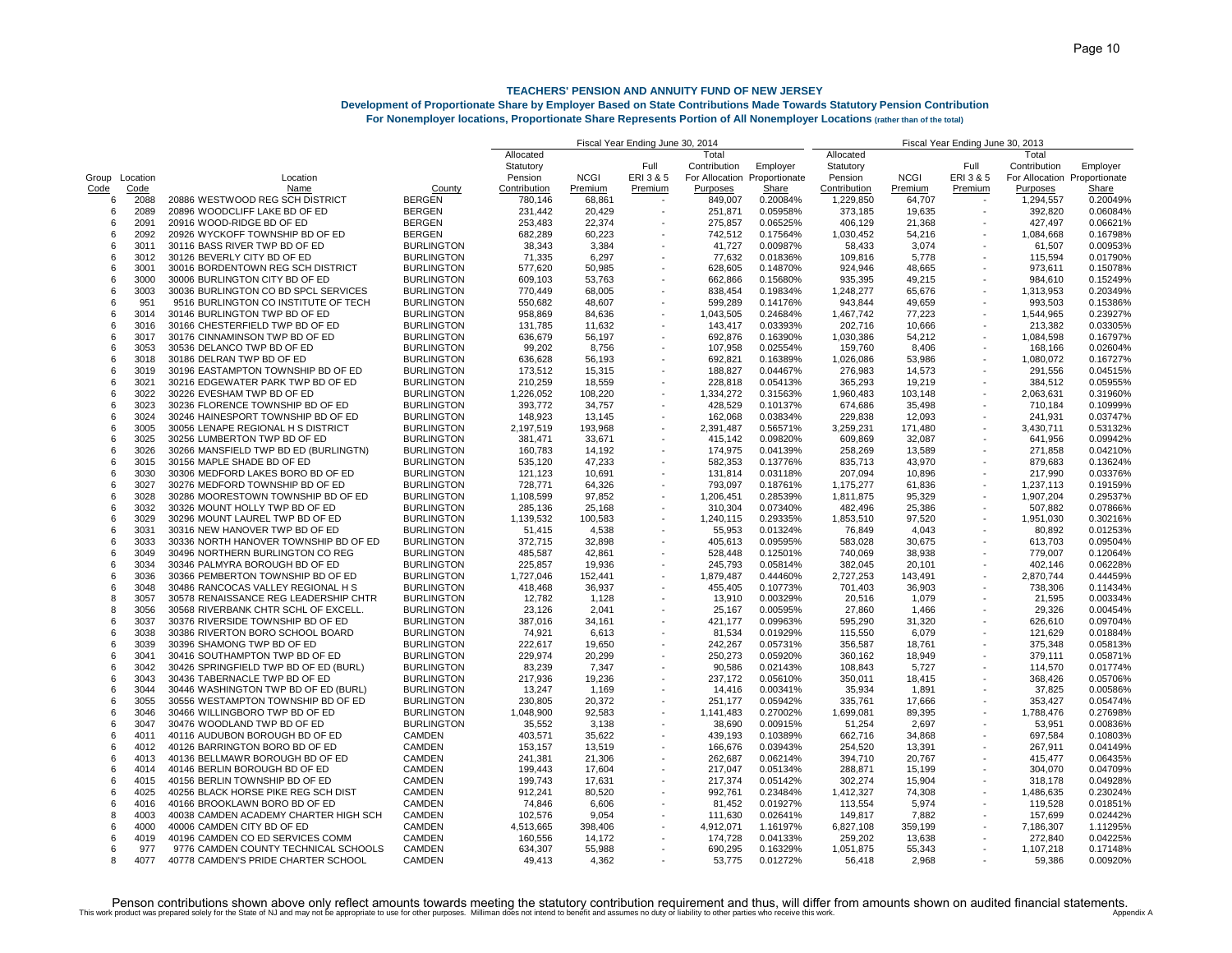## **Development of Proportionate Share by Employer Based on State Contributions Made Towards Statutory Pension Contribution**

| <b>For Nonemployer locations, Proportionate Share Represents Portion of All Nonemployer Locations (rather than of the total)</b> |  |  |  |  |  |  |  |  |  |  |
|----------------------------------------------------------------------------------------------------------------------------------|--|--|--|--|--|--|--|--|--|--|
|----------------------------------------------------------------------------------------------------------------------------------|--|--|--|--|--|--|--|--|--|--|

|      |                |                                       |                   |              |             | Fiscal Year Ending June 30, | 201۰ ،         | Fiscal Year Ending June 30, 2013 |                      |                  |                          |                              |          |
|------|----------------|---------------------------------------|-------------------|--------------|-------------|-----------------------------|----------------|----------------------------------|----------------------|------------------|--------------------------|------------------------------|----------|
|      |                |                                       |                   | Allocated    |             |                             | Total          |                                  | Allocated            |                  |                          | Total                        |          |
|      |                |                                       |                   | Statutory    |             | Full                        | Contribution   | Employer                         | Statutory            |                  | Full                     | Contribution                 | Employer |
|      | Group Location | Location                              |                   | Pension      | <b>NCGI</b> | ERI 3 & 5                   | For Allocation | Proportionate                    | Pension              | <b>NCGI</b>      | ERI 3 & 5                | For Allocation Proportionate |          |
| Code | Code           | Name                                  | County            | Contribution | Premium     | Premium                     | Purposes       | Share                            | Contribution         | Premium          | Premium                  | Purposes                     | Share    |
| 6    | 2088           | 20886 WESTWOOD REG SCH DISTRICT       | <b>BERGEN</b>     | 780,146      | 68.861      |                             | 849,007        | 0.20084%                         | 1,229,850            | 64,707           |                          | 1,294,557                    | 0.20049% |
| 6    | 2089           | 20896 WOODCLIFF LAKE BD OF ED         | <b>BERGEN</b>     | 231,442      | 20,429      |                             | 251,871        | 0.05958%                         | 373,185              | 19,635           |                          | 392,820                      | 0.06084% |
| 6    | 2091           | 20916 WOOD-RIDGE BD OF ED             | <b>BERGEN</b>     | 253,483      | 22,374      |                             | 275,857        | 0.06525%                         | 406,129              | 21,368           |                          | 427,497                      | 0.06621% |
| 6    | 2092           | 20926 WYCKOFF TOWNSHIP BD OF ED       | <b>BERGEN</b>     | 682,289      | 60,223      |                             | 742,512        | 0.17564%                         | 1,030,452            | 54,216           |                          | 1,084,668                    | 0.16798% |
| 6    | 3011           | 30116 BASS RIVER TWP BD OF ED         | <b>BURLINGTON</b> | 38,343       | 3.384       |                             | 41,727         | 0.00987%                         | 58,433               | 3,074            |                          | 61,507                       | 0.00953% |
| 6    | 3012           | 30126 BEVERLY CITY BD OF ED           | <b>BURLINGTON</b> | 71,335       | 6,297       |                             | 77,632         | 0.01836%                         | 109,816              | 5,778            |                          | 115,594                      | 0.01790% |
| 6    | 3001           | 30016 BORDENTOWN REG SCH DISTRICT     | <b>BURLINGTON</b> | 577,620      | 50,985      |                             | 628,605        | 0.14870%                         | 924,946              | 48,665           |                          | 973,611                      | 0.15078% |
| 6    | 3000           | 30006 BURLINGTON CITY BD OF ED        | <b>BURLINGTON</b> | 609,103      | 53,763      |                             | 662,866        | 0.15680%                         | 935,395              | 49,215           |                          | 984,610                      | 0.15249% |
| 6    | 3003           | 30036 BURLINGTON CO BD SPCL SERVICES  | <b>BURLINGTON</b> |              | 68,005      |                             | 838,454        |                                  |                      |                  | $\overline{\phantom{a}}$ | 1,313,953                    | 0.20349% |
| 6    | 951            | 9516 BURLINGTON CO INSTITUTE OF TECH  | <b>BURLINGTON</b> | 770,449      | 48,607      |                             | 599,289        | 0.19834%<br>0.14176%             | 1,248,277<br>943,844 | 65,676<br>49,659 |                          | 993,503                      | 0.15386% |
| ĥ    |                |                                       |                   | 550,682      |             |                             |                |                                  |                      |                  | $\sim$                   |                              |          |
|      | 3014           | 30146 BURLINGTON TWP BD OF ED         | <b>BURLINGTON</b> | 958,869      | 84,636      |                             | 1,043,505      | 0.24684%                         | 1,467,742            | 77,223           |                          | 1,544,965                    | 0.23927% |
| 6    | 3016           | 30166 CHESTERFIELD TWP BD OF ED       | <b>BURLINGTON</b> | 131,785      | 11.632      |                             | 143,417        | 0.03393%                         | 202,716              | 10,666           |                          | 213,382                      | 0.03305% |
| 6    | 3017           | 30176 CINNAMINSON TWP BD OF ED        | <b>BURLINGTON</b> | 636,679      | 56,197      |                             | 692,876        | 0.16390%                         | 1,030,386            | 54,212           |                          | 1,084,598                    | 0.16797% |
| 6    | 3053           | 30536 DELANCO TWP BD OF ED            | <b>BURLINGTON</b> | 99,202       | 8,756       |                             | 107,958        | 0.02554%                         | 159,760              | 8,406            |                          | 168,166                      | 0.02604% |
| 6    | 3018           | 30186 DELRAN TWP BD OF ED             | <b>BURLINGTON</b> | 636,628      | 56,193      |                             | 692,821        | 0.16389%                         | 1,026,086            | 53,986           |                          | 1,080,072                    | 0.16727% |
| 6    | 3019           | 30196 EASTAMPTON TOWNSHIP BD OF ED    | <b>BURLINGTON</b> | 173,512      | 15,315      |                             | 188,827        | 0.04467%                         | 276,983              | 14,573           |                          | 291,556                      | 0.04515% |
| 6    | 3021           | 30216 EDGEWATER PARK TWP BD OF ED     | <b>BURLINGTON</b> | 210,259      | 18,559      |                             | 228,818        | 0.05413%                         | 365,293              | 19,219           |                          | 384,512                      | 0.05955% |
| ĥ    | 3022           | 30226 EVESHAM TWP BD OF ED            | <b>BURLINGTON</b> | 1,226,052    | 108,220     |                             | 1,334,272      | 0.31563%                         | 1,960,483            | 103,148          |                          | 2,063,631                    | 0.31960% |
| 6    | 3023           | 30236 FLORENCE TOWNSHIP BD OF ED      | <b>BURLINGTON</b> | 393,772      | 34,757      |                             | 428,529        | 0.10137%                         | 674,686              | 35,498           |                          | 710,184                      | 0.10999% |
| 6    | 3024           | 30246 HAINESPORT TOWNSHIP BD OF ED    | <b>BURLINGTON</b> | 148,923      | 13,145      |                             | 162,068        | 0.03834%                         | 229,838              | 12,093           |                          | 241,931                      | 0.03747% |
| 6    | 3005           | 30056 LENAPE REGIONAL H S DISTRICT    | <b>BURLINGTON</b> | 2,197,519    | 193,968     |                             | 2,391,487      | 0.56571%                         | 3,259,231            | 171,480          |                          | 3,430,711                    | 0.53132% |
| 6    | 3025           | 30256 LUMBERTON TWP BD OF ED          | <b>BURLINGTON</b> | 381,471      | 33,671      |                             | 415,142        | 0.09820%                         | 609,869              | 32,087           |                          | 641,956                      | 0.09942% |
| 6    | 3026           | 30266 MANSFIELD TWP BD ED (BURLINGTN) | <b>BURLINGTON</b> | 160,783      | 14,192      |                             | 174,975        | 0.04139%                         | 258,269              | 13,589           |                          | 271,858                      | 0.04210% |
| 6    | 3015           | 30156 MAPLE SHADE BD OF ED            | <b>BURLINGTON</b> | 535,120      | 47,233      |                             | 582,353        | 0.13776%                         | 835,713              | 43,970           |                          | 879,683                      | 0.13624% |
| 6    | 3030           | 30306 MEDFORD LAKES BORO BD OF ED     | <b>BURLINGTON</b> | 121,123      | 10,691      |                             | 131,814        | 0.03118%                         | 207,094              | 10,896           |                          | 217,990                      | 0.03376% |
| 6    | 3027           | 30276 MEDFORD TOWNSHIP BD OF ED       | <b>BURLINGTON</b> | 728,771      | 64,326      |                             | 793,097        | 0.18761%                         | 1,175,277            | 61,836           |                          | 1,237,113                    | 0.19159% |
| 6    | 3028           | 30286 MOORESTOWN TOWNSHIP BD OF ED    | <b>BURLINGTON</b> | 1,108,599    | 97,852      |                             | 1,206,451      | 0.28539%                         | 1,811,875            | 95,329           |                          | 1,907,204                    | 0.29537% |
|      |                |                                       |                   |              |             |                             |                |                                  |                      |                  |                          |                              |          |
| 6    | 3032           | 30326 MOUNT HOLLY TWP BD OF ED        | <b>BURLINGTON</b> | 285,136      | 25,168      |                             | 310,304        | 0.07340%                         | 482,496              | 25,386           |                          | 507,882                      | 0.07866% |
| 6    | 3029           | 30296 MOUNT LAUREL TWP BD OF ED       | <b>BURLINGTON</b> | 1,139,532    | 100,583     |                             | 1,240,115      | 0.29335%                         | 1,853,510            | 97,520           |                          | 1,951,030                    | 0.30216% |
| 6    | 3031           | 30316 NEW HANOVER TWP BD OF ED        | <b>BURLINGTON</b> | 51,415       | 4,538       |                             | 55,953         | 0.01324%                         | 76,849               | 4,043            |                          | 80.892                       | 0.01253% |
| 6    | 3033           | 30336 NORTH HANOVER TOWNSHIP BD OF ED | <b>BURLINGTON</b> | 372,715      | 32,898      |                             | 405,613        | 0.09595%                         | 583,028              | 30,675           |                          | 613,703                      | 0.09504% |
| 6    | 3049           | 30496 NORTHERN BURLINGTON CO REG      | <b>BURLINGTON</b> | 485,587      | 42,861      |                             | 528,448        | 0.12501%                         | 740,069              | 38,938           |                          | 779,007                      | 0.12064% |
| 6    | 3034           | 30346 PALMYRA BOROUGH BD OF ED        | <b>BURLINGTON</b> | 225,857      | 19,936      |                             | 245,793        | 0.05814%                         | 382,045              | 20,101           |                          | 402,146                      | 0.06228% |
| 6    | 3036           | 30366 PEMBERTON TOWNSHIP BD OF ED     | <b>BURLINGTON</b> | 1,727,046    | 152,441     |                             | 1,879,487      | 0.44460%                         | 2,727,253            | 143,491          |                          | 2,870,744                    | 0.44459% |
| 6    | 3048           | 30486 RANCOCAS VALLEY REGIONAL H S    | <b>BURLINGTON</b> | 418,468      | 36,937      |                             | 455,405        | 0.10773%                         | 701,403              | 36,903           |                          | 738,306                      | 0.11434% |
| 8    | 3057           | 30578 RENAISSANCE REG LEADERSHIP CHTR | <b>BURLINGTON</b> | 12,782       | 1,128       |                             | 13,910         | 0.00329%                         | 20,516               | 1,079            |                          | 21,595                       | 0.00334% |
| 8    | 3056           | 30568 RIVERBANK CHTR SCHL OF EXCELL   | <b>BURLINGTON</b> | 23,126       | 2,041       |                             | 25,167         | 0.00595%                         | 27,860               | 1,466            |                          | 29,326                       | 0.00454% |
| 6    | 3037           | 30376 RIVERSIDE TOWNSHIP BD OF ED     | <b>BURLINGTON</b> | 387,016      | 34,161      |                             | 421,177        | 0.09963%                         | 595,290              | 31,320           |                          | 626,610                      | 0.09704% |
| 6    | 3038           | 30386 RIVERTON BORO SCHOOL BOARD      | <b>BURLINGTON</b> | 74,921       | 6,613       |                             | 81,534         | 0.01929%                         | 115,550              | 6,079            |                          | 121,629                      | 0.01884% |
| 6    | 3039           | 30396 SHAMONG TWP BD OF ED            | <b>BURLINGTON</b> | 222,617      | 19,650      |                             | 242,267        | 0.05731%                         | 356,587              | 18,761           |                          | 375,348                      | 0.05813% |
| 6    | 3041           | 30416 SOUTHAMPTON TWP BD OF ED        | <b>BURLINGTON</b> | 229,974      | 20,299      |                             | 250,273        | 0.05920%                         | 360,162              | 18,949           |                          | 379,111                      | 0.05871% |
| 6    | 3042           | 30426 SPRINGFIELD TWP BD OF ED (BURL) | <b>BURLINGTON</b> | 83,239       | 7,347       |                             | 90,586         | 0.02143%                         | 108,843              | 5,727            |                          | 114,570                      | 0.01774% |
| 6    | 3043           | 30436 TABERNACLE TWP BD OF ED         | <b>BURLINGTON</b> | 217,936      | 19.236      |                             | 237.172        | 0.05610%                         | 350.011              | 18,415           |                          | 368,426                      | 0.05706% |
| 6    | 3044           | 30446 WASHINGTON TWP BD OF ED (BURL)  | <b>BURLINGTON</b> | 13,247       | 1,169       |                             | 14,416         | 0.00341%                         | 35,934               | 1,891            |                          | 37,825                       | 0.00586% |
| 6    | 3055           | 30556 WESTAMPTON TOWNSHIP BD OF ED    | <b>BURLINGTON</b> | 230,805      | 20,372      |                             | 251,177        | 0.05942%                         | 335,761              | 17,666           |                          | 353,427                      | 0.05474% |
| 6    | 3046           | 30466 WILLINGBORO TWP BD OF ED        | <b>BURLINGTON</b> | 1,048,900    | 92.583      |                             | 1,141,483      | 0.27002%                         | 1,699,081            | 89,395           |                          | 1,788,476                    | 0.27698% |
| 6    | 3047           | 30476 WOODLAND TWP BD OF ED           | <b>BURLINGTON</b> | 35,552       | 3,138       |                             | 38,690         | 0.00915%                         | 51,254               | 2,697            |                          | 53,951                       | 0.00836% |
| 6    | 4011           | 40116 AUDUBON BOROUGH BD OF ED        | <b>CAMDEN</b>     | 403,571      | 35,622      |                             | 439,193        | 0.10389%                         | 662,716              | 34,868           |                          | 697,584                      | 0.10803% |
|      |                |                                       |                   |              |             |                             |                |                                  |                      |                  |                          |                              |          |
| ĥ    | 4012           | 40126 BARRINGTON BORO BD OF ED        | <b>CAMDEN</b>     | 153,157      | 13,519      |                             | 166,676        | 0.03943%                         | 254,520              | 13,391           |                          | 267,911                      | 0.04149% |
| 6    | 4013           | 40136 BELLMAWR BOROUGH BD OF ED       | CAMDEN            | 241,381      | 21,306      |                             | 262,687        | 0.06214%                         | 394,710              | 20,767           |                          | 415,477                      | 0.06435% |
| 6    | 4014           | 40146 BERLIN BOROUGH BD OF ED         | <b>CAMDEN</b>     | 199,443      | 17,604      |                             | 217,047        | 0.05134%                         | 288,871              | 15,199           |                          | 304,070                      | 0.04709% |
| 6    | 4015           | 40156 BERLIN TOWNSHIP BD OF ED        | CAMDEN            | 199,743      | 17,631      |                             | 217,374        | 0.05142%                         | 302,274              | 15,904           |                          | 318,178                      | 0.04928% |
| 6    | 4025           | 40256 BLACK HORSE PIKE REG SCH DIST   | <b>CAMDEN</b>     | 912,241      | 80.520      |                             | 992,761        | 0.23484%                         | 1,412,327            | 74,308           |                          | 1,486,635                    | 0.23024% |
| 6    | 4016           | 40166 BROOKLAWN BORO BD OF ED         | <b>CAMDEN</b>     | 74,846       | 6,606       |                             | 81,452         | 0.01927%                         | 113,554              | 5,974            |                          | 119,528                      | 0.01851% |
| 8    | 4003           | 40038 CAMDEN ACADEMY CHARTER HIGH SCH | CAMDEN            | 102,576      | 9,054       |                             | 111,630        | 0.02641%                         | 149,817              | 7,882            |                          | 157,699                      | 0.02442% |
| ĥ    | 4000           | 40006 CAMDEN CITY BD OF ED            | <b>CAMDEN</b>     | 4,513,665    | 398,406     |                             | 4,912,071      | 1.16197%                         | 6,827,108            | 359,199          |                          | 7,186,307                    | 1.11295% |
| 6    | 4019           | 40196 CAMDEN CO ED SERVICES COMM      | <b>CAMDEN</b>     | 160,556      | 14,172      |                             | 174,728        | 0.04133%                         | 259,202              | 13,638           |                          | 272,840                      | 0.04225% |
| 6    | 977            | 9776 CAMDEN COUNTY TECHNICAL SCHOOLS  | <b>CAMDEN</b>     | 634,307      | 55,988      |                             | 690,295        | 0.16329%                         | 1,051,875            | 55,343           |                          | 1,107,218                    | 0.17148% |
| 8    | 4077           | 40778 CAMDEN'S PRIDE CHARTER SCHOOL   | <b>CAMDEN</b>     | 49.413       | 4.362       |                             | 53.775         | 0.01272%                         | 56.418               | 2.968            |                          | 59.386                       | 0.00920% |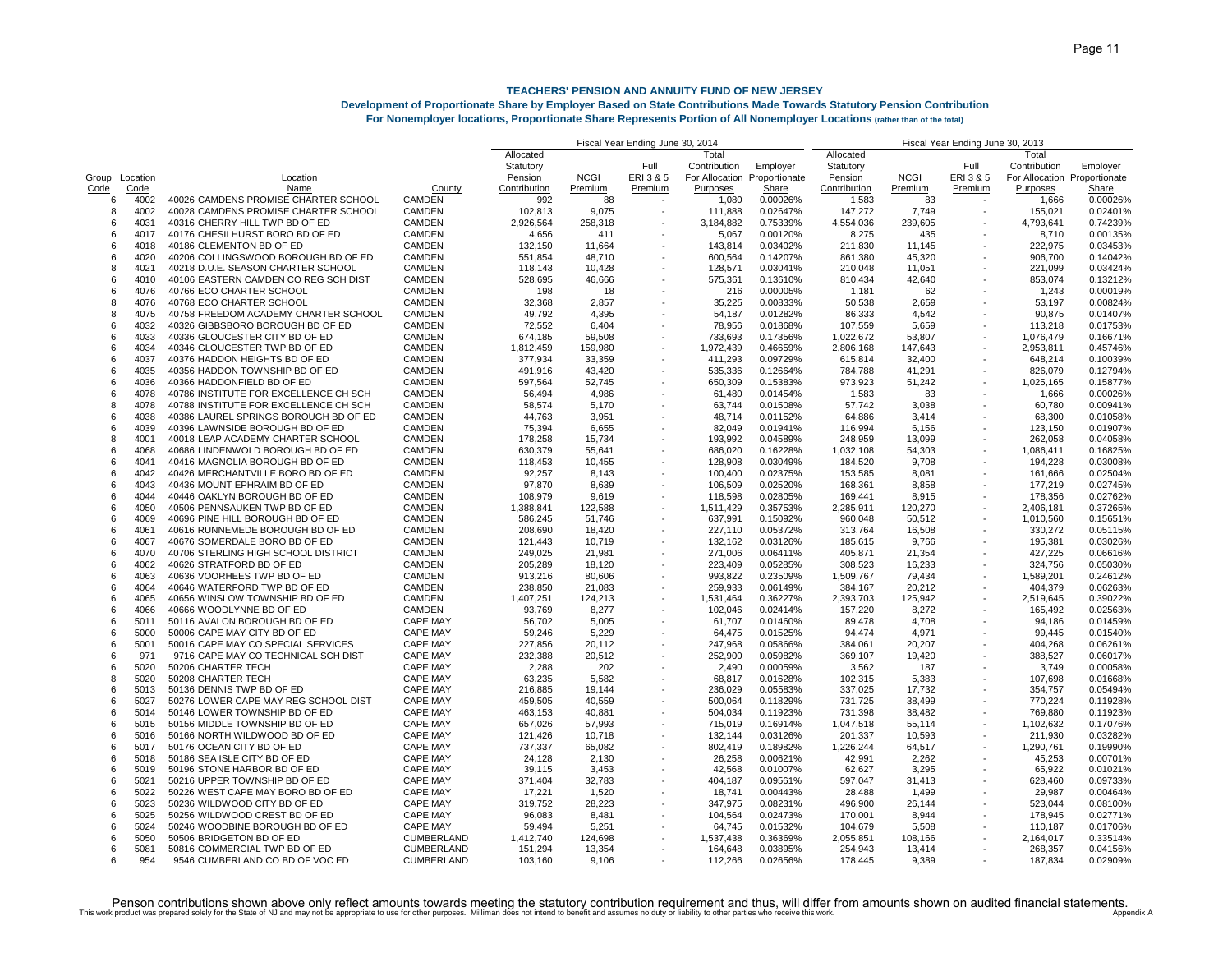## **Development of Proportionate Share by Employer Based on State Contributions Made Towards Statutory Pension Contribution**

**For Nonemployer locations, Proportionate Share Represents Portion of All Nonemployer Locations (rather than of the total)**

|                |      |                                       |                   |              |             | Fiscal Year Ending June 30, 2014 |              |                              | Fiscal Year Ending June 30, 2013 |             |                          |                              |              |
|----------------|------|---------------------------------------|-------------------|--------------|-------------|----------------------------------|--------------|------------------------------|----------------------------------|-------------|--------------------------|------------------------------|--------------|
|                |      |                                       |                   | Allocated    |             |                                  | Total        |                              | Allocated                        |             |                          | Total                        |              |
|                |      |                                       |                   | Statutory    |             | Full                             | Contribution | Employer                     | Statutory                        |             | Full                     | Contribution                 | Employer     |
| Group Location |      | Location                              |                   | Pension      | <b>NCGI</b> | ERI3&5                           |              | For Allocation Proportionate | Pension                          | <b>NCGI</b> | ERI3&5                   | For Allocation Proportionate |              |
| Code           | Code | Name                                  | County            | Contribution | Premium     | Premium                          | Purposes     | Share                        | Contribution                     | Premium     | Premium                  | Purposes                     | <b>Share</b> |
| 6              | 4002 | 40026 CAMDENS PROMISE CHARTER SCHOOL  | <b>CAMDEN</b>     | 992          | 88          |                                  | 1,080        | 0.00026%                     | 1,583                            | 83          |                          | 1,666                        | 0.00026%     |
| 8              | 4002 | 40028 CAMDENS PROMISE CHARTER SCHOOL  | <b>CAMDEN</b>     | 102,813      | 9,075       |                                  | 111,888      | 0.02647%                     | 147,272                          | 7,749       |                          | 155,021                      | 0.02401%     |
| 6              | 4031 | 40316 CHERRY HILL TWP BD OF ED        | <b>CAMDEN</b>     | 2,926,564    | 258,318     |                                  | 3,184,882    | 0.75339%                     | 4,554,036                        | 239,605     |                          | 4,793,641                    | 0.74239%     |
| 6              | 4017 | 40176 CHESILHURST BORO BD OF ED       | CAMDEN            | 4,656        | 411         |                                  | 5,067        | 0.00120%                     | 8,275                            | 435         |                          | 8,710                        | 0.00135%     |
| ĥ              | 4018 | 40186 CLEMENTON BD OF ED              | <b>CAMDEN</b>     | 132,150      | 11,664      |                                  | 143,814      | 0.03402%                     | 211,830                          | 11,145      |                          | 222.975                      | 0.03453%     |
|                |      |                                       |                   |              |             |                                  |              |                              |                                  |             |                          |                              | 0.14042%     |
| 6              | 4020 | 40206 COLLINGSWOOD BOROUGH BD OF ED   | <b>CAMDEN</b>     | 551,854      | 48,710      |                                  | 600,564      | 0.14207%                     | 861,380                          | 45,320      |                          | 906,700                      |              |
| 8              | 4021 | 40218 D.U.E. SEASON CHARTER SCHOOL    | <b>CAMDEN</b>     | 118,143      | 10,428      |                                  | 128,571      | 0.03041%                     | 210,048                          | 11,051      |                          | 221,099                      | 0.03424%     |
| ĥ              | 4010 | 40106 EASTERN CAMDEN CO REG SCH DIST  | <b>CAMDEN</b>     | 528,695      | 46,666      |                                  | 575,361      | 0.13610%                     | 810,434                          | 42,640      |                          | 853,074                      | 0.13212%     |
| 6              | 4076 | 40766 ECO CHARTER SCHOOL              | <b>CAMDEN</b>     | 198          | 18          |                                  | 216          | 0.00005%                     | 1,181                            | 62          |                          | 1.243                        | 0.00019%     |
| 8              | 4076 | 40768 ECO CHARTER SCHOOL              | CAMDEN            | 32,368       | 2,857       |                                  | 35,225       | 0.00833%                     | 50,538                           | 2,659       |                          | 53,197                       | 0.00824%     |
| 8              | 4075 | 40758 FREEDOM ACADEMY CHARTER SCHOOL  | CAMDEN            | 49,792       | 4,395       |                                  | 54,187       | 0.01282%                     | 86,333                           | 4,542       |                          | 90,875                       | 0.01407%     |
| ĥ              | 4032 | 40326 GIBBSBORO BOROUGH BD OF ED      | <b>CAMDEN</b>     | 72,552       | 6.404       |                                  | 78,956       | 0.01868%                     | 107,559                          | 5,659       |                          | 113,218                      | 0.01753%     |
| 6              | 4033 | 40336 GLOUCESTER CITY BD OF ED        | <b>CAMDEN</b>     | 674,185      | 59,508      |                                  | 733,693      | 0.17356%                     | 1,022,672                        | 53,807      |                          | 1,076,479                    | 0.16671%     |
| 6              | 4034 | 40346 GLOUCESTER TWP BD OF ED         | <b>CAMDEN</b>     | 1,812,459    | 159,980     |                                  | 1,972,439    | 0.46659%                     | 2,806,168                        | 147,643     |                          | 2,953,811                    | 0.45746%     |
| ĥ              | 4037 | 40376 HADDON HEIGHTS BD OF ED         | <b>CAMDEN</b>     | 377,934      | 33,359      |                                  | 411,293      | 0.09729%                     | 615,814                          | 32,400      |                          | 648,214                      | 0.10039%     |
| 6              | 4035 | 40356 HADDON TOWNSHIP BD OF ED        | <b>CAMDEN</b>     | 491.916      | 43.420      |                                  | 535,336      | 0.12664%                     | 784,788                          | 41,291      |                          | 826.079                      | 0.12794%     |
| 6              | 4036 | 40366 HADDONFIELD BD OF ED            | <b>CAMDEN</b>     | 597,564      | 52,745      |                                  | 650,309      | 0.15383%                     | 973,923                          | 51,242      | $\overline{\phantom{a}}$ | 1,025,165                    | 0.15877%     |
|                |      |                                       |                   |              |             |                                  |              |                              |                                  |             |                          |                              |              |
| 6              | 4078 | 40786 INSTITUTE FOR EXCELLENCE CH SCH | CAMDEN            | 56,494       | 4,986       |                                  | 61,480       | 0.01454%                     | 1,583                            | 83          |                          | 1,666                        | 0.00026%     |
| 8              | 4078 | 40788 INSTITUTE FOR EXCELLENCE CH SCH | <b>CAMDEN</b>     | 58,574       | 5,170       |                                  | 63,744       | 0.01508%                     | 57,742                           | 3,038       |                          | 60,780                       | 0.00941%     |
| 6              | 4038 | 40386 LAUREL SPRINGS BOROUGH BD OF ED | <b>CAMDEN</b>     | 44,763       | 3,951       |                                  | 48,714       | 0.01152%                     | 64,886                           | 3,414       |                          | 68,300                       | 0.01058%     |
| 6              | 4039 | 40396 LAWNSIDE BOROUGH BD OF ED       | CAMDEN            | 75,394       | 6,655       |                                  | 82,049       | 0.01941%                     | 116,994                          | 6,156       |                          | 123,150                      | 0.01907%     |
| 8              | 4001 | 40018 LEAP ACADEMY CHARTER SCHOOL     | <b>CAMDEN</b>     | 178,258      | 15,734      |                                  | 193,992      | 0.04589%                     | 248,959                          | 13,099      |                          | 262,058                      | 0.04058%     |
| 6              | 4068 | 40686 LINDENWOLD BOROUGH BD OF ED     | <b>CAMDEN</b>     | 630,379      | 55,641      |                                  | 686,020      | 0.16228%                     | 1,032,108                        | 54,303      |                          | 1,086,411                    | 0.16825%     |
| 6              | 4041 | 40416 MAGNOLIA BOROUGH BD OF ED       | <b>CAMDEN</b>     | 118,453      | 10,455      |                                  | 128,908      | 0.03049%                     | 184,520                          | 9,708       |                          | 194,228                      | 0.03008%     |
| ĥ              | 4042 | 40426 MERCHANTVILLE BORO BD OF ED     | CAMDEN            | 92,257       | 8.143       |                                  | 100,400      | 0.02375%                     | 153,585                          | 8,081       |                          | 161,666                      | 0.02504%     |
| 6              | 4043 | 40436 MOUNT EPHRAIM BD OF ED          | <b>CAMDEN</b>     | 97,870       | 8.639       |                                  | 106.509      | 0.02520%                     | 168,361                          | 8,858       |                          | 177,219                      | 0.02745%     |
| 6              | 4044 | 40446 OAKLYN BOROUGH BD OF ED         | <b>CAMDEN</b>     | 108,979      | 9,619       |                                  | 118,598      | 0.02805%                     | 169,441                          | 8,915       |                          | 178,356                      | 0.02762%     |
|                |      |                                       |                   |              |             |                                  |              |                              |                                  |             |                          |                              |              |
| 6              | 4050 | 40506 PENNSAUKEN TWP BD OF ED         | <b>CAMDEN</b>     | 1,388,841    | 122,588     |                                  | 1,511,429    | 0.35753%                     | 2,285,911                        | 120,270     |                          | 2,406,181                    | 0.37265%     |
| ĥ              | 4069 | 40696 PINE HILL BOROUGH BD OF ED      | <b>CAMDEN</b>     | 586,245      | 51,746      |                                  | 637,991      | 0.15092%                     | 960,048                          | 50,512      |                          | 1,010,560                    | 0.15651%     |
| 6              | 4061 | 40616 RUNNEMEDE BOROUGH BD OF ED      | <b>CAMDEN</b>     | 208,690      | 18,420      |                                  | 227,110      | 0.05372%                     | 313,764                          | 16,508      |                          | 330,272                      | 0.05115%     |
| 6              | 4067 | 40676 SOMERDALE BORO BD OF ED         | CAMDEN            | 121,443      | 10,719      |                                  | 132,162      | 0.03126%                     | 185,615                          | 9,766       |                          | 195,381                      | 0.03026%     |
| 6              | 4070 | 40706 STERLING HIGH SCHOOL DISTRICT   | <b>CAMDEN</b>     | 249,025      | 21,981      |                                  | 271,006      | 0.06411%                     | 405,871                          | 21,354      |                          | 427,225                      | 0.06616%     |
| 6              | 4062 | 40626 STRATFORD BD OF ED              | CAMDEN            | 205,289      | 18,120      |                                  | 223,409      | 0.05285%                     | 308,523                          | 16,233      |                          | 324,756                      | 0.05030%     |
| 6              | 4063 | 40636 VOORHEES TWP BD OF ED           | <b>CAMDEN</b>     | 913,216      | 80,606      |                                  | 993,822      | 0.23509%                     | 1,509,767                        | 79,434      | $\sim$                   | 1,589,201                    | 0.24612%     |
| ĥ              | 4064 | 40646 WATERFORD TWP BD OF ED          | <b>CAMDEN</b>     | 238,850      | 21,083      |                                  | 259,933      | 0.06149%                     | 384,167                          | 20,212      |                          | 404,379                      | 0.06263%     |
| ĥ              | 4065 | 40656 WINSLOW TOWNSHIP BD OF ED       | <b>CAMDEN</b>     | 1,407,251    | 124,213     |                                  | 1,531,464    | 0.36227%                     | 2,393,703                        | 125,942     |                          | 2,519,645                    | 0.39022%     |
| 6              | 4066 | 40666 WOODLYNNE BD OF ED              | <b>CAMDEN</b>     | 93,769       | 8,277       |                                  | 102,046      | 0.02414%                     | 157,220                          | 8,272       |                          | 165,492                      | 0.02563%     |
| 6              | 5011 | 50116 AVALON BOROUGH BD OF ED         | <b>CAPE MAY</b>   | 56,702       | 5,005       |                                  | 61,707       | 0.01460%                     | 89,478                           | 4,708       |                          | 94,186                       | 0.01459%     |
| ĥ              |      | 50006 CAPE MAY CITY BD OF ED          | <b>CAPE MAY</b>   |              |             |                                  |              |                              |                                  |             |                          |                              |              |
|                | 5000 |                                       |                   | 59,246       | 5,229       |                                  | 64,475       | 0.01525%                     | 94,474                           | 4,971       |                          | 99.445                       | 0.01540%     |
| 6              | 5001 | 50016 CAPE MAY CO SPECIAL SERVICES    | <b>CAPE MAY</b>   | 227,856      | 20,112      |                                  | 247,968      | 0.05866%                     | 384,061                          | 20,207      |                          | 404,268                      | 0.06261%     |
| 6              | 971  | 9716 CAPE MAY CO TECHNICAL SCH DIST   | <b>CAPE MAY</b>   | 232,388      | 20,512      |                                  | 252,900      | 0.05982%                     | 369,107                          | 19,420      |                          | 388,527                      | 0.06017%     |
| 6              | 5020 | 50206 CHARTER TECH                    | <b>CAPE MAY</b>   | 2,288        | 202         |                                  | 2,490        | 0.00059%                     | 3,562                            | 187         |                          | 3,749                        | 0.00058%     |
| 8              | 5020 | 50208 CHARTER TECH                    | <b>CAPE MAY</b>   | 63,235       | 5,582       |                                  | 68.817       | 0.01628%                     | 102,315                          | 5,383       |                          | 107.698                      | 0.01668%     |
| 6              | 5013 | 50136 DENNIS TWP BD OF ED             | <b>CAPE MAY</b>   | 216,885      | 19,144      |                                  | 236,029      | 0.05583%                     | 337,025                          | 17,732      |                          | 354,757                      | 0.05494%     |
| ĥ              | 5027 | 50276 LOWER CAPE MAY REG SCHOOL DIST  | <b>CAPE MAY</b>   | 459,505      | 40,559      |                                  | 500,064      | 0.11829%                     | 731,725                          | 38,499      |                          | 770,224                      | 0.11928%     |
| 6              | 5014 | 50146 LOWER TOWNSHIP BD OF ED         | <b>CAPE MAY</b>   | 463,153      | 40,881      |                                  | 504,034      | 0.11923%                     | 731,398                          | 38,482      |                          | 769,880                      | 0.11923%     |
| 6              | 5015 | 50156 MIDDLE TOWNSHIP BD OF ED        | <b>CAPE MAY</b>   | 657,026      | 57,993      |                                  | 715,019      | 0.16914%                     | 1,047,518                        | 55,114      |                          | 1,102,632                    | 0.17076%     |
| 6              | 5016 | 50166 NORTH WILDWOOD BD OF ED         | <b>CAPE MAY</b>   | 121,426      | 10,718      |                                  | 132,144      | 0.03126%                     | 201,337                          | 10,593      |                          | 211,930                      | 0.03282%     |
| 6              | 5017 | 50176 OCEAN CITY BD OF ED             | <b>CAPE MAY</b>   | 737,337      | 65,082      |                                  | 802.419      | 0.18982%                     | 1,226,244                        | 64,517      |                          | 1,290,761                    | 0.19990%     |
|                | 5018 |                                       |                   |              |             |                                  | 26,258       |                              |                                  |             |                          |                              | 0.00701%     |
| 6              |      | 50186 SEA ISLE CITY BD OF ED          | <b>CAPE MAY</b>   | 24,128       | 2,130       |                                  |              | 0.00621%                     | 42,991                           | 2,262       |                          | 45,253                       |              |
| 6              | 5019 | 50196 STONE HARBOR BD OF ED           | <b>CAPE MAY</b>   | 39,115       | 3,453       |                                  | 42,568       | 0.01007%                     | 62,627                           | 3,295       |                          | 65,922                       | 0.01021%     |
| 6              | 5021 | 50216 UPPER TOWNSHIP BD OF ED         | <b>CAPE MAY</b>   | 371,404      | 32,783      |                                  | 404,187      | 0.09561%                     | 597,047                          | 31,413      |                          | 628,460                      | 0.09733%     |
| 6              | 5022 | 50226 WEST CAPE MAY BORO BD OF ED     | <b>CAPE MAY</b>   | 17,221       | 1,520       |                                  | 18,741       | 0.00443%                     | 28,488                           | 1.499       |                          | 29.987                       | 0.00464%     |
| 6              | 5023 | 50236 WILDWOOD CITY BD OF ED          | <b>CAPE MAY</b>   | 319,752      | 28,223      |                                  | 347,975      | 0.08231%                     | 496,900                          | 26,144      |                          | 523,044                      | 0.08100%     |
| 6              | 5025 | 50256 WILDWOOD CREST BD OF ED         | CAPE MAY          | 96,083       | 8,481       |                                  | 104,564      | 0.02473%                     | 170,001                          | 8,944       |                          | 178,945                      | 0.02771%     |
| ĥ              | 5024 | 50246 WOODBINE BOROUGH BD OF ED       | <b>CAPE MAY</b>   | 59,494       | 5,251       |                                  | 64,745       | 0.01532%                     | 104,679                          | 5,508       |                          | 110,187                      | 0.01706%     |
| 6              | 5050 | 50506 BRIDGETON BD OF ED              | <b>CUMBERLAND</b> | 1,412,740    | 124,698     |                                  | 1,537,438    | 0.36369%                     | 2,055,851                        | 108,166     |                          | 2,164,017                    | 0.33514%     |
| 6              | 5081 | 50816 COMMERCIAL TWP BD OF ED         | CUMBERLAND        | 151,294      | 13,354      |                                  | 164,648      | 0.03895%                     | 254,943                          | 13,414      |                          | 268,357                      | 0.04156%     |
| 6              | 954  | 9546 CUMBERLAND CO BD OF VOC ED       | <b>CUMBERLAND</b> | 103.160      | 9.106       |                                  | 112.266      | 0.02656%                     | 178,445                          | 9.389       |                          | 187.834                      | 0.02909%     |
|                |      |                                       |                   |              |             |                                  |              |                              |                                  |             |                          |                              |              |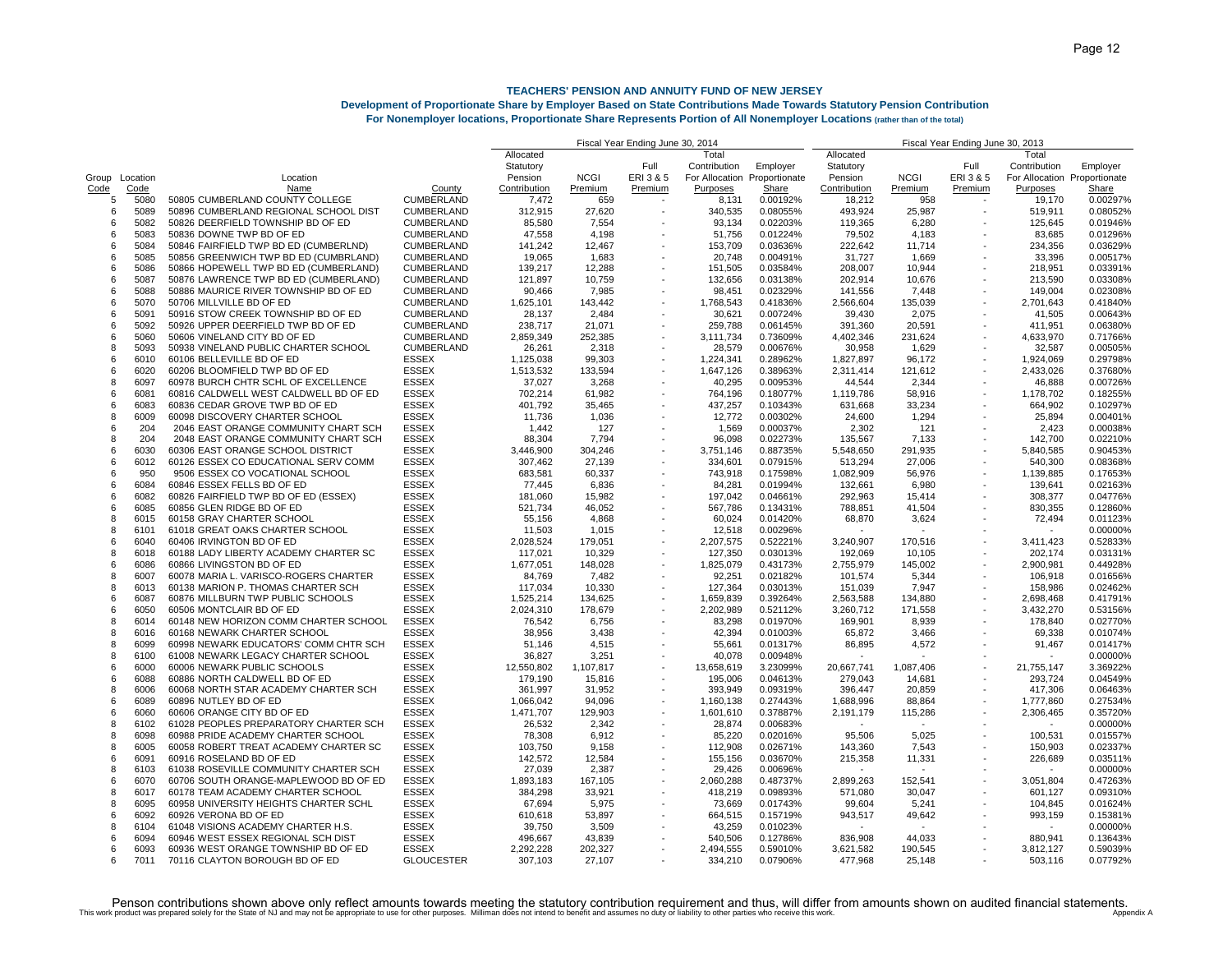### **Development of Proportionate Share by Employer Based on State Contributions Made Towards Statutory Pension Contribution**

**For Nonemployer locations, Proportionate Share Represents Portion of All Nonemployer Locations (rather than of the total)**

|                |      |                                       |                   | Fiscal Year Ending June 30, 2014 |             |         |              |                              |                          | Fiscal Year Ending June 30, 2013 |         |                              |          |
|----------------|------|---------------------------------------|-------------------|----------------------------------|-------------|---------|--------------|------------------------------|--------------------------|----------------------------------|---------|------------------------------|----------|
|                |      |                                       |                   | Allocated                        |             |         | Total        |                              | Allocated                |                                  |         | Total                        |          |
|                |      |                                       |                   | Statutory                        |             | Full    | Contribution | Employer                     | Statutory                |                                  | Full    | Contribution                 | Employer |
| Group Location |      | Location                              |                   | Pension                          | <b>NCGI</b> | ERI3&5  |              | For Allocation Proportionate | Pension                  | <b>NCGI</b>                      | ERI3&5  | For Allocation Proportionate |          |
| Code           | Code | Name                                  | County            | Contribution                     | Premium     | Premium | Purposes     | Share                        | Contribution             | Premium                          | Premium | Purposes                     | Share    |
| 5              | 5080 | 50805 CUMBERLAND COUNTY COLLEGE       | <b>CUMBERLAND</b> | 7,472                            | 659         |         | 8,131        | 0.00192%                     | 18,212                   | 958                              |         | 19,170                       | 0.00297% |
| 6              | 5089 | 50896 CUMBERLAND REGIONAL SCHOOL DIST | CUMBERLAND        | 312,915                          | 27,620      |         | 340,535      | 0.08055%                     | 493,924                  | 25,987                           |         | 519,911                      | 0.08052% |
| 6              | 5082 | 50826 DEERFIELD TOWNSHIP BD OF ED     | <b>CUMBERLAND</b> | 85,580                           | 7,554       |         | 93,134       | 0.02203%                     | 119,365                  | 6,280                            |         | 125,645                      | 0.01946% |
| 6              | 5083 | 50836 DOWNE TWP BD OF ED              | CUMBERLAND        | 47,558                           | 4,198       |         | 51,756       | 0.01224%                     | 79,502                   | 4,183                            |         | 83,685                       | 0.01296% |
| ĥ              | 5084 | 50846 FAIRFIELD TWP BD ED (CUMBERLND) | <b>CUMBERLAND</b> | 141,242                          | 12,467      |         | 153,709      | 0.03636%                     | 222,642                  | 11,714                           |         | 234,356                      | 0.03629% |
| 6              | 5085 | 50856 GREENWICH TWP BD ED (CUMBRLAND) | <b>CUMBERLAND</b> | 19,065                           | 1,683       |         | 20,748       | 0.00491%                     | 31,727                   | 1,669                            |         | 33,396                       | 0.00517% |
|                | 5086 | 50866 HOPEWELL TWP BD ED (CUMBERLAND) | CUMBERLAND        |                                  | 12,288      |         |              | 0.03584%                     |                          |                                  |         |                              | 0.03391% |
| 6              |      |                                       |                   | 139,217                          |             |         | 151,505      |                              | 208,007                  | 10,944                           |         | 218,951                      |          |
| 6              | 5087 | 50876 LAWRENCE TWP BD ED (CUMBERLAND) | CUMBERLAND        | 121,897                          | 10,759      |         | 132,656      | 0.03138%                     | 202,914                  | 10,676                           |         | 213,590                      | 0.03308% |
| 6              | 5088 | 50886 MAURICE RIVER TOWNSHIP BD OF ED | CUMBERLAND        | 90,466                           | 7,985       |         | 98,451       | 0.02329%                     | 141,556                  | 7,448                            |         | 149,004                      | 0.02308% |
| 6              | 5070 | 50706 MILLVILLE BD OF ED              | CUMBERLAND        | 1,625,101                        | 143,442     |         | 1,768,543    | 0.41836%                     | 2,566,604                | 135,039                          |         | 2,701,643                    | 0.41840% |
| 6              | 5091 | 50916 STOW CREEK TOWNSHIP BD OF ED    | CUMBERLAND        | 28,137                           | 2,484       |         | 30,621       | 0.00724%                     | 39,430                   | 2,075                            |         | 41,505                       | 0.00643% |
| ĥ              | 5092 | 50926 UPPER DEERFIELD TWP BD OF ED    | <b>CUMBERLAND</b> | 238,717                          | 21.071      |         | 259,788      | 0.06145%                     | 391,360                  | 20,591                           |         | 411.951                      | 0.06380% |
| 6              | 5060 | 50606 VINELAND CITY BD OF ED          | <b>CUMBERLAND</b> | 2,859,349                        | 252,385     |         | 3,111,734    | 0.73609%                     | 4,402,346                | 231,624                          |         | 4,633,970                    | 0.71766% |
| 8              | 5093 | 50938 VINELAND PUBLIC CHARTER SCHOOL  | <b>CUMBERLAND</b> | 26,261                           | 2,318       |         | 28,579       | 0.00676%                     | 30,958                   | 1,629                            |         | 32,587                       | 0.00505% |
| 6              | 6010 | 60106 BELLEVILLE BD OF ED             | <b>ESSEX</b>      | 1,125,038                        | 99,303      |         | 1,224,341    | 0.28962%                     | 1,827,897                | 96,172                           |         | 1,924,069                    | 0.29798% |
| 6              | 6020 | 60206 BLOOMFIELD TWP BD OF ED         | <b>ESSEX</b>      | 1,513,532                        | 133.594     |         | 1,647,126    | 0.38963%                     | 2,311,414                | 121,612                          |         | 2,433,026                    | 0.37680% |
| 8              | 6097 | 60978 BURCH CHTR SCHL OF EXCELLENCE   | <b>ESSEX</b>      | 37,027                           | 3,268       |         | 40,295       | 0.00953%                     | 44,544                   | 2,344                            |         | 46,888                       | 0.00726% |
| 6              | 6081 | 60816 CALDWELL WEST CALDWELL BD OF ED | <b>ESSEX</b>      | 702,214                          | 61,982      |         | 764,196      | 0.18077%                     | 1,119,786                | 58,916                           |         | 1,178,702                    | 0.18255% |
| 6              | 6083 | 60836 CEDAR GROVE TWP BD OF ED        | <b>ESSEX</b>      | 401,792                          | 35,465      |         | 437,257      | 0.10343%                     | 631,668                  | 33,234                           |         | 664,902                      | 0.10297% |
| 8              | 6009 | 60098 DISCOVERY CHARTER SCHOOL        | <b>ESSEX</b>      | 11,736                           | 1,036       |         | 12,772       | 0.00302%                     | 24,600                   | 1,294                            |         | 25,894                       | 0.00401% |
| 6              | 204  | 2046 EAST ORANGE COMMUNITY CHART SCH  | <b>ESSEX</b>      | 1,442                            | 127         |         | 1,569        | 0.00037%                     | 2,302                    | 121                              |         | 2,423                        | 0.00038% |
| 8              | 204  | 2048 EAST ORANGE COMMUNITY CHART SCH  | <b>ESSEX</b>      |                                  |             |         |              |                              |                          |                                  |         |                              |          |
|                |      |                                       |                   | 88,304                           | 7,794       |         | 96,098       | 0.02273%                     | 135,567                  | 7,133                            |         | 142,700                      | 0.02210% |
| 6              | 6030 | 60306 EAST ORANGE SCHOOL DISTRICT     | <b>ESSEX</b>      | 3,446,900                        | 304,246     |         | 3,751,146    | 0.88735%                     | 5,548,650                | 291,935                          |         | 5,840,585                    | 0.90453% |
| 6              | 6012 | 60126 ESSEX CO EDUCATIONAL SERV COMM  | <b>ESSEX</b>      | 307,462                          | 27,139      |         | 334,601      | 0.07915%                     | 513,294                  | 27,006                           |         | 540,300                      | 0.08368% |
| ĥ              | 950  | 9506 ESSEX CO VOCATIONAL SCHOOL       | <b>ESSEX</b>      | 683,581                          | 60,337      |         | 743,918      | 0.17598%                     | 1,082,909                | 56,976                           |         | 1,139,885                    | 0.17653% |
| 6              | 6084 | 60846 ESSEX FELLS BD OF ED            | <b>ESSEX</b>      | 77,445                           | 6,836       |         | 84,281       | 0.01994%                     | 132,661                  | 6,980                            |         | 139,641                      | 0.02163% |
| 6              | 6082 | 60826 FAIRFIELD TWP BD OF ED (ESSEX)  | <b>ESSEX</b>      | 181,060                          | 15,982      |         | 197,042      | 0.04661%                     | 292,963                  | 15,414                           |         | 308,377                      | 0.04776% |
| 6              | 6085 | 60856 GLEN RIDGE BD OF ED             | <b>ESSEX</b>      | 521,734                          | 46,052      |         | 567,786      | 0.13431%                     | 788,851                  | 41,504                           |         | 830,355                      | 0.12860% |
| 8              | 6015 | 60158 GRAY CHARTER SCHOOL             | <b>ESSEX</b>      | 55,156                           | 4,868       |         | 60,024       | 0.01420%                     | 68,870                   | 3,624                            |         | 72,494                       | 0.01123% |
| 8              | 6101 | 61018 GREAT OAKS CHARTER SCHOOL       | <b>ESSEX</b>      | 11,503                           | 1,015       |         | 12,518       | 0.00296%                     | $\sim$                   |                                  |         | ٠                            | 0.00000% |
| 6              | 6040 | 60406 IRVINGTON BD OF ED              | <b>ESSEX</b>      | 2,028,524                        | 179,051     |         | 2,207,575    | 0.52221%                     | 3,240,907                | 170,516                          |         | 3,411,423                    | 0.52833% |
| 8              | 6018 | 60188 LADY LIBERTY ACADEMY CHARTER SC | <b>ESSEX</b>      | 117,021                          | 10,329      |         | 127,350      | 0.03013%                     | 192,069                  | 10,105                           |         | 202,174                      | 0.03131% |
| 6              | 6086 | 60866 LIVINGSTON BD OF ED             | <b>ESSEX</b>      | 1,677,051                        | 148,028     |         | 1,825,079    | 0.43173%                     | 2,755,979                | 145,002                          |         | 2,900,981                    | 0.44928% |
| 8              | 6007 | 60078 MARIA L. VARISCO-ROGERS CHARTER | <b>ESSEX</b>      | 84,769                           | 7,482       |         | 92,251       | 0.02182%                     | 101,574                  | 5,344                            |         | 106,918                      | 0.01656% |
| 8              | 6013 | 60138 MARION P. THOMAS CHARTER SCH    | ESSEX             | 117,034                          | 10,330      |         | 127,364      | 0.03013%                     | 151,039                  | 7,947                            |         | 158,986                      | 0.02462% |
| 6              | 6087 |                                       |                   |                                  |             |         |              |                              |                          |                                  |         |                              |          |
|                |      | 60876 MILLBURN TWP PUBLIC SCHOOLS     | <b>ESSEX</b>      | 1,525,214                        | 134,625     |         | 1,659,839    | 0.39264%                     | 2,563,588                | 134,880                          |         | 2,698,468                    | 0.41791% |
| 6              | 6050 | 60506 MONTCLAIR BD OF ED              | <b>ESSEX</b>      | 2,024,310                        | 178,679     |         | 2,202,989    | 0.52112%                     | 3,260,712                | 171,558                          |         | 3,432,270                    | 0.53156% |
| 8              | 6014 | 60148 NEW HORIZON COMM CHARTER SCHOOL | <b>ESSEX</b>      | 76,542                           | 6,756       |         | 83,298       | 0.01970%                     | 169,901                  | 8,939                            |         | 178,840                      | 0.02770% |
| 8              | 6016 | 60168 NEWARK CHARTER SCHOOL           | <b>ESSEX</b>      | 38,956                           | 3,438       |         | 42,394       | 0.01003%                     | 65,872                   | 3,466                            |         | 69,338                       | 0.01074% |
| 8              | 6099 | 60998 NEWARK EDUCATORS' COMM CHTR SCH | <b>ESSEX</b>      | 51,146                           | 4,515       |         | 55,661       | 0.01317%                     | 86,895                   | 4,572                            |         | 91,467                       | 0.01417% |
| 8              | 6100 | 61008 NEWARK LEGACY CHARTER SCHOOL    | <b>ESSEX</b>      | 36,827                           | 3,251       |         | 40,078       | 0.00948%                     |                          |                                  |         |                              | 0.00000% |
| 6              | 6000 | 60006 NEWARK PUBLIC SCHOOLS           | <b>ESSEX</b>      | 12,550,802                       | 1,107,817   |         | 13,658,619   | 3.23099%                     | 20,667,741               | 1,087,406                        |         | 21,755,147                   | 3.36922% |
| 6              | 6088 | 60886 NORTH CALDWELL BD OF ED         | ESSEX             | 179,190                          | 15,816      |         | 195,006      | 0.04613%                     | 279,043                  | 14,681                           |         | 293,724                      | 0.04549% |
| 8              | 6006 | 60068 NORTH STAR ACADEMY CHARTER SCH  | <b>ESSEX</b>      | 361,997                          | 31,952      |         | 393,949      | 0.09319%                     | 396,447                  | 20,859                           |         | 417,306                      | 0.06463% |
| 6              | 6089 | 60896 NUTLEY BD OF ED                 | <b>ESSEX</b>      | 1,066,042                        | 94,096      |         | 1,160,138    | 0.27443%                     | 1,688,996                | 88,864                           |         | 1,777,860                    | 0.27534% |
| 6              | 6060 | 60606 ORANGE CITY BD OF ED            | <b>ESSEX</b>      | 1,471,707                        | 129.903     |         | 1,601,610    | 0.37887%                     | 2,191,179                | 115,286                          |         | 2,306,465                    | 0.35720% |
| 8              | 6102 | 61028 PEOPLES PREPARATORY CHARTER SCH | <b>ESSEX</b>      | 26,532                           | 2,342       |         | 28,874       | 0.00683%                     | $\overline{\phantom{a}}$ |                                  |         |                              | 0.00000% |
| 8              | 6098 | 60988 PRIDE ACADEMY CHARTER SCHOOL    | <b>ESSEX</b>      | 78,308                           | 6,912       |         | 85,220       | 0.02016%                     | 95,506                   | 5,025                            |         | 100,531                      | 0.01557% |
| 8              | 6005 | 60058 ROBERT TREAT ACADEMY CHARTER SC | <b>ESSEX</b>      | 103,750                          | 9,158       |         | 112,908      | 0.02671%                     | 143,360                  | 7,543                            |         | 150.903                      | 0.02337% |
| 6              | 6091 | 60916 ROSELAND BD OF ED               | <b>ESSEX</b>      | 142,572                          | 12,584      |         | 155,156      |                              | 215,358                  | 11,331                           |         | 226,689                      | 0.03511% |
|                |      |                                       |                   |                                  |             |         |              | 0.03670%                     |                          |                                  |         |                              |          |
| 8              | 6103 | 61038 ROSEVILLE COMMUNITY CHARTER SCH | <b>ESSEX</b>      | 27,039                           | 2,387       |         | 29,426       | 0.00696%                     |                          |                                  |         |                              | 0.00000% |
| ĥ              | 6070 | 60706 SOUTH ORANGE-MAPLEWOOD BD OF ED | <b>ESSEX</b>      | 1,893,183                        | 167,105     |         | 2,060,288    | 0.48737%                     | 2,899,263                | 152,541                          |         | 3,051,804                    | 0.47263% |
| 8              | 6017 | 60178 TEAM ACADEMY CHARTER SCHOOL     | <b>ESSEX</b>      | 384,298                          | 33.921      |         | 418,219      | 0.09893%                     | 571,080                  | 30,047                           |         | 601.127                      | 0.09310% |
| 8              | 6095 | 60958 UNIVERSITY HEIGHTS CHARTER SCHL | <b>ESSEX</b>      | 67,694                           | 5,975       |         | 73,669       | 0.01743%                     | 99,604                   | 5,241                            |         | 104,845                      | 0.01624% |
| 6              | 6092 | 60926 VERONA BD OF ED                 | <b>ESSEX</b>      | 610,618                          | 53,897      |         | 664,515      | 0.15719%                     | 943,517                  | 49,642                           |         | 993,159                      | 0.15381% |
| 8              | 6104 | 61048 VISIONS ACADEMY CHARTER H.S.    | <b>ESSEX</b>      | 39,750                           | 3,509       |         | 43,259       | 0.01023%                     |                          |                                  |         |                              | 0.00000% |
| 6              | 6094 | 60946 WEST ESSEX REGIONAL SCH DIST    | <b>ESSEX</b>      | 496,667                          | 43,839      |         | 540,506      | 0.12786%                     | 836,908                  | 44,033                           |         | 880,941                      | 0.13643% |
| 6              | 6093 | 60936 WEST ORANGE TOWNSHIP BD OF ED   | <b>ESSEX</b>      | 2,292,228                        | 202,327     |         | 2,494,555    | 0.59010%                     | 3,621,582                | 190,545                          |         | 3,812,127                    | 0.59039% |
| 6              | 7011 | 70116 CLAYTON BOROUGH BD OF ED        | <b>GLOUCESTER</b> | 307.103                          | 27.107      |         | 334.210      | 0.07906%                     | 477.968                  | 25.148                           |         | 503.116                      | 0.07792% |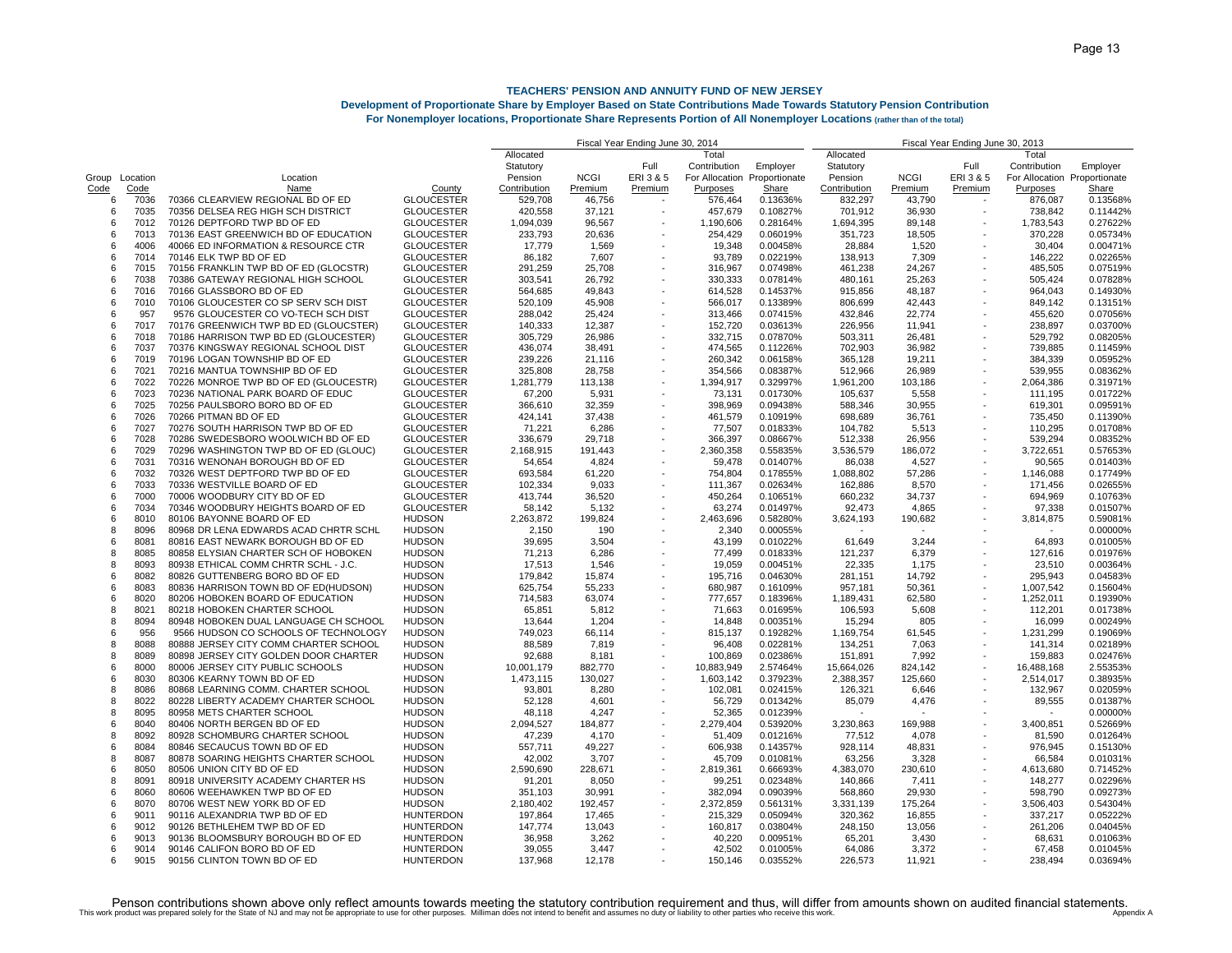## **Development of Proportionate Share by Employer Based on State Contributions Made Towards Statutory Pension Contribution**

**For Nonemployer locations, Proportionate Share Represents Portion of All Nonemployer Locations (rather than of the total)**

|                |      |                                       |                   |              | Fiscal Year Ending June 30, 2013 |         |              |                              |                          |             |                          |                              |          |
|----------------|------|---------------------------------------|-------------------|--------------|----------------------------------|---------|--------------|------------------------------|--------------------------|-------------|--------------------------|------------------------------|----------|
|                |      |                                       |                   | Allocated    |                                  |         | Total        |                              | Allocated                |             |                          | Total                        |          |
|                |      |                                       |                   | Statutory    |                                  | Full    | Contribution | Employer                     | Statutory                |             | Full                     | Contribution                 | Employer |
| Group Location |      | Location                              |                   | Pension      | <b>NCGI</b>                      | ERI3&5  |              | For Allocation Proportionate | Pension                  | <b>NCGI</b> | ERI3&5                   | For Allocation Proportionate |          |
| Code           | Code | Name                                  | County            | Contribution | Premium                          | Premium | Purposes     | Share                        | Contribution             | Premium     | Premium                  | Purposes                     | Share    |
| 6              | 7036 | 70366 CLEARVIEW REGIONAL BD OF ED     | <b>GLOUCESTER</b> | 529,708      | 46,756                           |         | 576,464      | 0.13636%                     | 832,297                  | 43,790      |                          | 876,087                      | 0.13568% |
| 6              | 7035 | 70356 DELSEA REG HIGH SCH DISTRICT    | <b>GLOUCESTER</b> | 420,558      | 37,121                           |         | 457,679      | 0.10827%                     | 701,912                  | 36,930      |                          | 738,842                      | 0.11442% |
| 6              | 7012 | 70126 DEPTFORD TWP BD OF ED           | <b>GLOUCESTER</b> | 1,094,039    | 96,567                           |         | 1,190,606    | 0.28164%                     | 1,694,395                | 89,148      |                          | 1,783,543                    | 0.27622% |
| 6              | 7013 | 70136 EAST GREENWICH BD OF EDUCATION  | <b>GLOUCESTER</b> | 233,793      | 20,636                           |         | 254,429      | 0.06019%                     | 351,723                  | 18,505      |                          | 370,228                      | 0.05734% |
| ĥ              | 4006 | 40066 ED INFORMATION & RESOURCE CTR   | <b>GLOUCESTER</b> | 17,779       | 1,569                            |         | 19,348       | 0.00458%                     | 28,884                   | 1,520       |                          | 30,404                       | 0.00471% |
| 6              | 7014 | 70146 ELK TWP BD OF ED                | <b>GLOUCESTER</b> | 86,182       | 7,607                            |         | 93,789       | 0.02219%                     | 138,913                  | 7,309       |                          | 146,222                      | 0.02265% |
| 6              | 7015 | 70156 FRANKLIN TWP BD OF ED (GLOCSTR) | <b>GLOUCESTER</b> | 291,259      | 25,708                           |         | 316,967      | 0.07498%                     | 461,238                  | 24,267      |                          | 485,505                      | 0.07519% |
| ĥ              | 7038 | 70386 GATEWAY REGIONAL HIGH SCHOOL    | <b>GLOUCESTER</b> | 303,541      | 26,792                           |         | 330,333      | 0.07814%                     | 480,161                  | 25,263      |                          | 505,424                      | 0.07828% |
| 6              | 7016 | 70166 GLASSBORO BD OF ED              | <b>GLOUCESTER</b> | 564,685      | 49.843                           |         | 614,528      | 0.14537%                     | 915,856                  | 48,187      |                          | 964,043                      | 0.14930% |
| 6              | 7010 | 70106 GLOUCESTER CO SP SERV SCH DIST  | <b>GLOUCESTER</b> | 520,109      | 45,908                           |         | 566,017      | 0.13389%                     | 806,699                  | 42,443      |                          | 849,142                      | 0.13151% |
| 6              | 957  | 9576 GLOUCESTER CO VO-TECH SCH DIST   | <b>GLOUCESTER</b> | 288,042      | 25,424                           |         | 313,466      | 0.07415%                     | 432,846                  | 22,774      |                          | 455,620                      | 0.07056% |
|                |      |                                       |                   |              |                                  |         |              |                              |                          |             |                          |                              |          |
| ĥ              | 7017 | 70176 GREENWICH TWP BD ED (GLOUCSTER) | <b>GLOUCESTER</b> | 140,333      | 12,387                           |         | 152,720      | 0.03613%                     | 226,956                  | 11,941      |                          | 238,897                      | 0.03700% |
| 6              | 7018 | 70186 HARRISON TWP BD ED (GLOUCESTER) | <b>GLOUCESTER</b> | 305,729      | 26,986                           |         | 332,715      | 0.07870%                     | 503,311                  | 26,481      |                          | 529,792                      | 0.08205% |
| 6              | 7037 | 70376 KINGSWAY REGIONAL SCHOOL DIST   | <b>GLOUCESTER</b> | 436,074      | 38,491                           |         | 474,565      | 0.11226%                     | 702,903                  | 36,982      |                          | 739,885                      | 0.11459% |
| 6              | 7019 | 70196 LOGAN TOWNSHIP BD OF ED         | <b>GLOUCESTER</b> | 239,226      | 21,116                           |         | 260,342      | 0.06158%                     | 365,128                  | 19,211      |                          | 384,339                      | 0.05952% |
| ĥ              | 7021 | 70216 MANTUA TOWNSHIP BD OF ED        | <b>GLOUCESTER</b> | 325,808      | 28.758                           |         | 354,566      | 0.08387%                     | 512,966                  | 26,989      |                          | 539,955                      | 0.08362% |
| 6              | 7022 | 70226 MONROE TWP BD OF ED (GLOUCESTR) | <b>GLOUCESTER</b> | 1,281,779    | 113,138                          |         | 1,394,917    | 0.32997%                     | 1,961,200                | 103,186     |                          | 2,064,386                    | 0.31971% |
| ĥ              | 7023 | 70236 NATIONAL PARK BOARD OF EDUC     | <b>GLOUCESTER</b> | 67,200       | 5,931                            |         | 73,131       | 0.01730%                     | 105,637                  | 5,558       |                          | 111,195                      | 0.01722% |
| 6              | 7025 | 70256 PAULSBORO BORO BD OF ED         | <b>GLOUCESTER</b> | 366,610      | 32,359                           |         | 398,969      | 0.09438%                     | 588,346                  | 30,955      |                          | 619,301                      | 0.09591% |
| 6              | 7026 | 70266 PITMAN BD OF ED                 | <b>GLOUCESTER</b> | 424,141      | 37,438                           |         | 461,579      | 0.10919%                     | 698,689                  | 36,761      |                          | 735,450                      | 0.11390% |
| 6              | 7027 | 70276 SOUTH HARRISON TWP BD OF ED     | <b>GLOUCESTER</b> | 71,221       | 6,286                            |         | 77,507       | 0.01833%                     | 104,782                  | 5,513       |                          | 110,295                      | 0.01708% |
| ĥ              | 7028 | 70286 SWEDESBORO WOOLWICH BD OF ED    | <b>GLOUCESTER</b> | 336,679      | 29,718                           |         | 366,397      | 0.08667%                     | 512,338                  | 26,956      |                          | 539.294                      | 0.08352% |
| 6              | 7029 | 70296 WASHINGTON TWP BD OF ED (GLOUC) | <b>GLOUCESTER</b> | 2,168,915    | 191,443                          |         | 2,360,358    | 0.55835%                     | 3,536,579                | 186,072     |                          | 3,722,651                    | 0.57653% |
| 6              | 7031 | 70316 WENONAH BOROUGH BD OF ED        | <b>GLOUCESTER</b> | 54,654       | 4,824                            |         | 59,478       | 0.01407%                     | 86,038                   | 4,527       |                          | 90,565                       | 0.01403% |
| հ              | 7032 | 70326 WEST DEPTFORD TWP BD OF ED      | <b>GLOUCESTER</b> | 693,584      | 61,220                           |         | 754,804      | 0.17855%                     | 1,088,802                | 57,286      |                          | 1,146,088                    | 0.17749% |
| 6              | 7033 | 70336 WESTVILLE BOARD OF ED           | <b>GLOUCESTER</b> | 102,334      | 9.033                            |         | 111,367      | 0.02634%                     | 162,886                  | 8,570       |                          | 171,456                      | 0.02655% |
| 6              | 7000 | 70006 WOODBURY CITY BD OF ED          | <b>GLOUCESTER</b> | 413,744      | 36,520                           |         | 450,264      | 0.10651%                     | 660,232                  | 34,737      |                          | 694,969                      | 0.10763% |
| 6              | 7034 | 70346 WOODBURY HEIGHTS BOARD OF ED    | <b>GLOUCESTER</b> | 58,142       | 5,132                            |         | 63,274       | 0.01497%                     | 92,473                   | 4,865       |                          | 97,338                       | 0.01507% |
| 6              | 8010 | 80106 BAYONNE BOARD OF ED             | <b>HUDSON</b>     | 2,263,872    | 199.824                          |         | 2,463,696    | 0.58280%                     | 3,624,193                | 190,682     |                          | 3,814,875                    | 0.59081% |
| 8              | 8096 | 80968 DR LENA EDWARDS ACAD CHRTR SCHL | <b>HUDSON</b>     | 2,150        | 190                              |         | 2,340        | 0.00055%                     | $\overline{\phantom{a}}$ |             |                          |                              | 0.00000% |
| 6              | 8081 | 80816 EAST NEWARK BOROUGH BD OF ED    | <b>HUDSON</b>     | 39,695       | 3,504                            |         | 43,199       | 0.01022%                     | 61,649                   | 3,244       |                          | 64,893                       | 0.01005% |
| 8              | 8085 | 80858 ELYSIAN CHARTER SCH OF HOBOKEN  | <b>HUDSON</b>     |              | 6,286                            |         | 77.499       |                              | 121,237                  |             |                          | 127.616                      | 0.01976% |
| 8              | 8093 |                                       |                   | 71,213       |                                  |         |              | 0.01833%                     | 22,335                   | 6,379       |                          |                              |          |
|                |      | 80938 ETHICAL COMM CHRTR SCHL - J.C.  | <b>HUDSON</b>     | 17,513       | 1,546                            |         | 19,059       | 0.00451%                     |                          | 1,175       |                          | 23,510                       | 0.00364% |
| 6              | 8082 | 80826 GUTTENBERG BORO BD OF ED        | <b>HUDSON</b>     | 179,842      | 15,874                           |         | 195,716      | 0.04630%                     | 281,151                  | 14,792      |                          | 295,943                      | 0.04583% |
| ĥ              | 8083 | 80836 HARRISON TOWN BD OF ED(HUDSON)  | <b>HUDSON</b>     | 625,754      | 55,233                           |         | 680,987      | 0.16109%                     | 957,181                  | 50,361      |                          | 1,007,542                    | 0.15604% |
| 6              | 8020 | 80206 HOBOKEN BOARD OF EDUCATION      | <b>HUDSON</b>     | 714,583      | 63,074                           |         | 777,657      | 0.18396%                     | 1,189,431                | 62,580      |                          | 1,252,011                    | 0.19390% |
| 8              | 8021 | 80218 HOBOKEN CHARTER SCHOOL          | <b>HUDSON</b>     | 65,851       | 5,812                            |         | 71,663       | 0.01695%                     | 106,593                  | 5,608       |                          | 112,201                      | 0.01738% |
| 8              | 8094 | 80948 HOBOKEN DUAL LANGUAGE CH SCHOOL | <b>HUDSON</b>     | 13,644       | 1,204                            |         | 14,848       | 0.00351%                     | 15,294                   | 805         |                          | 16,099                       | 0.00249% |
| ĥ              | 956  | 9566 HUDSON CO SCHOOLS OF TECHNOLOGY  | <b>HUDSON</b>     | 749,023      | 66.114                           |         | 815,137      | 0.19282%                     | 1,169,754                | 61,545      | $\overline{\phantom{a}}$ | 1,231,299                    | 0.19069% |
| 8              | 8088 | 80888 JERSEY CITY COMM CHARTER SCHOOL | <b>HUDSON</b>     | 88,589       | 7,819                            |         | 96,408       | 0.02281%                     | 134,251                  | 7,063       |                          | 141,314                      | 0.02189% |
| 8              | 8089 | 80898 JERSEY CITY GOLDEN DOOR CHARTER | <b>HUDSON</b>     | 92,688       | 8,181                            |         | 100,869      | 0.02386%                     | 151,891                  | 7,992       |                          | 159,883                      | 0.02476% |
| ĥ              | 8000 | 80006 JERSEY CITY PUBLIC SCHOOLS      | <b>HUDSON</b>     | 10,001,179   | 882,770                          |         | 10,883,949   | 2.57464%                     | 15,664,026               | 824,142     |                          | 16,488,168                   | 2.55353% |
| 6              | 8030 | 80306 KEARNY TOWN BD OF ED            | <b>HUDSON</b>     | 1,473,115    | 130.027                          |         | 1,603,142    | 0.37923%                     | 2,388,357                | 125,660     |                          | 2,514,017                    | 0.38935% |
| 8              | 8086 | 80868 LEARNING COMM. CHARTER SCHOOL   | <b>HUDSON</b>     | 93,801       | 8,280                            |         | 102,081      | 0.02415%                     | 126,321                  | 6,646       |                          | 132,967                      | 0.02059% |
| 8              | 8022 | 80228 LIBERTY ACADEMY CHARTER SCHOOL  | <b>HUDSON</b>     | 52,128       | 4,601                            |         | 56,729       | 0.01342%                     | 85,079                   | 4,476       |                          | 89,555                       | 0.01387% |
| 8              | 8095 | 80958 METS CHARTER SCHOOL             | <b>HUDSON</b>     | 48,118       | 4.247                            |         | 52,365       | 0.01239%                     |                          |             |                          |                              | 0.00000% |
| 6              | 8040 | 80406 NORTH BERGEN BD OF ED           | <b>HUDSON</b>     | 2,094,527    | 184,877                          |         | 2,279,404    | 0.53920%                     | 3,230,863                | 169,988     |                          | 3,400,851                    | 0.52669% |
| 8              | 8092 | 80928 SCHOMBURG CHARTER SCHOOL        | <b>HUDSON</b>     | 47,239       | 4,170                            |         | 51,409       | 0.01216%                     | 77,512                   | 4,078       |                          | 81,590                       | 0.01264% |
| 6              | 8084 | 80846 SECAUCUS TOWN BD OF ED          | <b>HUDSON</b>     | 557,711      | 49.227                           |         | 606,938      | 0.14357%                     | 928,114                  | 48,831      |                          | 976.945                      | 0.15130% |
| 8              | 8087 | 80878 SOARING HEIGHTS CHARTER SCHOOL  | <b>HUDSON</b>     | 42,002       | 3,707                            |         | 45,709       | 0.01081%                     | 63,256                   | 3,328       |                          | 66,584                       | 0.01031% |
| 6              | 8050 | 80506 UNION CITY BD OF ED             | <b>HUDSON</b>     | 2,590,690    | 228,671                          |         | 2,819,361    | 0.66693%                     | 4,383,070                | 230,610     | ٠.                       | 4,613,680                    | 0.71452% |
| 8              | 8091 | 80918 UNIVERSITY ACADEMY CHARTER HS   | <b>HUDSON</b>     | 91,201       | 8,050                            |         | 99,251       | 0.02348%                     | 140,866                  | 7,411       |                          | 148,277                      | 0.02296% |
| 6              | 8060 | 80606 WEEHAWKEN TWP BD OF ED          | <b>HUDSON</b>     | 351.103      | 30.991                           |         | 382,094      | 0.09039%                     | 568,860                  | 29,930      |                          | 598.790                      | 0.09273% |
| 6              | 8070 | 80706 WEST NEW YORK BD OF ED          | <b>HUDSON</b>     | 2,180,402    | 192,457                          |         | 2,372,859    | 0.56131%                     | 3,331,139                | 175,264     |                          | 3,506,403                    | 0.54304% |
| 6              | 9011 | 90116 ALEXANDRIA TWP BD OF ED         | <b>HUNTERDON</b>  | 197,864      | 17,465                           |         | 215,329      | 0.05094%                     | 320,362                  | 16,855      |                          | 337,217                      | 0.05222% |
| ĥ              | 9012 | 90126 BETHLEHEM TWP BD OF ED          | <b>HUNTERDON</b>  | 147,774      | 13,043                           |         | 160,817      | 0.03804%                     | 248,150                  | 13,056      |                          | 261,206                      | 0.04045% |
| 6              | 9013 |                                       |                   |              |                                  |         |              |                              |                          |             |                          |                              |          |
|                | 9014 | 90136 BLOOMSBURY BOROUGH BD OF ED     | <b>HUNTERDON</b>  | 36,958       | 3,262                            |         | 40,220       | 0.00951%                     | 65,201                   | 3,430       |                          | 68,631                       | 0.01063% |
| 6              |      | 90146 CALIFON BORO BD OF ED           | <b>HUNTERDON</b>  | 39,055       | 3,447                            |         | 42,502       | 0.01005%                     | 64,086                   | 3,372       |                          | 67,458                       | 0.01045% |
| 6              | 9015 | 90156 CLINTON TOWN BD OF ED           | <b>HUNTERDON</b>  | 137.968      | 12.178                           |         | 150.146      | 0.03552%                     | 226.573                  | 11.921      |                          | 238.494                      | 0.03694% |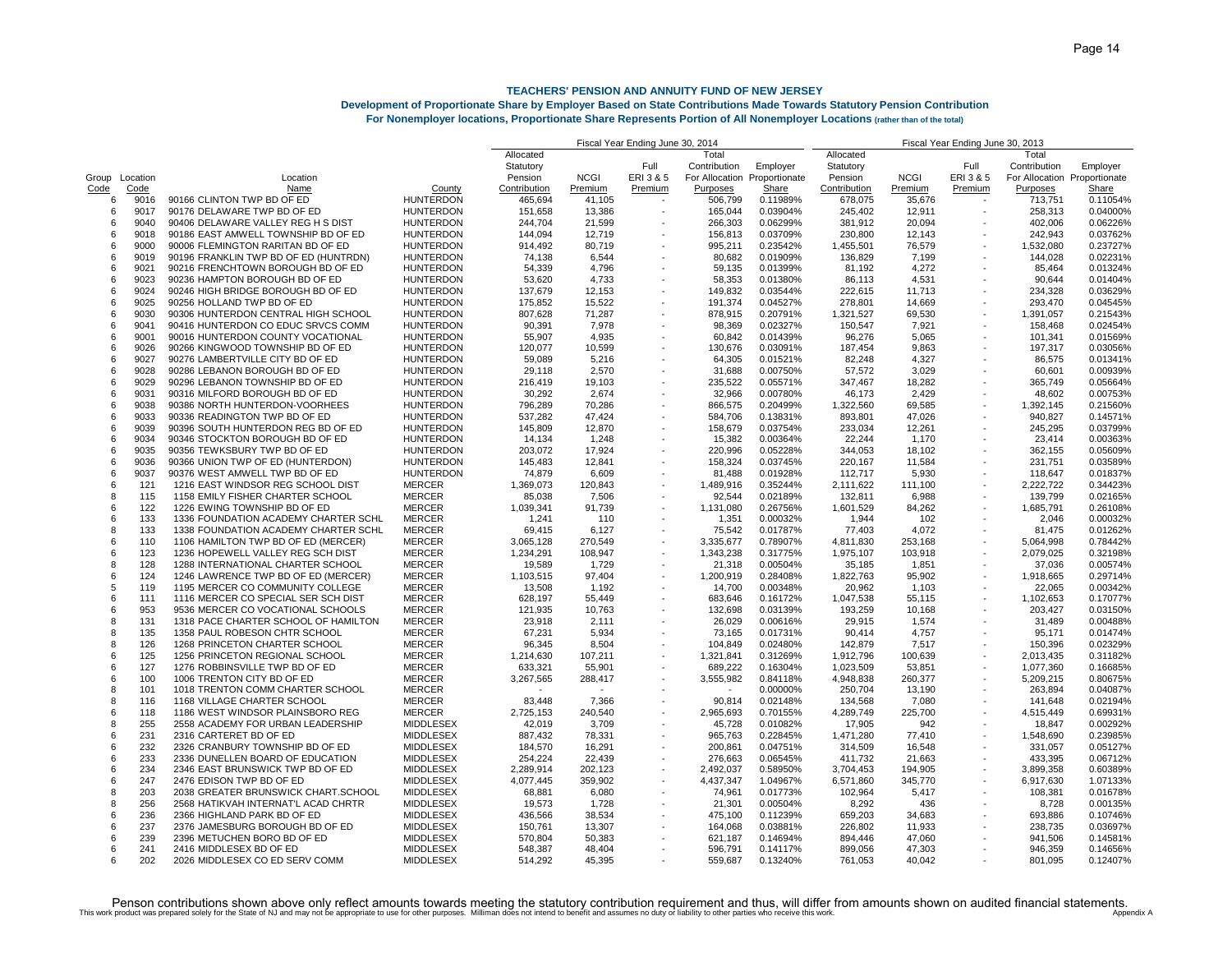## **Development of Proportionate Share by Employer Based on State Contributions Made Towards Statutory Pension Contribution**

| <b>For Nonemployer locations, Proportionate Share Represents Portion of All Nonemployer Locations (rather than of the total)</b> |  |  |  |  |  |  |  |  |  |  |
|----------------------------------------------------------------------------------------------------------------------------------|--|--|--|--|--|--|--|--|--|--|
|----------------------------------------------------------------------------------------------------------------------------------|--|--|--|--|--|--|--|--|--|--|

|       |          |                                       |                  |              | Fiscal Year Ending June 30, 2014 |           |                | Fiscal Year Ending June 30, 2013 |              |             |                          |                              |          |
|-------|----------|---------------------------------------|------------------|--------------|----------------------------------|-----------|----------------|----------------------------------|--------------|-------------|--------------------------|------------------------------|----------|
|       |          |                                       |                  | Allocated    |                                  |           | Total          |                                  | Allocated    |             |                          | Total                        |          |
|       |          |                                       |                  | Statutory    |                                  | Full      | Contribution   | Employer                         | Statutory    |             | Full                     | Contribution                 | Employer |
| Group | Location | Location                              |                  | Pension      | <b>NCGI</b>                      | ERI 3 & 5 | For Allocation | Proportionate                    | Pension      | <b>NCGI</b> | ERI 3 & 5                | For Allocation Proportionate |          |
| Code  | Code     | Name                                  | County           | Contribution | Premium                          | Premium   | Purposes       | Share                            | Contribution | Premium     | Premium                  | Purposes                     | Share    |
| 6     | 9016     | 90166 CLINTON TWP BD OF ED            | <b>HUNTERDON</b> | 465,694      | 41,105                           |           | 506,799        | 0.11989%                         | 678,075      | 35,676      | $\sim$                   | 713,751                      | 0.11054% |
| 6     | 9017     | 90176 DELAWARE TWP BD OF ED           | <b>HUNTERDON</b> | 151,658      | 13,386                           |           | 165,044        | 0.03904%                         | 245,402      | 12,911      |                          | 258,313                      | 0.04000% |
| 6     | 9040     | 90406 DELAWARE VALLEY REG H S DIST    | <b>HUNTERDON</b> | 244,704      | 21,599                           |           | 266,303        | 0.06299%                         | 381,912      | 20,094      |                          | 402,006                      | 0.06226% |
| 6     | 9018     | 90186 EAST AMWELL TOWNSHIP BD OF ED   | <b>HUNTERDON</b> | 144,094      | 12,719                           |           | 156,813        | 0.03709%                         | 230,800      | 12,143      |                          | 242,943                      | 0.03762% |
| 6     | 9000     | 90006 FLEMINGTON RARITAN BD OF ED     | <b>HUNTERDON</b> | 914,492      | 80.719                           |           | 995,211        | 0.23542%                         | 1,455,501    | 76,579      |                          | 1,532,080                    | 0.23727% |
| 6     | 9019     | 90196 FRANKLIN TWP BD OF ED (HUNTRDN) | <b>HUNTERDON</b> | 74,138       | 6,544                            |           | 80,682         | 0.01909%                         | 136,829      | 7,199       |                          | 144,028                      | 0.02231% |
| 6     | 9021     | 90216 FRENCHTOWN BOROUGH BD OF ED     | <b>HUNTERDON</b> | 54,339       | 4,796                            |           | 59,135         | 0.01399%                         | 81,192       | 4,272       |                          | 85,464                       | 0.01324% |
| 6     | 9023     | 90236 HAMPTON BOROUGH BD OF ED        | <b>HUNTERDON</b> | 53,620       | 4,733                            |           | 58,353         | 0.01380%                         | 86,113       | 4,531       |                          | 90,644                       | 0.01404% |
|       |          |                                       |                  |              |                                  |           |                |                                  |              |             |                          |                              |          |
| 6     | 9024     | 90246 HIGH BRIDGE BOROUGH BD OF ED    | <b>HUNTERDON</b> | 137,679      | 12,153                           |           | 149,832        | 0.03544%                         | 222,615      | 11,713      |                          | 234,328                      | 0.03629% |
| 6     | 9025     | 90256 HOLLAND TWP BD OF ED            | <b>HUNTERDON</b> | 175,852      | 15,522                           |           | 191,374        | 0.04527%                         | 278,801      | 14,669      |                          | 293,470                      | 0.04545% |
| 6     | 9030     | 90306 HUNTERDON CENTRAL HIGH SCHOOL   | <b>HUNTERDON</b> | 807,628      | 71,287                           |           | 878,915        | 0.20791%                         | 1,321,527    | 69,530      |                          | 1,391,057                    | 0.21543% |
| 6     | 9041     | 90416 HUNTERDON CO EDUC SRVCS COMM    | <b>HUNTERDON</b> | 90,391       | 7,978                            |           | 98,369         | 0.02327%                         | 150,547      | 7,921       |                          | 158,468                      | 0.02454% |
| ĥ     | 9001     | 90016 HUNTERDON COUNTY VOCATIONAL     | <b>HUNTERDON</b> | 55,907       | 4,935                            |           | 60,842         | 0.01439%                         | 96,276       | 5,065       |                          | 101,341                      | 0.01569% |
| 6     | 9026     | 90266 KINGWOOD TOWNSHIP BD OF ED      | <b>HUNTERDON</b> | 120,077      | 10.599                           |           | 130.676        | 0.03091%                         | 187.454      | 9.863       |                          | 197.317                      | 0.03056% |
| 6     | 9027     | 90276 LAMBERTVILLE CITY BD OF ED      | <b>HUNTERDON</b> | 59,089       | 5,216                            |           | 64,305         | 0.01521%                         | 82,248       | 4,327       |                          | 86,575                       | 0.01341% |
| 6     | 9028     | 90286 LEBANON BOROUGH BD OF ED        | <b>HUNTERDON</b> | 29,118       | 2,570                            |           | 31,688         | 0.00750%                         | 57,572       | 3,029       |                          | 60,601                       | 0.00939% |
| 6     | 9029     | 90296 LEBANON TOWNSHIP BD OF ED       | <b>HUNTERDON</b> | 216,419      | 19,103                           |           | 235,522        | 0.05571%                         | 347,467      | 18,282      |                          | 365,749                      | 0.05664% |
| 6     | 9031     | 90316 MILFORD BOROUGH BD OF ED        | <b>HUNTERDON</b> | 30,292       | 2,674                            |           | 32,966         | 0.00780%                         | 46,173       | 2,429       |                          | 48,602                       | 0.00753% |
| 6     | 9038     | 90386 NORTH HUNTERDON-VOORHEES        | <b>HUNTERDON</b> | 796,289      | 70,286                           |           | 866,575        | 0.20499%                         | 1,322,560    | 69,585      | $\overline{\phantom{a}}$ | 1,392,145                    | 0.21560% |
| 6     | 9033     | 90336 READINGTON TWP BD OF ED         | <b>HUNTERDON</b> | 537,282      | 47,424                           |           | 584,706        | 0.13831%                         | 893,801      | 47,026      |                          | 940,827                      | 0.14571% |
| 6     | 9039     | 90396 SOUTH HUNTERDON REG BD OF ED    | <b>HUNTERDON</b> | 145,809      | 12,870                           |           | 158,679        | 0.03754%                         | 233,034      | 12,261      |                          | 245,295                      | 0.03799% |
| 6     | 9034     | 90346 STOCKTON BOROUGH BD OF ED       | <b>HUNTERDON</b> | 14,134       | 1,248                            |           | 15,382         | 0.00364%                         | 22,244       | 1,170       |                          | 23,414                       | 0.00363% |
| 6     | 9035     | 90356 TEWKSBURY TWP BD OF ED          | <b>HUNTERDON</b> | 203,072      | 17,924                           |           | 220,996        | 0.05228%                         | 344,053      | 18,102      |                          | 362,155                      | 0.05609% |
| 6     | 9036     | 90366 UNION TWP OF ED (HUNTERDON)     | <b>HUNTERDON</b> | 145,483      | 12,841                           |           | 158,324        | 0.03745%                         | 220,167      | 11,584      |                          | 231,751                      | 0.03589% |
| 6     | 9037     | 90376 WEST AMWELL TWP BD OF ED        | <b>HUNTERDON</b> | 74,879       | 6,609                            |           | 81,488         | 0.01928%                         | 112,717      | 5,930       |                          | 118,647                      | 0.01837% |
| 6     | 121      | 1216 EAST WINDSOR REG SCHOOL DIST     | <b>MERCER</b>    | 1,369,073    | 120,843                          |           | 1,489,916      | 0.35244%                         | 2,111,622    | 111,100     | $\overline{\phantom{a}}$ | 2,222,722                    | 0.34423% |
| 8     | 115      | 1158 EMILY FISHER CHARTER SCHOOL      | <b>MERCER</b>    | 85,038       | 7,506                            |           | 92,544         | 0.02189%                         | 132,811      | 6,988       |                          | 139,799                      | 0.02165% |
| 6     | 122      | 1226 EWING TOWNSHIP BD OF ED          | <b>MERCER</b>    | 1,039,341    | 91,739                           |           | 1,131,080      | 0.26756%                         | 1,601,529    | 84,262      |                          | 1,685,791                    | 0.26108% |
| 6     | 133      | 1336 FOUNDATION ACADEMY CHARTER SCHL  | <b>MERCER</b>    |              | 110                              |           |                | 0.00032%                         |              |             |                          | 2,046                        |          |
|       |          |                                       |                  | 1,241        |                                  |           | 1,351          |                                  | 1,944        | 102         |                          |                              | 0.00032% |
| 8     | 133      | 1338 FOUNDATION ACADEMY CHARTER SCHL  | <b>MERCER</b>    | 69,415       | 6,127                            |           | 75,542         | 0.01787%                         | 77,403       | 4,072       |                          | 81,475                       | 0.01262% |
| 6     | 110      | 1106 HAMILTON TWP BD OF ED (MERCER)   | <b>MERCER</b>    | 3,065,128    | 270,549                          |           | 3,335,677      | 0.78907%                         | 4,811,830    | 253,168     |                          | 5,064,998                    | 0.78442% |
| 6     | 123      | 1236 HOPEWELL VALLEY REG SCH DIST     | <b>MERCER</b>    | 1,234,291    | 108,947                          |           | 1,343,238      | 0.31775%                         | 1,975,107    | 103,918     | $\overline{\phantom{a}}$ | 2,079,025                    | 0.32198% |
| 8     | 128      | 1288 INTERNATIONAL CHARTER SCHOOL     | <b>MERCER</b>    | 19,589       | 1,729                            |           | 21,318         | 0.00504%                         | 35,185       | 1,851       |                          | 37,036                       | 0.00574% |
| ĥ     | 124      | 1246 LAWRENCE TWP BD OF ED (MERCER)   | <b>MERCER</b>    | 1,103,515    | 97,404                           |           | 1,200,919      | 0.28408%                         | 1,822,763    | 95,902      |                          | 1,918,665                    | 0.29714% |
| 5     | 119      | 1195 MERCER CO COMMUNITY COLLEGE      | <b>MERCER</b>    | 13,508       | 1,192                            |           | 14,700         | 0.00348%                         | 20,962       | 1,103       |                          | 22,065                       | 0.00342% |
| 6     | 111      | 1116 MERCER CO SPECIAL SER SCH DIST   | <b>MERCER</b>    | 628,197      | 55.449                           |           | 683,646        | 0.16172%                         | 1,047,538    | 55,115      |                          | 1,102,653                    | 0.17077% |
| 6     | 953      | 9536 MERCER CO VOCATIONAL SCHOOLS     | <b>MERCER</b>    | 121,935      | 10.763                           |           | 132.698        | 0.03139%                         | 193.259      | 10.168      |                          | 203.427                      | 0.03150% |
| 8     | 131      | 1318 PACE CHARTER SCHOOL OF HAMILTON  | <b>MERCER</b>    | 23,918       | 2,111                            |           | 26,029         | 0.00616%                         | 29,915       | 1,574       |                          | 31,489                       | 0.00488% |
| 8     | 135      | 1358 PAUL ROBESON CHTR SCHOOL         | <b>MERCER</b>    | 67,231       | 5,934                            |           | 73,165         | 0.01731%                         | 90,414       | 4,757       |                          | 95.171                       | 0.01474% |
| 8     | 126      | 1268 PRINCETON CHARTER SCHOOL         | <b>MERCER</b>    | 96,345       | 8,504                            |           | 104,849        | 0.02480%                         | 142,879      | 7,517       |                          | 150,396                      | 0.02329% |
| 6     | 125      | 1256 PRINCETON REGIONAL SCHOOL        | <b>MERCER</b>    | 1,214,630    | 107,211                          |           | 1,321,841      | 0.31269%                         | 1,912,796    | 100,639     |                          | 2,013,435                    | 0.31182% |
| 6     | 127      | 1276 ROBBINSVILLE TWP BD OF ED        | <b>MERCER</b>    | 633,321      | 55,901                           |           | 689,222        | 0.16304%                         | 1,023,509    | 53,851      |                          | 1,077,360                    | 0.16685% |
| 6     | 100      | 1006 TRENTON CITY BD OF ED            | <b>MERCER</b>    | 3,267,565    | 288,417                          |           | 3,555,982      | 0.84118%                         | 4,948,838    | 260,377     |                          | 5,209,215                    | 0.80675% |
| 8     | 101      | 1018 TRENTON COMM CHARTER SCHOOL      | <b>MERCER</b>    |              |                                  |           |                | 0.00000%                         | 250,704      | 13,190      |                          | 263,894                      | 0.04087% |
| 8     | 116      | 1168 VILLAGE CHARTER SCHOOL           | <b>MERCER</b>    | 83,448       | 7,366                            |           | 90,814         | 0.02148%                         | 134,568      | 7,080       |                          | 141,648                      | 0.02194% |
| 6     | 118      | 1186 WEST WINDSOR PLAINSBORO REG      | <b>MERCER</b>    | 2,725,153    | 240,540                          |           | 2,965,693      | 0.70155%                         | 4,289,749    | 225,700     |                          | 4,515,449                    | 0.69931% |
| 8     | 255      | 2558 ACADEMY FOR URBAN LEADERSHIP     | <b>MIDDLESEX</b> | 42,019       | 3,709                            |           | 45,728         | 0.01082%                         | 17,905       | 942         |                          | 18,847                       | 0.00292% |
| 6     | 231      | 2316 CARTERET BD OF ED                | <b>MIDDLESEX</b> | 887.432      | 78.331                           |           | 965,763        | 0.22845%                         | 1,471,280    | 77,410      |                          | 1,548,690                    | 0.23985% |
| 6     | 232      | 2326 CRANBURY TOWNSHIP BD OF ED       | <b>MIDDLESEX</b> |              |                                  |           |                |                                  |              |             |                          | 331.057                      | 0.05127% |
|       |          |                                       |                  | 184,570      | 16,291                           |           | 200,861        | 0.04751%                         | 314,509      | 16,548      |                          |                              |          |
| 6     | 233      | 2336 DUNELLEN BOARD OF EDUCATION      | <b>MIDDLESEX</b> | 254,224      | 22,439                           |           | 276,663        | 0.06545%                         | 411,732      | 21,663      |                          | 433,395                      | 0.06712% |
| 6     | 234      | 2346 EAST BRUNSWICK TWP BD OF ED      | <b>MIDDLESEX</b> | 2,289,914    | 202.123                          |           | 2,492,037      | 0.58950%                         | 3,704,453    | 194,905     |                          | 3,899,358                    | 0.60389% |
| 6     | 247      | 2476 EDISON TWP BD OF ED              | <b>MIDDLESEX</b> | 4,077,445    | 359,902                          |           | 4,437,347      | 1.04967%                         | 6,571,860    | 345,770     |                          | 6,917,630                    | 1.07133% |
| 8     | 203      | 2038 GREATER BRUNSWICK CHART.SCHOOL   | <b>MIDDLESEX</b> | 68,881       | 6,080                            |           | 74,961         | 0.01773%                         | 102,964      | 5,417       |                          | 108,381                      | 0.01678% |
| 8     | 256      | 2568 HATIKVAH INTERNAT'L ACAD CHRTR   | <b>MIDDLESEX</b> | 19,573       | 1,728                            |           | 21,301         | 0.00504%                         | 8,292        | 436         |                          | 8,728                        | 0.00135% |
| 6     | 236      | 2366 HIGHLAND PARK BD OF ED           | <b>MIDDLESEX</b> | 436,566      | 38,534                           |           | 475,100        | 0.11239%                         | 659,203      | 34,683      |                          | 693,886                      | 0.10746% |
| 6     | 237      | 2376 JAMESBURG BOROUGH BD OF ED       | <b>MIDDLESEX</b> | 150,761      | 13,307                           |           | 164,068        | 0.03881%                         | 226,802      | 11,933      |                          | 238,735                      | 0.03697% |
| 6     | 239      | 2396 METUCHEN BORO BD OF ED           | <b>MIDDLESEX</b> | 570,804      | 50,383                           |           | 621,187        | 0.14694%                         | 894,446      | 47,060      |                          | 941,506                      | 0.14581% |
| 6     | 241      | 2416 MIDDLESEX BD OF ED               | <b>MIDDLESEX</b> | 548,387      | 48,404                           |           | 596,791        | 0.14117%                         | 899,056      | 47,303      |                          | 946,359                      | 0.14656% |
| 6     | 202      | 2026 MIDDLESEX CO ED SERV COMM        | <b>MIDDLESEX</b> | 514.292      | 45.395                           |           | 559.687        | 0.13240%                         | 761.053      | 40.042      |                          | 801.095                      | 0.12407% |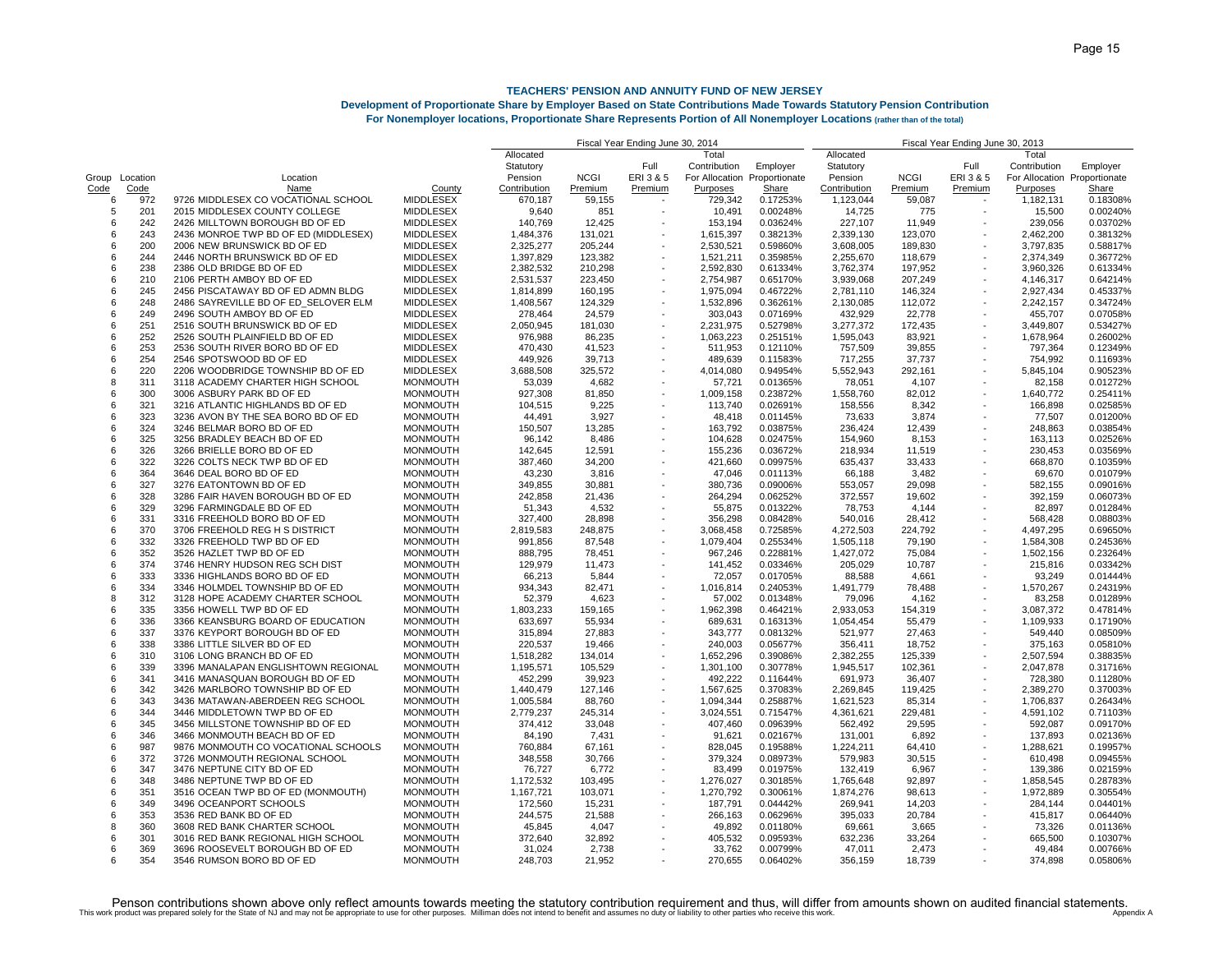## **Development of Proportionate Share by Employer Based on State Contributions Made Towards Statutory Pension Contribution**

|       |          |                                      |                  | Fiscal Year Ending June 30, 2014 | Fiscal Year Ending June 30, 2013 |                          |              |                              |                   |             |                          |                              |          |
|-------|----------|--------------------------------------|------------------|----------------------------------|----------------------------------|--------------------------|--------------|------------------------------|-------------------|-------------|--------------------------|------------------------------|----------|
|       |          |                                      |                  | Allocated                        |                                  |                          | Total        |                              | Allocated         |             |                          | Total                        |          |
|       |          |                                      |                  | Statutory                        |                                  | Full                     | Contribution | Employer                     | Statutory         |             | Full                     | Contribution                 | Employer |
| Group | Location | Location                             |                  | Pension                          | <b>NCGI</b>                      | ERI 3 & 5                |              | For Allocation Proportionate | Pension           | <b>NCGI</b> | ERI 3 & 5                | For Allocation Proportionate |          |
| Code  | Code     | Name                                 | County           | Contribution                     | Premium                          | Premium                  | Purposes     | Share                        | Contribution      | Premium     | Premium                  | Purposes                     | Share    |
| 6     | 972      | 9726 MIDDLESEX CO VOCATIONAL SCHOOL  | <b>MIDDLESEX</b> | 670,187                          | 59,155                           |                          | 729,342      | 0.17253%                     | 1,123,044         | 59,087      |                          | 1,182,131                    | 0.18308% |
| 5     | 201      | 2015 MIDDLESEX COUNTY COLLEGE        | <b>MIDDLESEX</b> | 9,640                            | 851                              |                          | 10,491       | 0.00248%                     | 14,725            | 775         |                          | 15,500                       | 0.00240% |
| 6     | 242      | 2426 MILLTOWN BOROUGH BD OF ED       | <b>MIDDLESEX</b> | 140,769                          | 12,425                           |                          | 153,194      | 0.03624%                     | 227,107           | 11,949      |                          | 239,056                      | 0.03702% |
| 6     | 243      | 2436 MONROE TWP BD OF ED (MIDDLESEX) | <b>MIDDLESEX</b> | 1,484,376                        | 131,021                          |                          | 1,615,397    | 0.38213%                     | 2,339,130         | 123,070     |                          | 2,462,200                    | 0.38132% |
| 6     | 200      | 2006 NEW BRUNSWICK BD OF ED          | <b>MIDDLESEX</b> | 2,325,277                        | 205,244                          |                          | 2,530,521    | 0.59860%                     | 3,608,005         | 189,830     |                          | 3,797,835                    | 0.58817% |
| 6     | 244      | 2446 NORTH BRUNSWICK BD OF ED        | <b>MIDDLESEX</b> | 1,397,829                        | 123,382                          |                          | 1,521,211    | 0.35985%                     | 2,255,670         | 118,679     |                          | 2,374,349                    | 0.36772% |
| 6     | 238      | 2386 OLD BRIDGE BD OF ED             | <b>MIDDLESEX</b> | 2,382,532                        | 210,298                          |                          | 2,592,830    | 0.61334%                     | 3,762,374         | 197,952     |                          | 3,960,326                    | 0.61334% |
| 6     | 210      | 2106 PERTH AMBOY BD OF ED            | <b>MIDDLESEX</b> | 2,531,537                        | 223,450                          |                          | 2,754,987    | 0.65170%                     | 3,939,068         | 207,249     |                          | 4,146,317                    | 0.64214% |
| 6     | 245      | 2456 PISCATAWAY BD OF ED ADMN BLDG   | <b>MIDDLESEX</b> | 1,814,899                        | 160,195                          |                          | 1,975,094    | 0.46722%                     | 2,781,110         | 146,324     |                          | 2,927,434                    | 0.45337% |
| 6     | 248      | 2486 SAYREVILLE BD OF ED_SELOVER ELM | <b>MIDDLESEX</b> | 1,408,567                        | 124,329                          |                          | 1,532,896    | 0.36261%                     | 2,130,085         | 112,072     |                          | 2,242,157                    | 0.34724% |
| 6     | 249      | 2496 SOUTH AMBOY BD OF ED            | MIDDLESEX        | 278,464                          | 24,579                           |                          | 303,043      | 0.07169%                     | 432,929           | 22,778      |                          | 455,707                      | 0.07058% |
| 6     | 251      | 2516 SOUTH BRUNSWICK BD OF ED        | <b>MIDDLESEX</b> | 2,050,945                        | 181.030                          |                          | 2,231,975    | 0.52798%                     | 3,277,372         | 172,435     | $\overline{\phantom{a}}$ | 3,449,807                    | 0.53427% |
| 6     | 252      | 2526 SOUTH PLAINFIELD BD OF ED       | <b>MIDDLESEX</b> | 976,988                          | 86,235                           |                          | 1,063,223    | 0.25151%                     | 1,595,043         | 83,921      |                          | 1,678,964                    | 0.26002% |
| 6     | 253      | 2536 SOUTH RIVER BORO BD OF ED       | <b>MIDDLESEX</b> | 470.430                          | 41.523                           |                          | 511,953      | 0.12110%                     | 757,509           | 39,855      |                          | 797.364                      | 0.12349% |
| 6     | 254      | 2546 SPOTSWOOD BD OF ED              | <b>MIDDLESEX</b> | 449,926                          | 39,713                           |                          | 489,639      | 0.11583%                     | 717,255           | 37,737      |                          | 754,992                      | 0.11693% |
| 6     | 220      | 2206 WOODBRIDGE TOWNSHIP BD OF ED    | <b>MIDDLESEX</b> | 3,688,508                        | 325,572                          |                          | 4,014,080    | 0.94954%                     | 5,552,943         | 292,161     |                          | 5,845,104                    | 0.90523% |
| 8     | 311      | 3118 ACADEMY CHARTER HIGH SCHOOL     | <b>MONMOUTH</b>  | 53,039                           | 4,682                            |                          | 57,721       | 0.01365%                     | 78,051            | 4,107       |                          | 82,158                       | 0.01272% |
| 6     | 300      | 3006 ASBURY PARK BD OF ED            | <b>MONMOUTH</b>  | 927,308                          | 81,850                           |                          | 1,009,158    | 0.23872%                     | 1,558,760         | 82,012      |                          | 1,640,772                    | 0.25411% |
| 6     | 321      | 3216 ATLANTIC HIGHLANDS BD OF ED     | <b>MONMOUTH</b>  | 104,515                          | 9,225                            |                          | 113,740      | 0.02691%                     | 158,556           | 8,342       |                          | 166,898                      | 0.02585% |
| 6     | 323      | 3236 AVON BY THE SEA BORO BD OF ED   | <b>MONMOUTH</b>  |                                  | 3,927                            |                          | 48,418       |                              |                   |             |                          |                              | 0.01200% |
| 6     | 324      | 3246 BELMAR BORO BD OF ED            | <b>MONMOUTH</b>  | 44,491                           | 13,285                           |                          | 163,792      | 0.01145%<br>0.03875%         | 73,633<br>236,424 | 3,874       |                          | 77,507<br>248,863            | 0.03854% |
|       |          |                                      |                  | 150,507                          |                                  |                          |              |                              |                   | 12,439      |                          |                              |          |
| 6     | 325      | 3256 BRADLEY BEACH BD OF ED          | <b>MONMOUTH</b>  | 96,142                           | 8,486                            |                          | 104,628      | 0.02475%                     | 154,960           | 8,153       |                          | 163,113                      | 0.02526% |
| 6     | 326      | 3266 BRIELLE BORO BD OF ED           | <b>MONMOUTH</b>  | 142,645                          | 12,591                           |                          | 155,236      | 0.03672%                     | 218,934           | 11,519      |                          | 230,453                      | 0.03569% |
| 6     | 322      | 3226 COLTS NECK TWP BD OF ED         | <b>MONMOUTH</b>  | 387,460                          | 34,200                           |                          | 421,660      | 0.09975%                     | 635,437           | 33,433      |                          | 668,870                      | 0.10359% |
| 6     | 364      | 3646 DEAL BORO BD OF ED              | <b>MONMOUTH</b>  | 43,230                           | 3,816                            |                          | 47,046       | 0.01113%                     | 66,188            | 3,482       |                          | 69,670                       | 0.01079% |
| 6     | 327      | 3276 EATONTOWN BD OF ED              | <b>MONMOUTH</b>  | 349,855                          | 30,881                           |                          | 380,736      | 0.09006%                     | 553,057           | 29,098      |                          | 582,155                      | 0.09016% |
| 6     | 328      | 3286 FAIR HAVEN BOROUGH BD OF ED     | <b>MONMOUTH</b>  | 242,858                          | 21,436                           |                          | 264,294      | 0.06252%                     | 372,557           | 19,602      |                          | 392,159                      | 0.06073% |
| 6     | 329      | 3296 FARMINGDALE BD OF ED            | <b>MONMOUTH</b>  | 51,343                           | 4.532                            |                          | 55,875       | 0.01322%                     | 78,753            | 4,144       |                          | 82.897                       | 0.01284% |
| 6     | 331      | 3316 FREEHOLD BORO BD OF ED          | <b>MONMOUTH</b>  | 327,400                          | 28,898                           |                          | 356,298      | 0.08428%                     | 540,016           | 28,412      |                          | 568,428                      | 0.08803% |
| 6     | 370      | 3706 FREEHOLD REG H S DISTRICT       | <b>MONMOUTH</b>  | 2,819,583                        | 248,875                          |                          | 3,068,458    | 0.72585%                     | 4,272,503         | 224,792     |                          | 4,497,295                    | 0.69650% |
| 6     | 332      | 3326 FREEHOLD TWP BD OF ED           | <b>MONMOUTH</b>  | 991,856                          | 87,548                           |                          | 1,079,404    | 0.25534%                     | 1,505,118         | 79,190      |                          | 1,584,308                    | 0.24536% |
| 6     | 352      | 3526 HAZLET TWP BD OF ED             | <b>MONMOUTH</b>  | 888,795                          | 78,451                           |                          | 967,246      | 0.22881%                     | 1,427,072         | 75,084      |                          | 1,502,156                    | 0.23264% |
| 6     | 374      | 3746 HENRY HUDSON REG SCH DIST       | <b>MONMOUTH</b>  | 129,979                          | 11,473                           |                          | 141,452      | 0.03346%                     | 205,029           | 10,787      |                          | 215,816                      | 0.03342% |
| 6     | 333      | 3336 HIGHLANDS BORO BD OF ED         | <b>MONMOUTH</b>  | 66,213                           | 5,844                            |                          | 72,057       | 0.01705%                     | 88,588            | 4,661       |                          | 93,249                       | 0.01444% |
| 6     | 334      | 3346 HOLMDEL TOWNSHIP BD OF ED       | <b>MONMOUTH</b>  | 934,343                          | 82,471                           |                          | 1,016,814    | 0.24053%                     | 1,491,779         | 78,488      |                          | 1,570,267                    | 0.24319% |
| 8     | 312      | 3128 HOPE ACADEMY CHARTER SCHOOL     | <b>MONMOUTH</b>  | 52,379                           | 4,623                            |                          | 57,002       | 0.01348%                     | 79,096            | 4,162       |                          | 83,258                       | 0.01289% |
| 6     | 335      | 3356 HOWELL TWP BD OF ED             | <b>MONMOUTH</b>  | 1,803,233                        | 159.165                          |                          | 1,962,398    | 0.46421%                     | 2.933.053         | 154,319     | $\overline{\phantom{a}}$ | 3.087.372                    | 0.47814% |
| 6     | 336      | 3366 KEANSBURG BOARD OF EDUCATION    | <b>MONMOUTH</b>  | 633,697                          | 55,934                           |                          | 689,631      | 0.16313%                     | 1,054,454         | 55,479      | $\sim$                   | 1,109,933                    | 0.17190% |
| 6     | 337      | 3376 KEYPORT BOROUGH BD OF ED        | <b>MONMOUTH</b>  | 315,894                          | 27,883                           |                          | 343,777      | 0.08132%                     | 521,977           | 27,463      |                          | 549,440                      | 0.08509% |
| 6     | 338      | 3386 LITTLE SILVER BD OF ED          | <b>MONMOUTH</b>  | 220,537                          | 19,466                           |                          | 240,003      | 0.05677%                     | 356,411           | 18,752      |                          | 375,163                      | 0.05810% |
| 6     | 310      | 3106 LONG BRANCH BD OF ED            | <b>MONMOUTH</b>  | 1,518,282                        | 134,014                          |                          | 1,652,296    | 0.39086%                     | 2,382,255         | 125,339     |                          | 2,507,594                    | 0.38835% |
| 6     | 339      | 3396 MANALAPAN ENGLISHTOWN REGIONAL  | <b>MONMOUTH</b>  | 1,195,571                        | 105,529                          |                          | 1,301,100    | 0.30778%                     | 1,945,517         | 102,361     |                          | 2,047,878                    | 0.31716% |
| 6     | 341      | 3416 MANASQUAN BOROUGH BD OF ED      | <b>MONMOUTH</b>  | 452,299                          | 39,923                           |                          | 492,222      | 0.11644%                     | 691,973           | 36,407      |                          | 728,380                      | 0.11280% |
| 6     | 342      | 3426 MARLBORO TOWNSHIP BD OF ED      | <b>MONMOUTH</b>  | 1,440,479                        | 127,146                          | $\overline{\phantom{a}}$ | 1,567,625    | 0.37083%                     | 2,269,845         | 119,425     | $\overline{\phantom{a}}$ | 2,389,270                    | 0.37003% |
| 6     | 343      | 3436 MATAWAN-ABERDEEN REG SCHOOL     | <b>MONMOUTH</b>  | 1,005,584                        | 88,760                           |                          | 1,094,344    | 0.25887%                     | 1,621,523         | 85,314      |                          | 1,706,837                    | 0.26434% |
| 6     | 344      | 3446 MIDDLETOWN TWP BD OF ED         | <b>MONMOUTH</b>  | 2,779,237                        | 245,314                          |                          | 3,024,551    | 0.71547%                     | 4,361,621         | 229,481     |                          | 4,591,102                    | 0.71103% |
| 6     | 345      | 3456 MILLSTONE TOWNSHIP BD OF ED     | <b>MONMOUTH</b>  | 374,412                          | 33,048                           |                          | 407,460      | 0.09639%                     | 562,492           | 29,595      |                          | 592,087                      | 0.09170% |
| 6     | 346      | 3466 MONMOUTH BEACH BD OF ED         | <b>MONMOUTH</b>  | 84.190                           | 7,431                            |                          | 91,621       | 0.02167%                     | 131,001           | 6,892       |                          | 137,893                      | 0.02136% |
| 6     | 987      | 9876 MONMOUTH CO VOCATIONAL SCHOOLS  | <b>MONMOUTH</b>  | 760,884                          | 67,161                           |                          | 828,045      | 0.19588%                     | 1,224,211         | 64,410      | ÷,                       | 1,288,621                    | 0.19957% |
| 6     | 372      | 3726 MONMOUTH REGIONAL SCHOOL        | <b>MONMOUTH</b>  | 348,558                          | 30,766                           |                          | 379,324      | 0.08973%                     | 579,983           | 30,515      |                          | 610,498                      | 0.09455% |
| 6     | 347      | 3476 NEPTUNE CITY BD OF ED           | <b>MONMOUTH</b>  | 76,727                           | 6.772                            |                          | 83,499       | 0.01975%                     | 132,419           | 6,967       |                          | 139,386                      | 0.02159% |
| 6     | 348      | 3486 NEPTUNE TWP BD OF ED            | <b>MONMOUTH</b>  | 1,172,532                        | 103,495                          |                          | 1,276,027    | 0.30185%                     | 1,765,648         | 92,897      |                          | 1,858,545                    | 0.28783% |
| 6     | 351      | 3516 OCEAN TWP BD OF ED (MONMOUTH)   | <b>MONMOUTH</b>  | 1,167,721                        | 103,071                          |                          | 1,270,792    | 0.30061%                     | 1,874,276         | 98,613      |                          | 1,972,889                    | 0.30554% |
| 6     | 349      | 3496 OCEANPORT SCHOOLS               | <b>MONMOUTH</b>  | 172,560                          | 15,231                           |                          | 187,791      | 0.04442%                     | 269,941           | 14,203      |                          | 284,144                      | 0.04401% |
| 6     | 353      | 3536 RED BANK BD OF ED               | <b>MONMOUTH</b>  | 244,575                          | 21,588                           |                          | 266,163      | 0.06296%                     | 395,033           | 20,784      |                          | 415,817                      | 0.06440% |
| 8     | 360      | 3608 RED BANK CHARTER SCHOOL         | <b>MONMOUTH</b>  | 45,845                           | 4,047                            |                          | 49,892       | 0.01180%                     | 69,661            | 3,665       |                          | 73,326                       | 0.01136% |
| 6     | 301      | 3016 RED BANK REGIONAL HIGH SCHOOL   | <b>MONMOUTH</b>  | 372,640                          | 32,892                           |                          | 405,532      | 0.09593%                     | 632,236           | 33,264      |                          | 665,500                      | 0.10307% |
| 6     | 369      | 3696 ROOSEVELT BOROUGH BD OF ED      | <b>MONMOUTH</b>  | 31,024                           | 2,738                            |                          | 33,762       | 0.00799%                     | 47,011            | 2,473       |                          | 49,484                       | 0.00766% |
| 6     | 354      | 3546 RUMSON BORO BD OF ED            | <b>MONMOUTH</b>  | 248.703                          | 21.952                           |                          | 270.655      | 0.06402%                     | 356.159           | 18.739      |                          | 374.898                      | 0.05806% |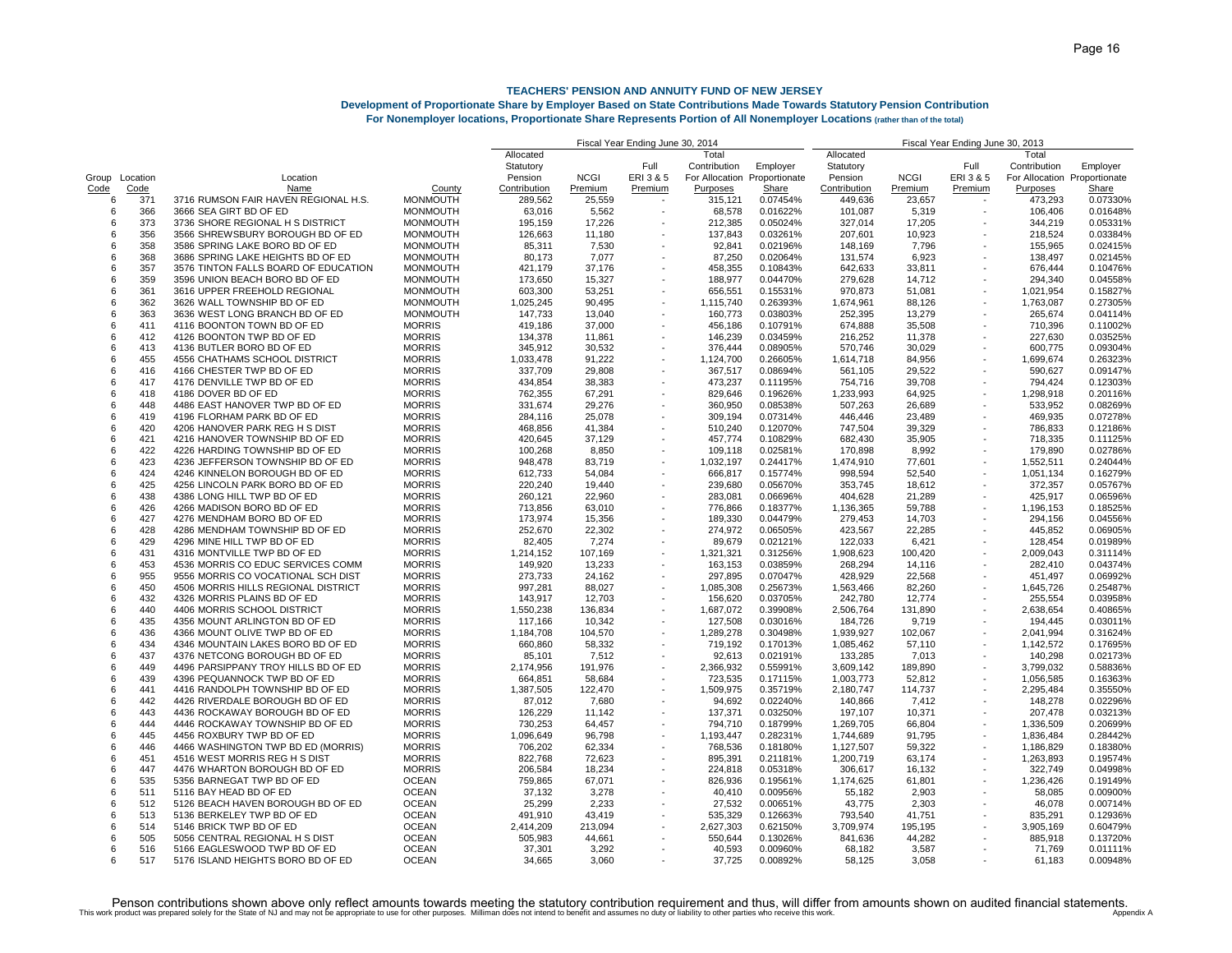## **Development of Proportionate Share by Employer Based on State Contributions Made Towards Statutory Pension Contribution**

|  |  |  |  | For Nonemplover locations, Proportionate Share Represents Portion of All Nonemplover Locations (rather than of the total) |
|--|--|--|--|---------------------------------------------------------------------------------------------------------------------------|
|  |  |  |  |                                                                                                                           |

|        |            |                                      |                 |                    |                  | Fiscal Year Ending June 30, 2014 |              |                              |                    | Fiscal Year Ending June 30, 2013 |                          |                              |          |  |
|--------|------------|--------------------------------------|-----------------|--------------------|------------------|----------------------------------|--------------|------------------------------|--------------------|----------------------------------|--------------------------|------------------------------|----------|--|
|        |            |                                      |                 | Allocated          |                  |                                  | Total        |                              | Allocated          |                                  |                          | Total                        |          |  |
|        |            |                                      |                 | Statutory          |                  | Full                             | Contribution | Employer                     | Statutory          |                                  | Full                     | Contribution                 | Employer |  |
| Group  | Location   | Location                             |                 | Pension            | <b>NCGI</b>      | ERI 3 & 5                        |              | For Allocation Proportionate | Pension            | <b>NCGI</b>                      | ERI 3 & 5                | For Allocation Proportionate |          |  |
| Code   | Code       | Name                                 | County          | Contribution       | Premium          | Premium                          | Purposes     | Share                        | Contribution       | Premium                          | Premium                  | Purposes                     | Share    |  |
| 6      | 371        | 3716 RUMSON FAIR HAVEN REGIONAL H.S. | <b>MONMOUTH</b> | 289,562            | 25,559           |                                  | 315,121      | 0.07454%                     | 449,636            | 23,657                           |                          | 473,293                      | 0.07330% |  |
| 6      | 366        | 3666 SEA GIRT BD OF ED               | <b>MONMOUTH</b> | 63,016             | 5.562            |                                  | 68,578       | 0.01622%                     | 101,087            | 5,319                            |                          | 106,406                      | 0.01648% |  |
| 6      | 373        | 3736 SHORE REGIONAL H S DISTRICT     | <b>MONMOUTH</b> | 195,159            | 17,226           |                                  | 212,385      | 0.05024%                     | 327,014            | 17,205                           |                          | 344,219                      | 0.05331% |  |
| 6      | 356        | 3566 SHREWSBURY BOROUGH BD OF ED     | <b>MONMOUTH</b> | 126,663            | 11,180           |                                  | 137,843      | 0.03261%                     | 207,601            | 10,923                           |                          | 218,524                      | 0.03384% |  |
| 6      | 358        | 3586 SPRING LAKE BORO BD OF ED       | <b>MONMOUTH</b> | 85,311             | 7,530            |                                  | 92,841       | 0.02196%                     | 148,169            | 7,796                            |                          | 155,965                      | 0.02415% |  |
| 6      | 368        | 3686 SPRING LAKE HEIGHTS BD OF ED    | <b>MONMOUTH</b> | 80,173             | 7,077            |                                  | 87,250       | 0.02064%                     | 131,574            | 6,923                            |                          | 138,497                      | 0.02145% |  |
| 6      | 357        | 3576 TINTON FALLS BOARD OF EDUCATION | <b>MONMOUTH</b> | 421,179            | 37,176           |                                  | 458,355      | 0.10843%                     | 642,633            | 33,811                           |                          | 676,444                      | 0.10476% |  |
| 6      | 359        | 3596 UNION BEACH BORO BD OF ED       | <b>MONMOUTH</b> | 173,650            | 15,327           |                                  | 188,977      | 0.04470%                     | 279,628            | 14,712                           |                          | 294,340                      | 0.04558% |  |
| 6      | 361        | 3616 UPPER FREEHOLD REGIONAL         | <b>MONMOUTH</b> | 603,300            | 53,251           |                                  | 656,551      | 0.15531%                     | 970,873            | 51,081                           |                          | 1,021,954                    | 0.15827% |  |
| 6      | 362        | 3626 WALL TOWNSHIP BD OF ED          | <b>MONMOUTH</b> | 1,025,245          | 90,495           |                                  | 1,115,740    | 0.26393%                     | 1,674,961          | 88,126                           |                          | 1,763,087                    | 0.27305% |  |
| 6      | 363        | 3636 WEST LONG BRANCH BD OF ED       | <b>MONMOUTH</b> | 147,733            | 13,040           |                                  | 160,773      | 0.03803%                     | 252,395            | 13,279                           |                          | 265,674                      | 0.04114% |  |
| 6      | 411        | 4116 BOONTON TOWN BD OF ED           | <b>MORRIS</b>   | 419,186            | 37.000           |                                  | 456,186      | 0.10791%                     | 674,888            | 35,508                           |                          | 710.396                      | 0.11002% |  |
| 6      | 412        | 4126 BOONTON TWP BD OF ED            | <b>MORRIS</b>   | 134,378            | 11,861           |                                  | 146,239      | 0.03459%                     | 216,252            | 11,378                           |                          | 227,630                      | 0.03525% |  |
| 6      | 413        | 4136 BUTLER BORO BD OF ED            | <b>MORRIS</b>   | 345.912            | 30.532           |                                  | 376.444      | 0.08905%                     | 570.746            | 30.029                           |                          | 600.775                      | 0.09304% |  |
| 6      | 455        | 4556 CHATHAMS SCHOOL DISTRICT        | <b>MORRIS</b>   | 1,033,478          | 91,222           |                                  | 1,124,700    | 0.26605%                     | 1,614,718          | 84,956                           |                          | 1,699,674                    | 0.26323% |  |
| 6      | 416        | 4166 CHESTER TWP BD OF ED            | <b>MORRIS</b>   | 337,709            | 29,808           |                                  | 367,517      | 0.08694%                     | 561,105            | 29,522                           |                          | 590,627                      | 0.09147% |  |
| 6      | 417        | 4176 DENVILLE TWP BD OF ED           | <b>MORRIS</b>   | 434,854            | 38,383           |                                  | 473,237      | 0.11195%                     | 754,716            | 39,708                           |                          | 794,424                      | 0.12303% |  |
| 6      | 418        | 4186 DOVER BD OF ED                  | <b>MORRIS</b>   | 762,355            | 67,291           |                                  | 829,646      | 0.19626%                     | 1,233,993          | 64,925                           |                          | 1,298,918                    | 0.20116% |  |
| 6      | 448        | 4486 EAST HANOVER TWP BD OF ED       | <b>MORRIS</b>   | 331,674            | 29,276           |                                  | 360,950      | 0.08538%                     | 507,263            | 26,689                           |                          | 533,952                      | 0.08269% |  |
| 6      |            | 4196 FLORHAM PARK BD OF ED           | <b>MORRIS</b>   |                    |                  |                                  | 309,194      |                              |                    |                                  |                          |                              | 0.07278% |  |
| 6      | 419<br>420 | 4206 HANOVER PARK REG H S DIST       | <b>MORRIS</b>   | 284,116<br>468,856 | 25,078<br>41,384 |                                  | 510,240      | 0.07314%<br>0.12070%         | 446,446<br>747,504 | 23,489                           |                          | 469,935<br>786,833           | 0.12186% |  |
|        |            |                                      |                 |                    |                  |                                  |              |                              |                    | 39,329                           |                          |                              |          |  |
| 6<br>6 | 421        | 4216 HANOVER TOWNSHIP BD OF ED       | <b>MORRIS</b>   | 420,645            | 37,129           |                                  | 457,774      | 0.10829%                     | 682,430            | 35,905                           |                          | 718,335                      | 0.11125% |  |
|        | 422        | 4226 HARDING TOWNSHIP BD OF ED       | <b>MORRIS</b>   | 100,268            | 8,850            |                                  | 109,118      | 0.02581%                     | 170,898            | 8,992                            |                          | 179,890                      | 0.02786% |  |
| 6      | 423        | 4236 JEFFERSON TOWNSHIP BD OF ED     | <b>MORRIS</b>   | 948,478            | 83,719           |                                  | 1,032,197    | 0.24417%                     | 1,474,910          | 77,601                           |                          | 1,552,511                    | 0.24044% |  |
| 6      | 424        | 4246 KINNELON BOROUGH BD OF ED       | <b>MORRIS</b>   | 612,733            | 54.084           |                                  | 666,817      | 0.15774%                     | 998,594            | 52,540                           |                          | 1,051,134                    | 0.16279% |  |
| 6      | 425        | 4256 LINCOLN PARK BORO BD OF ED      | <b>MORRIS</b>   | 220,240            | 19,440           |                                  | 239,680      | 0.05670%                     | 353,745            | 18,612                           |                          | 372,357                      | 0.05767% |  |
| 6      | 438        | 4386 LONG HILL TWP BD OF ED          | <b>MORRIS</b>   | 260,121            | 22,960           |                                  | 283,081      | 0.06696%                     | 404,628            | 21,289                           |                          | 425,917                      | 0.06596% |  |
| 6      | 426        | 4266 MADISON BORO BD OF ED           | <b>MORRIS</b>   | 713,856            | 63.010           |                                  | 776,866      | 0.18377%                     | 1,136,365          | 59,788                           |                          | 1,196,153                    | 0.18525% |  |
| 6      | 427        | 4276 MENDHAM BORO BD OF ED           | <b>MORRIS</b>   | 173,974            | 15,356           |                                  | 189,330      | 0.04479%                     | 279,453            | 14,703                           |                          | 294,156                      | 0.04556% |  |
| 6      | 428        | 4286 MENDHAM TOWNSHIP BD OF ED       | <b>MORRIS</b>   | 252,670            | 22,302           |                                  | 274,972      | 0.06505%                     | 423,567            | 22,285                           |                          | 445,852                      | 0.06905% |  |
| 6      | 429        | 4296 MINE HILL TWP BD OF ED          | <b>MORRIS</b>   | 82,405             | 7,274            |                                  | 89,679       | 0.02121%                     | 122,033            | 6,421                            |                          | 128,454                      | 0.01989% |  |
| 6      | 431        | 4316 MONTVILLE TWP BD OF ED          | <b>MORRIS</b>   | 1,214,152          | 107,169          |                                  | 1,321,321    | 0.31256%                     | 1,908,623          | 100,420                          |                          | 2,009,043                    | 0.31114% |  |
| 6      | 453        | 4536 MORRIS CO EDUC SERVICES COMM    | <b>MORRIS</b>   | 149,920            | 13,233           |                                  | 163,153      | 0.03859%                     | 268,294            | 14,116                           |                          | 282,410                      | 0.04374% |  |
| 6      | 955        | 9556 MORRIS CO VOCATIONAL SCH DIST   | <b>MORRIS</b>   | 273,733            | 24,162           |                                  | 297,895      | 0.07047%                     | 428,929            | 22,568                           |                          | 451,497                      | 0.06992% |  |
| 6      | 450        | 4506 MORRIS HILLS REGIONAL DISTRICT  | <b>MORRIS</b>   | 997,281            | 88,027           |                                  | 1,085,308    | 0.25673%                     | 1,563,466          | 82,260                           |                          | 1,645,726                    | 0.25487% |  |
| 6      | 432        | 4326 MORRIS PLAINS BD OF ED          | <b>MORRIS</b>   | 143,917            | 12,703           |                                  | 156,620      | 0.03705%                     | 242,780            | 12,774                           |                          | 255,554                      | 0.03958% |  |
| 6      | 440        | 4406 MORRIS SCHOOL DISTRICT          | <b>MORRIS</b>   | 1,550,238          | 136.834          |                                  | 1,687,072    | 0.39908%                     | 2,506,764          | 131.890                          |                          | 2.638.654                    | 0.40865% |  |
| 6      | 435        | 4356 MOUNT ARLINGTON BD OF ED        | <b>MORRIS</b>   | 117,166            | 10,342           | $\overline{\phantom{a}}$         | 127,508      | 0.03016%                     | 184,726            | 9,719                            |                          | 194,445                      | 0.03011% |  |
| 6      | 436        | 4366 MOUNT OLIVE TWP BD OF ED        | <b>MORRIS</b>   | 1,184,708          | 104,570          |                                  | 1,289,278    | 0.30498%                     | 1,939,927          | 102,067                          |                          | 2,041,994                    | 0.31624% |  |
| 6      | 434        | 4346 MOUNTAIN LAKES BORO BD OF ED    | <b>MORRIS</b>   | 660,860            | 58,332           |                                  | 719,192      | 0.17013%                     | 1,085,462          | 57,110                           |                          | 1,142,572                    | 0.17695% |  |
| 6      | 437        | 4376 NETCONG BOROUGH BD OF ED        | <b>MORRIS</b>   | 85,101             | 7,512            |                                  | 92,613       | 0.02191%                     | 133,285            | 7,013                            |                          | 140,298                      | 0.02173% |  |
| 6      | 449        | 4496 PARSIPPANY TROY HILLS BD OF ED  | <b>MORRIS</b>   | 2,174,956          | 191,976          |                                  | 2,366,932    | 0.55991%                     | 3,609,142          | 189,890                          |                          | 3,799,032                    | 0.58836% |  |
| 6      | 439        | 4396 PEQUANNOCK TWP BD OF ED         | <b>MORRIS</b>   | 664,851            | 58,684           |                                  | 723,535      | 0.17115%                     | 1,003,773          | 52,812                           |                          | 1,056,585                    | 0.16363% |  |
| 6      | 441        | 4416 RANDOLPH TOWNSHIP BD OF ED      | <b>MORRIS</b>   | 1,387,505          | 122,470          | $\overline{\phantom{a}}$         | 1,509,975    | 0.35719%                     | 2,180,747          | 114,737                          | $\overline{\phantom{a}}$ | 2,295,484                    | 0.35550% |  |
| 6      | 442        | 4426 RIVERDALE BOROUGH BD OF ED      | <b>MORRIS</b>   | 87,012             | 7,680            |                                  | 94,692       | 0.02240%                     | 140,866            | 7,412                            |                          | 148,278                      | 0.02296% |  |
| 6      | 443        | 4436 ROCKAWAY BOROUGH BD OF ED       | <b>MORRIS</b>   | 126,229            | 11,142           |                                  | 137,371      | 0.03250%                     | 197,107            | 10,371                           |                          | 207,478                      | 0.03213% |  |
| 6      | 444        | 4446 ROCKAWAY TOWNSHIP BD OF ED      | <b>MORRIS</b>   | 730,253            | 64,457           |                                  | 794,710      | 0.18799%                     | 1,269,705          | 66,804                           |                          | 1,336,509                    | 0.20699% |  |
| 6      | 445        | 4456 ROXBURY TWP BD OF ED            | <b>MORRIS</b>   | 1,096,649          | 96.798           |                                  | 1,193,447    | 0.28231%                     | 1,744,689          | 91,795                           |                          | 1,836,484                    | 0.28442% |  |
| 6      | 446        | 4466 WASHINGTON TWP BD ED (MORRIS)   | <b>MORRIS</b>   | 706,202            | 62,334           |                                  | 768,536      | 0.18180%                     | 1,127,507          | 59,322                           |                          | 1,186,829                    | 0.18380% |  |
| 6      | 451        | 4516 WEST MORRIS REG H S DIST        | <b>MORRIS</b>   | 822,768            | 72,623           |                                  | 895,391      | 0.21181%                     | 1,200,719          | 63,174                           |                          | 1,263,893                    | 0.19574% |  |
| 6      | 447        | 4476 WHARTON BOROUGH BD OF ED        | <b>MORRIS</b>   | 206,584            | 18.234           |                                  | 224,818      | 0.05318%                     | 306,617            | 16,132                           |                          | 322,749                      | 0.04998% |  |
| 6      | 535        | 5356 BARNEGAT TWP BD OF ED           | <b>OCEAN</b>    | 759,865            | 67,071           |                                  | 826,936      | 0.19561%                     | 1,174,625          | 61,801                           |                          | 1,236,426                    | 0.19149% |  |
| 6      | 511        | 5116 BAY HEAD BD OF ED               | <b>OCEAN</b>    | 37,132             | 3,278            |                                  | 40,410       | 0.00956%                     | 55,182             | 2,903                            |                          | 58,085                       | 0.00900% |  |
| 6      | 512        | 5126 BEACH HAVEN BOROUGH BD OF ED    | <b>OCEAN</b>    | 25,299             | 2,233            |                                  | 27,532       | 0.00651%                     | 43,775             | 2,303                            |                          | 46,078                       | 0.00714% |  |
| 6      | 513        | 5136 BERKELEY TWP BD OF ED           | <b>OCEAN</b>    | 491,910            | 43,419           |                                  | 535,329      | 0.12663%                     | 793,540            | 41,751                           |                          | 835,291                      | 0.12936% |  |
| 6      | 514        | 5146 BRICK TWP BD OF ED              | <b>OCEAN</b>    | 2,414,209          | 213,094          |                                  | 2,627,303    | 0.62150%                     | 3,709,974          | 195,195                          |                          | 3,905,169                    | 0.60479% |  |
| 6      | 505        | 5056 CENTRAL REGIONAL H S DIST       | <b>OCEAN</b>    | 505,983            | 44,661           |                                  | 550,644      | 0.13026%                     | 841,636            | 44,282                           |                          | 885,918                      | 0.13720% |  |
| 6      | 516        | 5166 EAGLESWOOD TWP BD OF ED         | <b>OCEAN</b>    | 37,301             | 3,292            |                                  | 40,593       | 0.00960%                     | 68,182             | 3,587                            |                          | 71,769                       | 0.01111% |  |
| հ      | 517        | 5176 ISLAND HEIGHTS BORO BD OF ED    | <b>OCEAN</b>    | 34.665             | 3.060            |                                  | 37.725       | 0.00892%                     | 58.125             | 3.058                            |                          | 61.183                       | 0.00948% |  |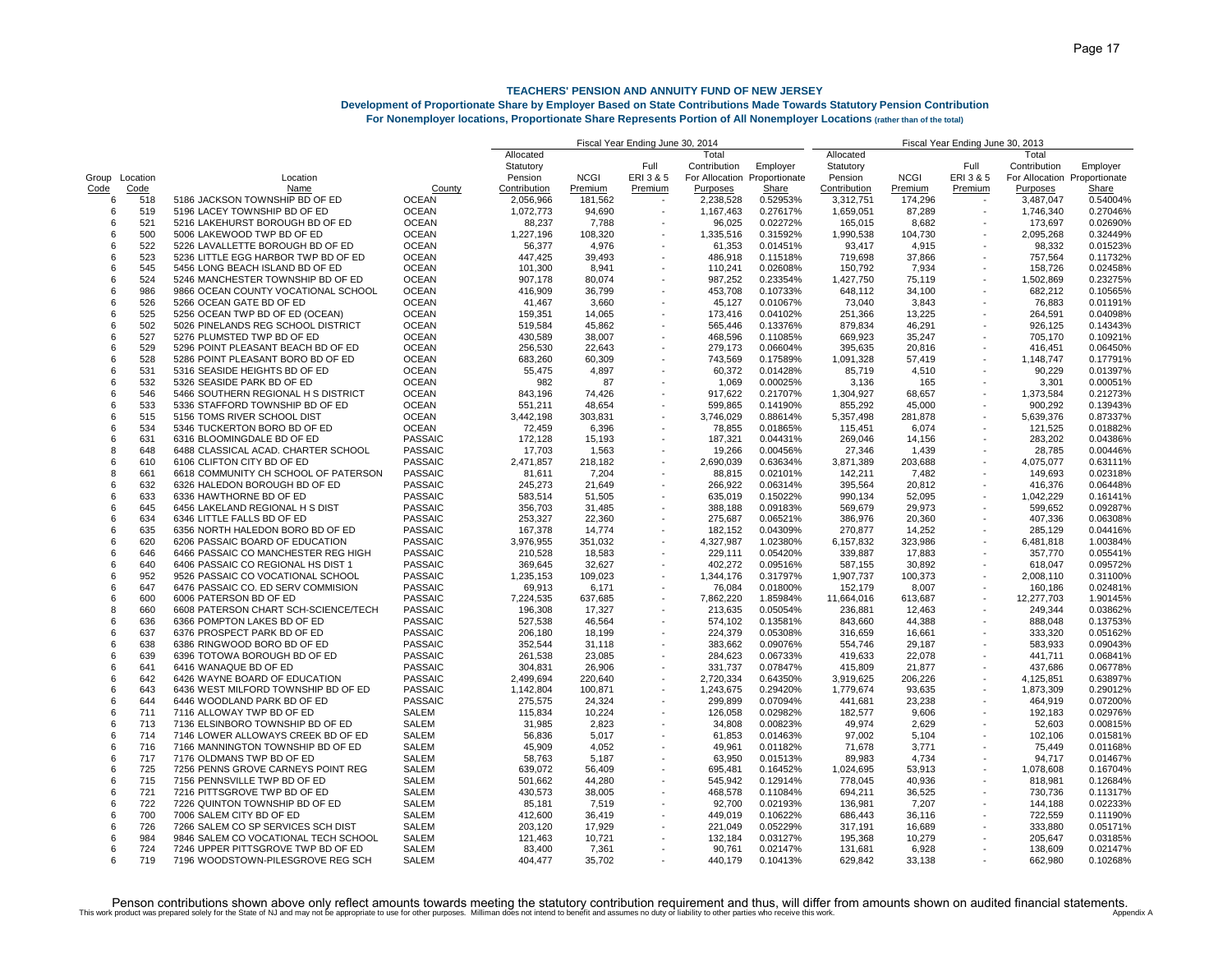## **Development of Proportionate Share by Employer Based on State Contributions Made Towards Statutory Pension Contribution**

|       |          |                                                          |                                | Fiscal Year Ending June 30, 2014 |                  | Fiscal Year Ending June 30, 2013 |                              |                      |              |                  |           |                      |                              |
|-------|----------|----------------------------------------------------------|--------------------------------|----------------------------------|------------------|----------------------------------|------------------------------|----------------------|--------------|------------------|-----------|----------------------|------------------------------|
|       |          |                                                          |                                | Allocated                        |                  |                                  | Total                        |                      | Allocated    |                  |           | Total                |                              |
|       |          |                                                          |                                | Statutory                        |                  | Full                             | Contribution                 | Employer             | Statutory    |                  | Full      | Contribution         | Employer                     |
| Group | Location | Location                                                 |                                | Pension                          | <b>NCGI</b>      | ERI 3 & 5                        | For Allocation Proportionate |                      | Pension      | <b>NCGI</b>      | ERI 3 & 5 |                      | For Allocation Proportionate |
| Code  | Code     | Name                                                     | County                         | Contribution                     | Premium          | Premium                          | Purposes                     | Share                | Contribution | Premium          | Premium   | Purposes             | Share                        |
| 6     | 518      | 5186 JACKSON TOWNSHIP BD OF ED                           | <b>OCEAN</b>                   | 2,056,966                        | 181.562          |                                  | 2,238,528                    | 0.52953%             | 3,312,751    | 174,296          |           | 3,487,047            | 0.54004%                     |
| 6     | 519      | 5196 LACEY TOWNSHIP BD OF ED                             | <b>OCEAN</b>                   | 1,072,773                        | 94,690           |                                  | 1,167,463                    | 0.27617%             | 1,659,051    | 87,289           |           | 1,746,340            | 0.27046%                     |
| 6     | 521      | 5216 LAKEHURST BOROUGH BD OF ED                          | <b>OCEAN</b>                   | 88,237                           | 7,788            |                                  | 96,025                       | 0.02272%             | 165,015      | 8,682            |           | 173,697              | 0.02690%                     |
| 6     | 500      | 5006 LAKEWOOD TWP BD OF ED                               | <b>OCEAN</b>                   | 1,227,196                        | 108,320          |                                  | 1,335,516                    | 0.31592%             | 1,990,538    | 104,730          |           | 2,095,268            | 0.32449%                     |
| 6     | 522      | 5226 LAVALLETTE BOROUGH BD OF ED                         | <b>OCEAN</b>                   | 56.377                           | 4.976            |                                  | 61,353                       | 0.01451%             | 93,417       | 4,915            |           | 98.332               | 0.01523%                     |
| 6     | 523      | 5236 LITTLE EGG HARBOR TWP BD OF ED                      | <b>OCEAN</b>                   | 447,425                          | 39,493           |                                  | 486,918                      | 0.11518%             | 719,698      | 37,866           |           | 757,564              | 0.11732%                     |
| 6     | 545      | 5456 LONG BEACH ISLAND BD OF ED                          | <b>OCEAN</b>                   | 101,300                          | 8,941            |                                  | 110,241                      | 0.02608%             | 150,792      | 7,934            |           | 158,726              | 0.02458%                     |
| 6     | 524      | 5246 MANCHESTER TOWNSHIP BD OF ED                        | <b>OCEAN</b>                   | 907,178                          | 80,074           |                                  | 987,252                      | 0.23354%             | 1,427,750    | 75,119           |           | 1,502,869            | 0.23275%                     |
| 6     | 986      | 9866 OCEAN COUNTY VOCATIONAL SCHOOL                      | <b>OCEAN</b>                   |                                  | 36,799           |                                  | 453,708                      | 0.10733%             | 648,112      | 34,100           |           | 682,212              | 0.10565%                     |
|       | 526      |                                                          |                                | 416,909                          |                  |                                  |                              |                      |              |                  |           |                      |                              |
| 6     |          | 5266 OCEAN GATE BD OF ED                                 | <b>OCEAN</b>                   | 41,467                           | 3,660            |                                  | 45,127                       | 0.01067%             | 73,040       | 3,843            |           | 76,883               | 0.01191%                     |
| 6     | 525      | 5256 OCEAN TWP BD OF ED (OCEAN)                          | <b>OCEAN</b>                   | 159,351                          | 14,065           |                                  | 173,416                      | 0.04102%             | 251,366      | 13,225           |           | 264,591              | 0.04098%                     |
| 6     | 502      | 5026 PINELANDS REG SCHOOL DISTRICT                       | <b>OCEAN</b>                   | 519,584                          | 45.862           |                                  | 565,446                      | 0.13376%             | 879,834      | 46,291           |           | 926.125              | 0.14343%                     |
| 6     | 527      | 5276 PLUMSTED TWP BD OF ED                               | <b>OCEAN</b>                   | 430,589                          | 38,007           |                                  | 468,596                      | 0.11085%             | 669,923      | 35,247           |           | 705,170              | 0.10921%                     |
| 6     | 529      | 5296 POINT PLEASANT BEACH BD OF ED                       | <b>OCEAN</b>                   | 256,530                          | 22,643           |                                  | 279,173                      | 0.06604%             | 395,635      | 20,816           |           | 416,451              | 0.06450%                     |
| 6     | 528      | 5286 POINT PLEASANT BORO BD OF ED                        | <b>OCEAN</b>                   | 683,260                          | 60,309           |                                  | 743,569                      | 0.17589%             | 1,091,328    | 57,419           |           | 1,148,747            | 0.17791%                     |
| 6     | 531      | 5316 SEASIDE HEIGHTS BD OF ED                            | <b>OCEAN</b>                   | 55,475                           | 4,897            |                                  | 60,372                       | 0.01428%             | 85,719       | 4,510            |           | 90,229               | 0.01397%                     |
| 6     | 532      | 5326 SEASIDE PARK BD OF ED                               | <b>OCEAN</b>                   | 982                              | 87               |                                  | 1,069                        | 0.00025%             | 3,136        | 165              |           | 3,301                | 0.00051%                     |
| 6     | 546      | 5466 SOUTHERN REGIONAL H S DISTRICT                      | <b>OCEAN</b>                   | 843,196                          | 74,426           |                                  | 917,622                      | 0.21707%             | 1,304,927    | 68,657           |           | 1,373,584            | 0.21273%                     |
| 6     | 533      | 5336 STAFFORD TOWNSHIP BD OF ED                          | <b>OCEAN</b>                   | 551,211                          | 48,654           |                                  | 599,865                      | 0.14190%             | 855,292      | 45,000           |           | 900,292              | 0.13943%                     |
| 6     | 515      | 5156 TOMS RIVER SCHOOL DIST                              | <b>OCEAN</b>                   | 3,442,198                        | 303,831          |                                  | 3,746,029                    | 0.88614%             | 5,357,498    | 281,878          |           | 5,639,376            | 0.87337%                     |
| 6     | 534      | 5346 TUCKERTON BORO BD OF ED                             | <b>OCEAN</b>                   | 72,459                           | 6,396            |                                  | 78,855                       | 0.01865%             | 115,451      | 6,074            |           | 121,525              | 0.01882%                     |
| 6     | 631      | 6316 BLOOMINGDALE BD OF ED                               | <b>PASSAIC</b>                 | 172,128                          | 15,193           |                                  | 187,321                      | 0.04431%             | 269,046      | 14,156           |           | 283,202              | 0.04386%                     |
| 8     | 648      | 6488 CLASSICAL ACAD. CHARTER SCHOOL                      | <b>PASSAIC</b>                 | 17,703                           | 1,563            |                                  | 19,266                       | 0.00456%             | 27,346       | 1,439            |           | 28,785               | 0.00446%                     |
| 6     | 610      | 6106 CLIFTON CITY BD OF ED                               | <b>PASSAIC</b>                 | 2,471,857                        | 218,182          |                                  | 2,690,039                    | 0.63634%             | 3,871,389    | 203,688          |           | 4,075,077            | 0.63111%                     |
| 8     | 661      | 6618 COMMUNITY CH SCHOOL OF PATERSON                     | <b>PASSAIC</b>                 | 81,611                           | 7,204            |                                  | 88,815                       | 0.02101%             | 142,211      | 7,482            |           | 149,693              | 0.02318%                     |
| 6     | 632      |                                                          | <b>PASSAIC</b>                 |                                  |                  |                                  |                              |                      | 395,564      |                  |           |                      |                              |
|       | 633      | 6326 HALEDON BOROUGH BD OF ED<br>6336 HAWTHORNE BD OF ED | <b>PASSAIC</b>                 | 245,273<br>583,514               | 21,649<br>51,505 |                                  | 266,922<br>635,019           | 0.06314%<br>0.15022% | 990,134      | 20,812<br>52,095 |           | 416,376<br>1,042,229 | 0.06448%<br>0.16141%         |
| 6     |          |                                                          |                                |                                  |                  |                                  |                              |                      |              |                  |           |                      |                              |
| 6     | 645      | 6456 LAKELAND REGIONAL H S DIST                          | <b>PASSAIC</b>                 | 356,703                          | 31,485           |                                  | 388,188                      | 0.09183%             | 569,679      | 29,973           |           | 599,652              | 0.09287%                     |
| 6     | 634      | 6346 LITTLE FALLS BD OF ED                               | <b>PASSAIC</b>                 | 253,327                          | 22,360           |                                  | 275,687                      | 0.06521%             | 386,976      | 20,360           |           | 407,336              | 0.06308%                     |
| 6     | 635      | 6356 NORTH HALEDON BORO BD OF ED                         | <b>PASSAIC</b>                 | 167,378                          | 14.774           |                                  | 182,152                      | 0.04309%             | 270,877      | 14,252           |           | 285.129              | 0.04416%                     |
| 6     | 620      | 6206 PASSAIC BOARD OF EDUCATION                          | <b>PASSAIC</b>                 | 3,976,955                        | 351,032          |                                  | 4,327,987                    | 1.02380%             | 6,157,832    | 323,986          |           | 6,481,818            | 1.00384%                     |
| 6     | 646      | 6466 PASSAIC CO MANCHESTER REG HIGH                      | <b>PASSAIC</b>                 | 210,528                          | 18,583           |                                  | 229,111                      | 0.05420%             | 339,887      | 17,883           |           | 357,770              | 0.05541%                     |
| 6     | 640      | 6406 PASSAIC CO REGIONAL HS DIST 1                       | <b>PASSAIC</b>                 | 369,645                          | 32,627           |                                  | 402,272                      | 0.09516%             | 587,155      | 30,892           |           | 618,047              | 0.09572%                     |
| 6     | 952      | 9526 PASSAIC CO VOCATIONAL SCHOOL                        | <b>PASSAIC</b>                 | 1,235,153                        | 109,023          | $\overline{\phantom{a}}$         | 1,344,176                    | 0.31797%             | 1,907,737    | 100,373          | $\sim$    | 2,008,110            | 0.31100%                     |
| 6     | 647      | 6476 PASSAIC CO. ED SERV COMMISION                       | <b>PASSAIC</b>                 | 69,913                           | 6,171            |                                  | 76,084                       | 0.01800%             | 152,179      | 8,007            |           | 160,186              | 0.02481%                     |
| 6     | 600      | 6006 PATERSON BD OF ED                                   | <b>PASSAIC</b>                 | 7,224,535                        | 637,685          |                                  | 7,862,220                    | 1.85984%             | 11,664,016   | 613,687          |           | 12,277,703           | 1.90145%                     |
| 8     | 660      | 6608 PATERSON CHART SCH-SCIENCE/TECH                     | <b>PASSAIC</b>                 | 196,308                          | 17,327           |                                  | 213,635                      | 0.05054%             | 236,881      | 12,463           |           | 249,344              | 0.03862%                     |
| 6     | 636      | 6366 POMPTON LAKES BD OF ED                              | <b>PASSAIC</b>                 | 527,538                          | 46,564           |                                  | 574,102                      | 0.13581%             | 843,660      | 44,388           |           | 888,048              | 0.13753%                     |
| 6     | 637      | 6376 PROSPECT PARK BD OF ED                              | <b>PASSAIC</b>                 | 206,180                          | 18,199           |                                  | 224,379                      | 0.05308%             | 316,659      | 16,661           |           | 333,320              | 0.05162%                     |
| 6     | 638      | 6386 RINGWOOD BORO BD OF ED                              | <b>PASSAIC</b>                 | 352,544                          | 31,118           |                                  | 383,662                      | 0.09076%             | 554,746      | 29,187           |           | 583,933              | 0.09043%                     |
| 6     | 639      | 6396 TOTOWA BOROUGH BD OF ED                             | <b>PASSAIC</b>                 | 261,538                          | 23,085           |                                  | 284,623                      | 0.06733%             | 419,633      | 22,078           |           | 441,711              | 0.06841%                     |
| 6     | 641      | 6416 WANAQUE BD OF ED                                    | <b>PASSAIC</b>                 | 304,831                          | 26,906           |                                  | 331,737                      | 0.07847%             | 415,809      | 21,877           |           | 437,686              | 0.06778%                     |
| 6     | 642      | 6426 WAYNE BOARD OF EDUCATION                            | <b>PASSAIC</b>                 | 2,499,694                        | 220.640          |                                  | 2,720,334                    | 0.64350%             | 3,919,625    | 206,226          |           | 4,125,851            | 0.63897%                     |
| 6     | 643      | 6436 WEST MILFORD TOWNSHIP BD OF ED                      | <b>PASSAIC</b>                 | 1,142,804                        | 100,871          |                                  | 1,243,675                    | 0.29420%             | 1,779,674    | 93,635           |           | 1,873,309            | 0.29012%                     |
| 6     | 644      |                                                          |                                |                                  |                  |                                  |                              |                      |              |                  |           |                      |                              |
|       |          | 6446 WOODLAND PARK BD OF ED                              | <b>PASSAIC</b><br><b>SALEM</b> | 275,575                          | 24,324           |                                  | 299,899                      | 0.07094%             | 441,681      | 23,238           |           | 464,919              | 0.07200%                     |
| 6     | 711      | 7116 ALLOWAY TWP BD OF ED                                |                                | 115,834                          | 10.224           |                                  | 126,058                      | 0.02982%             | 182,577      | 9.606            |           | 192.183              | 0.02976%                     |
| 6     | 713      | 7136 ELSINBORO TOWNSHIP BD OF ED                         | <b>SALEM</b>                   | 31,985                           | 2,823            |                                  | 34,808                       | 0.00823%             | 49,974       | 2,629            |           | 52,603               | 0.00815%                     |
| 6     | 714      | 7146 LOWER ALLOWAYS CREEK BD OF ED                       | <b>SALEM</b>                   | 56,836                           | 5,017            |                                  | 61,853                       | 0.01463%             | 97,002       | 5,104            |           | 102,106              | 0.01581%                     |
| 6     | 716      | 7166 MANNINGTON TOWNSHIP BD OF ED                        | <b>SALEM</b>                   | 45,909                           | 4,052            |                                  | 49,961                       | 0.01182%             | 71,678       | 3,771            |           | 75,449               | 0.01168%                     |
| 6     | 717      | 7176 OLDMANS TWP BD OF ED                                | SALEM                          | 58,763                           | 5,187            |                                  | 63,950                       | 0.01513%             | 89,983       | 4,734            |           | 94,717               | 0.01467%                     |
| 6     | 725      | 7256 PENNS GROVE CARNEYS POINT REG                       | <b>SALEM</b>                   | 639,072                          | 56,409           |                                  | 695,481                      | 0.16452%             | 1,024,695    | 53,913           |           | 1,078,608            | 0.16704%                     |
| 6     | 715      | 7156 PENNSVILLE TWP BD OF ED                             | <b>SALEM</b>                   | 501,662                          | 44,280           |                                  | 545,942                      | 0.12914%             | 778,045      | 40,936           |           | 818,981              | 0.12684%                     |
| 6     | 721      | 7216 PITTSGROVE TWP BD OF ED                             | <b>SALEM</b>                   | 430,573                          | 38.005           |                                  | 468.578                      | 0.11084%             | 694,211      | 36,525           |           | 730.736              | 0.11317%                     |
| 6     | 722      | 7226 QUINTON TOWNSHIP BD OF ED                           | <b>SALEM</b>                   | 85,181                           | 7,519            |                                  | 92,700                       | 0.02193%             | 136,981      | 7,207            |           | 144,188              | 0.02233%                     |
| 6     | 700      | 7006 SALEM CITY BD OF ED                                 | <b>SALEM</b>                   | 412,600                          | 36,419           |                                  | 449,019                      | 0.10622%             | 686,443      | 36,116           |           | 722,559              | 0.11190%                     |
| 6     | 726      | 7266 SALEM CO SP SERVICES SCH DIST                       | <b>SALEM</b>                   | 203,120                          | 17,929           |                                  | 221.049                      | 0.05229%             | 317,191      | 16,689           |           | 333,880              | 0.05171%                     |
| 6     | 984      | 9846 SALEM CO VOCATIONAL TECH SCHOOL                     | <b>SALEM</b>                   | 121,463                          | 10,721           |                                  | 132,184                      | 0.03127%             | 195,368      | 10,279           |           | 205,647              | 0.03185%                     |
| 6     | 724      | 7246 UPPER PITTSGROVE TWP BD OF ED                       | <b>SALEM</b>                   | 83,400                           | 7,361            |                                  | 90,761                       | 0.02147%             | 131,681      | 6,928            |           | 138,609              | 0.02147%                     |
| 6     | 719      | 7196 WOODSTOWN-PILESGROVE REG SCH                        | <b>SALEM</b>                   | 404.477                          | 35.702           |                                  | 440.179                      | 0.10413%             | 629.842      | 33.138           |           | 662.980              | 0.10268%                     |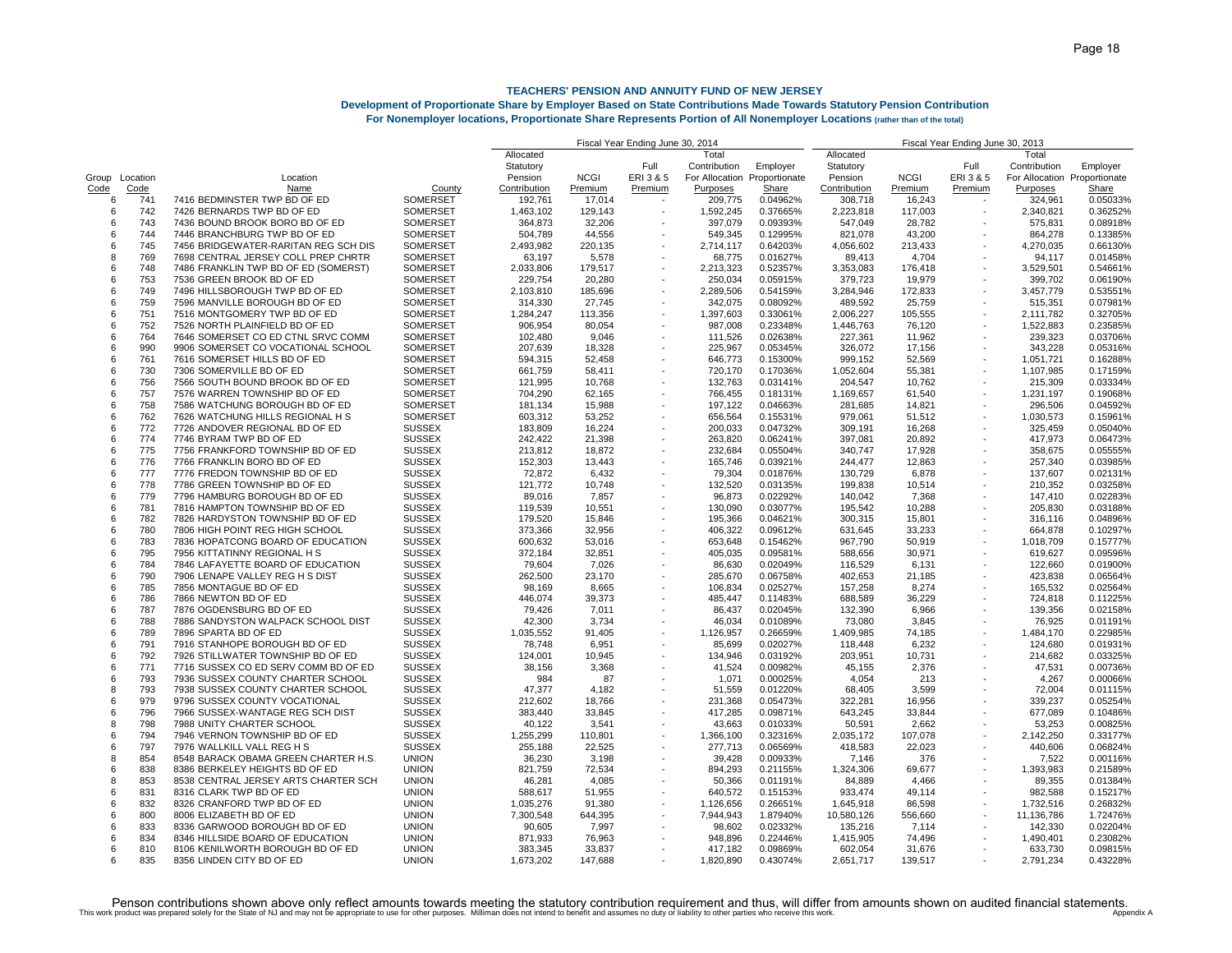## **Development of Proportionate Share by Employer Based on State Contributions Made Towards Statutory Pension Contribution**

| For Nonemplover locations, Proportionate Share Represents Portion of All Nonemplover Locations (rather than of the total) |  |  |  |  |
|---------------------------------------------------------------------------------------------------------------------------|--|--|--|--|
|---------------------------------------------------------------------------------------------------------------------------|--|--|--|--|

|       |          |                                      |                 | Fiscal Year Ending June 30, 2014 | Fiscal Year Ending June 30, 2013 |           |                              |          |              |             |                          |                              |          |
|-------|----------|--------------------------------------|-----------------|----------------------------------|----------------------------------|-----------|------------------------------|----------|--------------|-------------|--------------------------|------------------------------|----------|
|       |          |                                      |                 | Allocated                        |                                  |           | Total                        |          | Allocated    |             |                          | Total                        |          |
|       |          |                                      |                 | Statutory                        |                                  | Full      | Contribution                 | Employer | Statutory    |             | Full                     | Contribution                 | Employer |
| Group | Location | Location                             |                 | Pension                          | <b>NCGI</b>                      | ERI 3 & 5 | For Allocation Proportionate |          | Pension      | <b>NCGI</b> | ERI 3 & 5                | For Allocation Proportionate |          |
| Code  | Code     | Name                                 | County          | Contribution                     | Premium                          | Premium   | <b>Purposes</b>              | Share    | Contribution | Premium     | Premium                  | Purposes                     | Share    |
| 6     | 741      | 7416 BEDMINSTER TWP BD OF ED         | <b>SOMERSET</b> | 192,761                          | 17,014                           |           | 209,775                      | 0.04962% | 308,718      | 16,243      |                          | 324,961                      | 0.05033% |
| 6     | 742      | 7426 BERNARDS TWP BD OF ED           | <b>SOMERSET</b> | 1,463,102                        | 129.143                          |           | 1,592,245                    | 0.37665% | 2,223,818    | 117,003     |                          | 2,340,821                    | 0.36252% |
| 6     | 743      | 7436 BOUND BROOK BORO BD OF ED       | <b>SOMERSET</b> | 364,873                          | 32,206                           |           | 397,079                      | 0.09393% | 547,049      | 28,782      |                          | 575,831                      | 0.08918% |
| 6     | 744      | 7446 BRANCHBURG TWP BD OF ED         | <b>SOMERSET</b> | 504,789                          | 44,556                           |           | 549,345                      | 0.12995% | 821,078      | 43,200      |                          | 864,278                      | 0.13385% |
| 6     | 745      | 7456 BRIDGEWATER-RARITAN REG SCH DIS | SOMERSET        | 2,493,982                        | 220.135                          |           | 2,714,117                    | 0.64203% | 4,056,602    | 213,433     |                          | 4,270,035                    | 0.66130% |
| 8     | 769      | 7698 CENTRAL JERSEY COLL PREP CHRTR  | SOMERSET        |                                  |                                  |           |                              |          |              |             |                          | 94,117                       |          |
|       | 748      |                                      |                 | 63,197                           | 5,578                            |           | 68,775                       | 0.01627% | 89,413       | 4,704       |                          |                              | 0.01458% |
| 6     |          | 7486 FRANKLIN TWP BD OF ED (SOMERST) | <b>SOMERSET</b> | 2,033,806                        | 179,517                          |           | 2,213,323                    | 0.52357% | 3,353,083    | 176,418     |                          | 3,529,501                    | 0.54661% |
| 6     | 753      | 7536 GREEN BROOK BD OF ED            | SOMERSET        | 229,754                          | 20,280                           |           | 250,034                      | 0.05915% | 379,723      | 19,979      |                          | 399,702                      | 0.06190% |
| 6     | 749      | 7496 HILLSBOROUGH TWP BD OF ED       | <b>SOMERSET</b> | 2,103,810                        | 185,696                          |           | 2,289,506                    | 0.54159% | 3,284,946    | 172,833     |                          | 3,457,779                    | 0.53551% |
| 6     | 759      | 7596 MANVILLE BOROUGH BD OF ED       | <b>SOMERSET</b> | 314,330                          | 27,745                           |           | 342,075                      | 0.08092% | 489,592      | 25,759      |                          | 515,351                      | 0.07981% |
| 6     | 751      | 7516 MONTGOMERY TWP BD OF ED         | <b>SOMERSET</b> | 1,284,247                        | 113,356                          |           | 1,397,603                    | 0.33061% | 2,006,227    | 105,555     |                          | 2,111,782                    | 0.32705% |
| 6     | 752      | 7526 NORTH PLAINFIELD BD OF ED       | SOMERSET        | 906,954                          | 80.054                           |           | 987,008                      | 0.23348% | 1,446,763    | 76,120      |                          | 1,522,883                    | 0.23585% |
| 6     | 764      | 7646 SOMERSET CO ED CTNL SRVC COMM   | SOMERSET        | 102,480                          | 9,046                            |           | 111,526                      | 0.02638% | 227,361      | 11,962      |                          | 239,323                      | 0.03706% |
| 6     | 990      | 9906 SOMERSET CO VOCATIONAL SCHOOL   | SOMERSET        | 207.639                          | 18.328                           |           | 225,967                      | 0.05345% | 326.072      | 17,156      |                          | 343.228                      | 0.05316% |
| 6     | 761      | 7616 SOMERSET HILLS BD OF ED         | SOMERSET        | 594,315                          | 52,458                           |           | 646,773                      | 0.15300% | 999,152      | 52,569      |                          | 1,051,721                    | 0.16288% |
| 6     | 730      | 7306 SOMERVILLE BD OF ED             | SOMERSET        | 661,759                          | 58,411                           |           | 720,170                      | 0.17036% | 1,052,604    | 55,381      |                          | 1,107,985                    | 0.17159% |
| 6     | 756      | 7566 SOUTH BOUND BROOK BD OF ED      | SOMERSET        | 121,995                          | 10,768                           |           | 132,763                      | 0.03141% | 204,547      | 10,762      |                          | 215,309                      | 0.03334% |
| 6     | 757      | 7576 WARREN TOWNSHIP BD OF ED        | <b>SOMERSET</b> | 704,290                          | 62,165                           |           | 766,455                      | 0.18131% | 1,169,657    | 61,540      |                          | 1,231,197                    | 0.19068% |
| 6     | 758      | 7586 WATCHUNG BOROUGH BD OF ED       | SOMERSET        | 181,134                          | 15,988                           |           | 197,122                      | 0.04663% | 281,685      | 14,821      | ÷,                       | 296,506                      | 0.04592% |
| 6     | 762      | 7626 WATCHUNG HILLS REGIONAL H S     | SOMERSET        | 603,312                          | 53,252                           |           | 656,564                      | 0.15531% | 979,061      | 51,512      | ÷,                       | 1,030,573                    | 0.15961% |
| 6     | 772      | 7726 ANDOVER REGIONAL BD OF ED       | <b>SUSSEX</b>   | 183,809                          | 16,224                           |           | 200,033                      | 0.04732% | 309,191      | 16,268      |                          | 325,459                      | 0.05040% |
| 6     | 774      | 7746 BYRAM TWP BD OF ED              | <b>SUSSEX</b>   | 242,422                          | 21,398                           |           | 263,820                      | 0.06241% | 397,081      | 20,892      |                          | 417,973                      | 0.06473% |
| 6     | 775      |                                      |                 |                                  |                                  |           |                              |          |              |             |                          | 358,675                      | 0.05555% |
|       | 776      | 7756 FRANKFORD TOWNSHIP BD OF ED     | <b>SUSSEX</b>   | 213,812                          | 18,872                           |           | 232,684                      | 0.05504% | 340,747      | 17,928      |                          |                              |          |
| 6     |          | 7766 FRANKLIN BORO BD OF ED          | <b>SUSSEX</b>   | 152,303                          | 13,443                           |           | 165,746                      | 0.03921% | 244,477      | 12,863      |                          | 257,340                      | 0.03985% |
| 6     | 777      | 7776 FREDON TOWNSHIP BD OF ED        | <b>SUSSEX</b>   | 72,872                           | 6.432                            |           | 79.304                       | 0.01876% | 130,729      | 6,878       |                          | 137,607                      | 0.02131% |
| 6     | 778      | 7786 GREEN TOWNSHIP BD OF ED         | <b>SUSSEX</b>   | 121,772                          | 10.748                           |           | 132,520                      | 0.03135% | 199,838      | 10,514      |                          | 210,352                      | 0.03258% |
| 6     | 779      | 7796 HAMBURG BOROUGH BD OF ED        | <b>SUSSEX</b>   | 89,016                           | 7,857                            |           | 96,873                       | 0.02292% | 140,042      | 7,368       |                          | 147,410                      | 0.02283% |
| 6     | 781      | 7816 HAMPTON TOWNSHIP BD OF ED       | <b>SUSSEX</b>   | 119,539                          | 10.551                           |           | 130,090                      | 0.03077% | 195.542      | 10,288      |                          | 205,830                      | 0.03188% |
| 6     | 782      | 7826 HARDYSTON TOWNSHIP BD OF ED     | <b>SUSSEX</b>   | 179,520                          | 15,846                           |           | 195,366                      | 0.04621% | 300,315      | 15,801      |                          | 316,116                      | 0.04896% |
| 6     | 780      | 7806 HIGH POINT REG HIGH SCHOOL      | <b>SUSSEX</b>   | 373,366                          | 32,956                           |           | 406,322                      | 0.09612% | 631,645      | 33,233      |                          | 664,878                      | 0.10297% |
| 6     | 783      | 7836 HOPATCONG BOARD OF EDUCATION    | <b>SUSSEX</b>   | 600,632                          | 53,016                           |           | 653,648                      | 0.15462% | 967,790      | 50,919      |                          | 1,018,709                    | 0.15777% |
| 6     | 795      | 7956 KITTATINNY REGIONAL H S         | <b>SUSSEX</b>   | 372,184                          | 32,851                           |           | 405,035                      | 0.09581% | 588,656      | 30,971      |                          | 619,627                      | 0.09596% |
| 6     | 784      | 7846 LAFAYETTE BOARD OF EDUCATION    | <b>SUSSEX</b>   | 79,604                           | 7,026                            |           | 86,630                       | 0.02049% | 116,529      | 6,131       |                          | 122,660                      | 0.01900% |
| 6     | 790      | 7906 LENAPE VALLEY REG H S DIST      | <b>SUSSEX</b>   | 262,500                          | 23,170                           |           | 285,670                      | 0.06758% | 402,653      | 21,185      |                          | 423,838                      | 0.06564% |
| 6     | 785      | 7856 MONTAGUE BD OF ED               | <b>SUSSEX</b>   | 98,169                           | 8,665                            |           | 106,834                      | 0.02527% | 157,258      | 8,274       |                          | 165,532                      | 0.02564% |
| 6     | 786      | 7866 NEWTON BD OF ED                 | <b>SUSSEX</b>   | 446,074                          | 39,373                           |           | 485.447                      | 0.11483% | 688,589      | 36,229      |                          | 724,818                      | 0.11225% |
| 6     | 787      | 7876 OGDENSBURG BD OF ED             | <b>SUSSEX</b>   | 79.426                           | 7.011                            |           | 86.437                       | 0.02045% | 132.390      | 6.966       |                          | 139.356                      | 0.02158% |
| 6     | 788      | 7886 SANDYSTON WALPACK SCHOOL DIST   | <b>SUSSEX</b>   | 42,300                           | 3,734                            |           | 46,034                       | 0.01089% | 73,080       | 3,845       | $\blacksquare$           | 76,925                       | 0.01191% |
| 6     | 789      | 7896 SPARTA BD OF ED                 | <b>SUSSEX</b>   | 1,035,552                        | 91.405                           |           | 1,126,957                    | 0.26659% | 1,409,985    | 74,185      |                          | 1,484,170                    | 0.22985% |
| 6     | 791      | 7916 STANHOPE BOROUGH BD OF ED       | <b>SUSSEX</b>   | 78,748                           | 6,951                            |           | 85,699                       | 0.02027% | 118,448      | 6,232       |                          | 124,680                      | 0.01931% |
| 6     | 792      | 7926 STILLWATER TOWNSHIP BD OF ED    | <b>SUSSEX</b>   | 124,001                          | 10,945                           |           | 134,946                      | 0.03192% | 203,951      | 10,731      |                          | 214,682                      | 0.03325% |
| 6     | 771      | 7716 SUSSEX CO ED SERV COMM BD OF ED | <b>SUSSEX</b>   |                                  | 3,368                            |           | 41,524                       | 0.00982% | 45,155       |             |                          | 47,531                       | 0.00736% |
|       |          |                                      |                 | 38,156                           |                                  |           |                              |          |              | 2,376       |                          |                              |          |
| 6     | 793      | 7936 SUSSEX COUNTY CHARTER SCHOOL    | <b>SUSSEX</b>   | 984                              | 87                               |           | 1,071                        | 0.00025% | 4,054        | 213         |                          | 4,267                        | 0.00066% |
| 8     | 793      | 7938 SUSSEX COUNTY CHARTER SCHOOL    | <b>SUSSEX</b>   | 47,377                           | 4,182                            |           | 51,559                       | 0.01220% | 68,405       | 3,599       |                          | 72,004                       | 0.01115% |
| 6     | 979      | 9796 SUSSEX COUNTY VOCATIONAL        | <b>SUSSEX</b>   | 212,602                          | 18,766                           |           | 231,368                      | 0.05473% | 322,281      | 16,956      |                          | 339,237                      | 0.05254% |
| 6     | 796      | 7966 SUSSEX-WANTAGE REG SCH DIST     | <b>SUSSEX</b>   | 383,440                          | 33,845                           |           | 417,285                      | 0.09871% | 643,245      | 33,844      |                          | 677,089                      | 0.10486% |
| 8     | 798      | 7988 UNITY CHARTER SCHOOL            | <b>SUSSEX</b>   | 40,122                           | 3,541                            |           | 43,663                       | 0.01033% | 50,591       | 2,662       |                          | 53,253                       | 0.00825% |
| 6     | 794      | 7946 VERNON TOWNSHIP BD OF ED        | <b>SUSSEX</b>   | 1,255,299                        | 110.801                          |           | 1,366,100                    | 0.32316% | 2,035,172    | 107,078     |                          | 2,142,250                    | 0.33177% |
| 6     | 797      | 7976 WALLKILL VALL REG H S           | <b>SUSSEX</b>   | 255,188                          | 22,525                           |           | 277,713                      | 0.06569% | 418,583      | 22,023      |                          | 440,606                      | 0.06824% |
| 8     | 854      | 8548 BARACK OBAMA GREEN CHARTER H.S. | <b>UNION</b>    | 36,230                           | 3,198                            |           | 39,428                       | 0.00933% | 7,146        | 376         |                          | 7,522                        | 0.00116% |
| 6     | 838      | 8386 BERKELEY HEIGHTS BD OF ED       | <b>UNION</b>    | 821.759                          | 72.534                           |           | 894.293                      | 0.21155% | 1,324,306    | 69,677      |                          | 1,393,983                    | 0.21589% |
| 8     | 853      | 8538 CENTRAL JERSEY ARTS CHARTER SCH | <b>UNION</b>    | 46,281                           | 4,085                            |           | 50,366                       | 0.01191% | 84,889       | 4,466       |                          | 89,355                       | 0.01384% |
| 6     | 831      | 8316 CLARK TWP BD OF ED              | <b>UNION</b>    | 588,617                          | 51,955                           |           | 640,572                      | 0.15153% | 933,474      | 49,114      | $\overline{\phantom{a}}$ | 982,588                      | 0.15217% |
| 6     | 832      | 8326 CRANFORD TWP BD OF ED           | <b>UNION</b>    | 1,035,276                        | 91,380                           |           | 1,126,656                    | 0.26651% | 1,645,918    | 86,598      |                          | 1,732,516                    | 0.26832% |
| 6     | 800      | 8006 ELIZABETH BD OF ED              | <b>UNION</b>    | 7,300,548                        | 644,395                          |           | 7,944,943                    | 1.87940% | 10,580,126   | 556,660     |                          | 11,136,786                   | 1.72476% |
| 6     | 833      | 8336 GARWOOD BOROUGH BD OF ED        | <b>UNION</b>    | 90,605                           | 7,997                            |           | 98,602                       | 0.02332% | 135,216      | 7,114       |                          | 142,330                      | 0.02204% |
| 6     | 834      | 8346 HILLSIDE BOARD OF EDUCATION     | <b>UNION</b>    | 871,933                          | 76,963                           |           | 948,896                      | 0.22446% | 1,415,905    | 74,496      |                          | 1,490,401                    | 0.23082% |
| 6     | 810      | 8106 KENILWORTH BOROUGH BD OF ED     | <b>UNION</b>    | 383,345                          | 33,837                           |           | 417,182                      | 0.09869% | 602,054      | 31,676      |                          | 633,730                      | 0.09815% |
| 6     | 835      | 8356 LINDEN CITY BD OF ED            | <b>UNION</b>    | 1.673.202                        | 147.688                          |           | 1.820.890                    | 0.43074% | 2.651.717    | 139.517     |                          | 2.791.234                    | 0.43228% |
|       |          |                                      |                 |                                  |                                  |           |                              |          |              |             |                          |                              |          |